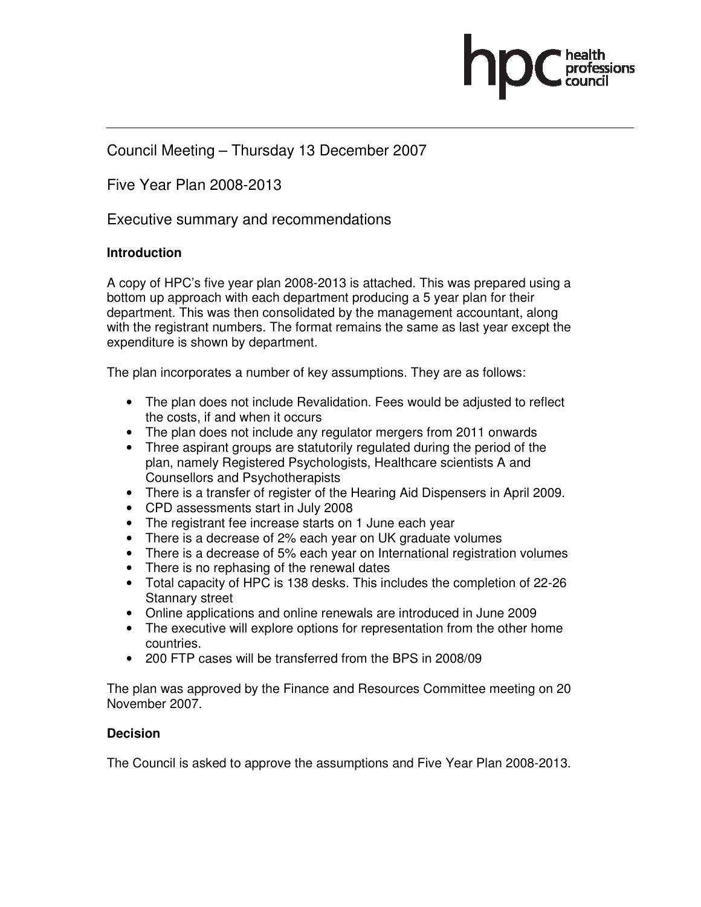

# Council Meeting – Thursday 13 December 2007

Five Year Plan 2008-2013

Executive summary and recommendations

### **Introduction**

A copy of HPC's five year plan 2008-2013 is attached. This was prepared using a bottom up approach with each department producing a 5 year plan for their department. This was then consolidated by the management accountant, along with the registrant numbers. The format remains the same as last year except the expenditure is shown by department.

The plan incorporates a number of key assumptions. They are as follows:

- The plan does not include Revalidation. Fees would be adjusted to reflect the costs, if and when it occurs
- The plan does not include any regulator mergers from 2011 onwards
- Three aspirant groups are statutorily regulated during the period of the plan, namely Registered Psychologists, Healthcare scientists A and Counsellors and Psychotherapists
- There is a transfer of register of the Hearing Aid Dispensers in April 2009.
- CPD assessments start in July 2008
- The registrant fee increase starts on 1 June each year
- There is a decrease of 2% each year on UK graduate volumes
- There is a decrease of 5% each year on International registration volumes
- There is no rephasing of the renewal dates
- Total capacity of HPC is 138 desks. This includes the completion of 22-26 Stannary street
- Online applications and online renewals are introduced in June 2009
- The executive will explore options for representation from the other home countries.
- 200 FTP cases will be transferred from the BPS in 2008/09

The plan was approved by the Finance and Resources Committee meeting on 20 November 2007.

### **Decision**

The Council is asked to approve the assumptions and Five Year Plan 2008-2013.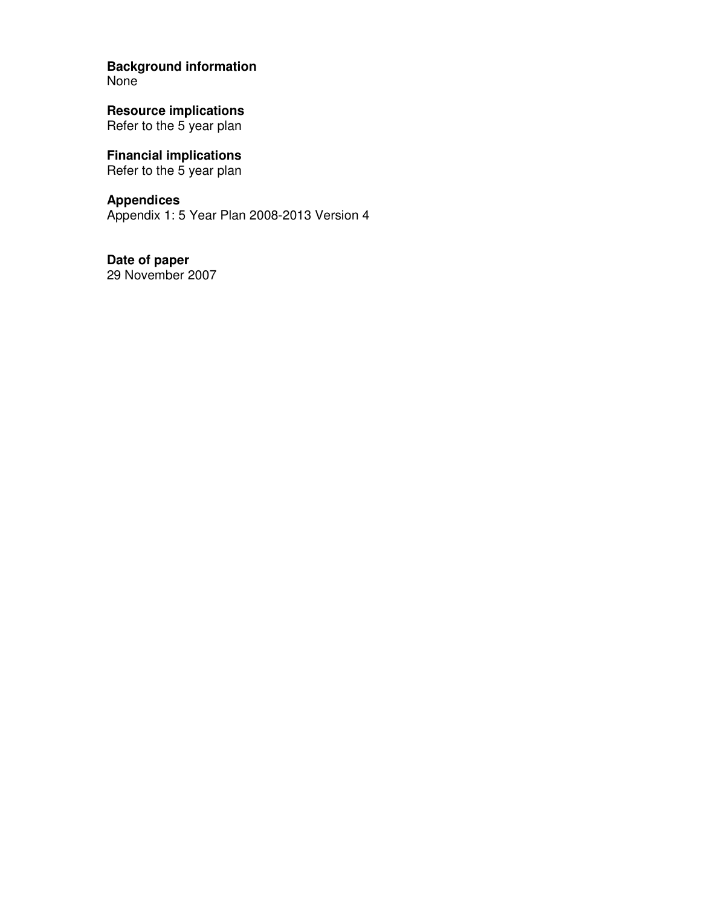**Background information** 

None

**Resource implications**  Refer to the 5 year plan

**Financial implications**  Refer to the 5 year plan

**Appendices**  Appendix 1: 5 Year Plan 2008-2013 Version 4

**Date of paper**  29 November 2007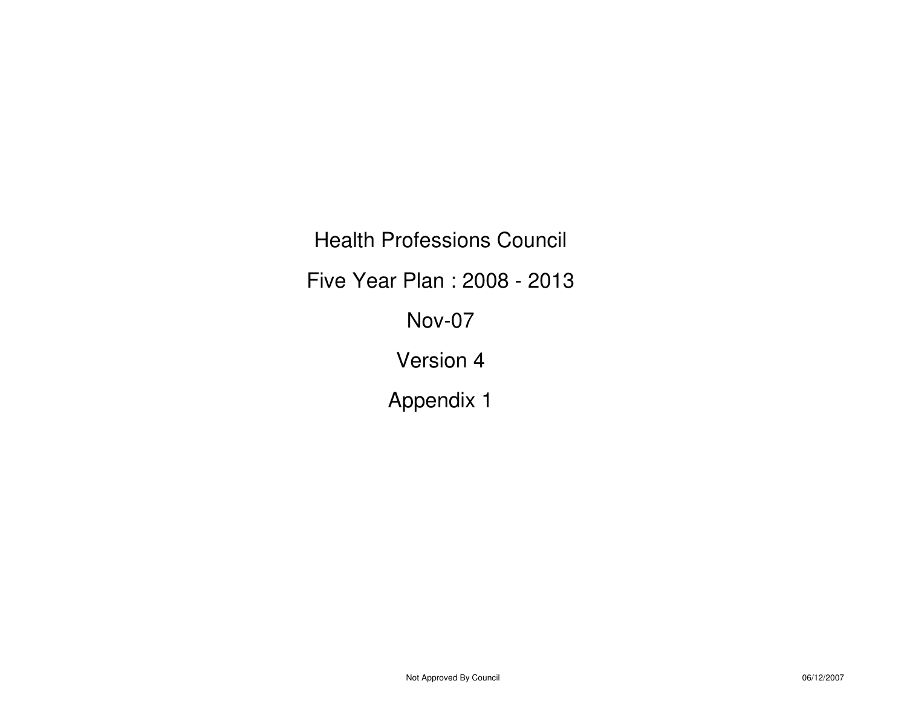Health Professions CouncilFive Year Plan : 2008 - 2013Nov-07Version 4Appendix 1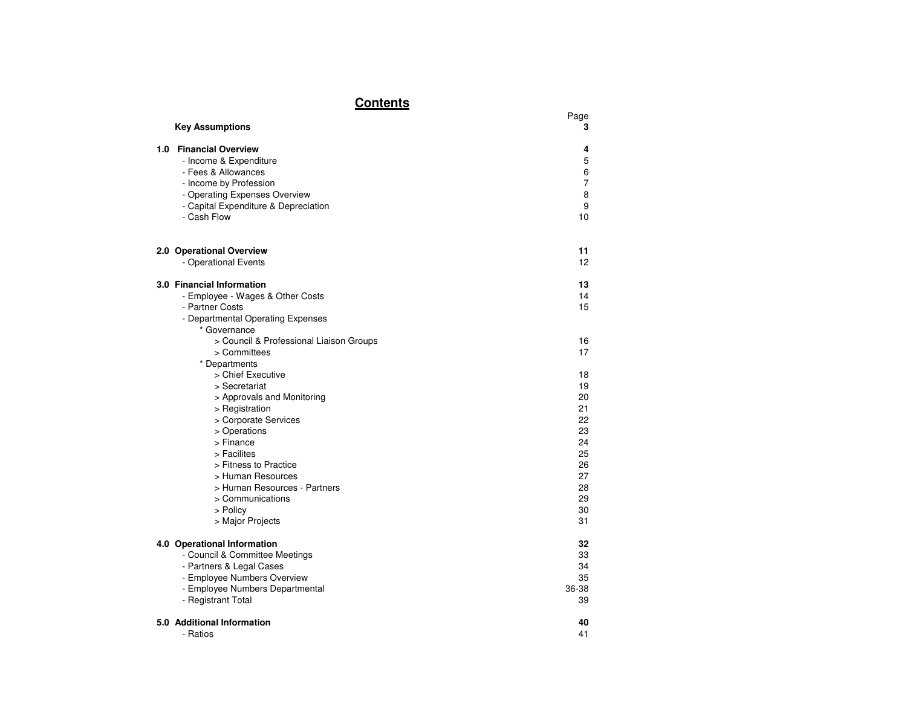# **Contents**

| <u></u>                                                                                                                                                                                                                                                                                                   |                                                                                  |
|-----------------------------------------------------------------------------------------------------------------------------------------------------------------------------------------------------------------------------------------------------------------------------------------------------------|----------------------------------------------------------------------------------|
| <b>Key Assumptions</b>                                                                                                                                                                                                                                                                                    | Page<br>3                                                                        |
| 1.0 Financial Overview<br>- Income & Expenditure<br>- Fees & Allowances<br>- Income by Profession<br>- Operating Expenses Overview<br>- Capital Expenditure & Depreciation<br>- Cash Flow                                                                                                                 | 4<br>5<br>6<br>7<br>8<br>9<br>10                                                 |
| 2.0 Operational Overview<br>- Operational Events                                                                                                                                                                                                                                                          | 11<br>12                                                                         |
| 3.0 Financial Information<br>- Employee - Wages & Other Costs<br>- Partner Costs<br>- Departmental Operating Expenses<br>* Governance                                                                                                                                                                     | 13<br>14<br>15                                                                   |
| > Council & Professional Liaison Groups<br>> Committees                                                                                                                                                                                                                                                   | 16<br>17                                                                         |
| * Departments<br>> Chief Executive<br>> Secretariat<br>> Approvals and Monitoring<br>> Registration<br>> Corporate Services<br>> Operations<br>> Finance<br>> Facilites<br>> Fitness to Practice<br>> Human Resources<br>> Human Resources - Partners<br>> Communications<br>> Policy<br>> Major Projects | 18<br>19<br>20<br>21<br>22<br>23<br>24<br>25<br>26<br>27<br>28<br>29<br>30<br>31 |
| 4.0 Operational Information<br>- Council & Committee Meetings<br>- Partners & Legal Cases<br>- Employee Numbers Overview<br>- Employee Numbers Departmental<br>- Registrant Total                                                                                                                         | 32<br>33<br>34<br>35<br>36-38<br>39                                              |
| 5.0 Additional Information<br>- Ratios                                                                                                                                                                                                                                                                    | 40<br>41                                                                         |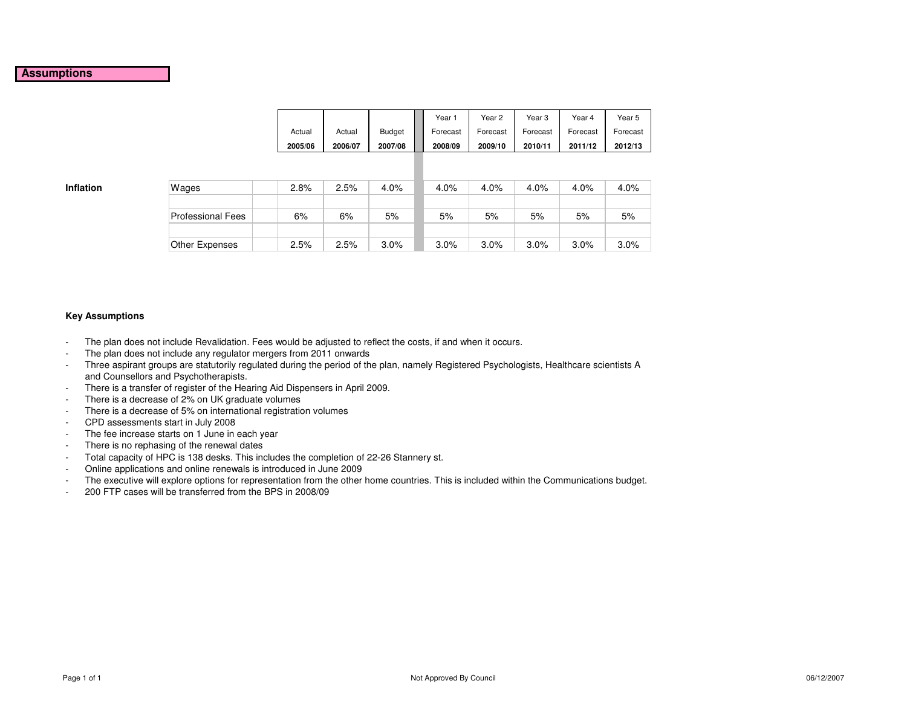### **Assumptions**

|         |         |               | Year <sup>:</sup> | Year 2   | Year 3   | Year 4   | Year 5   |
|---------|---------|---------------|-------------------|----------|----------|----------|----------|
| Actual  | Actual  | <b>Budget</b> | Forecast          | Forecast | Forecast | Forecast | Forecast |
| 2005/06 | 2006/07 | 2007/08       | 2008/09           | 2009/10  | 2010/11  | 2011/12  | 2012/13  |

**Inflation**

| n | Wages             | 2.8% | 2.5% | 4.0%    | 4.0% | 4.0% | 4.0% | 4.0% | 4.0% |
|---|-------------------|------|------|---------|------|------|------|------|------|
|   |                   |      |      |         |      |      |      |      |      |
|   | Professional Fees | 6%   | 6%   | 5%      | 5%   | 5%   | 5%   | 5%   | 5%   |
|   |                   |      |      |         |      |      |      |      |      |
|   | Other Expenses    | 2.5% | 2.5% | $3.0\%$ | 3.0% | 3.0% | 3.0% | 3.0% | 3.0% |

### **Key Assumptions**

- -The plan does not include Revalidation. Fees would be adjusted to reflect the costs, if and when it occurs.
- -The plan does not include any regulator mergers from 2011 onwards
- Three aspirant groups are statutorily regulated during the period of the plan, namely Registered Psychologists, Healthcare scientists A and Counsellors and Psychotherapists.
- There is a transfer of register of the Hearing Aid Dispensers in April 2009. -
- -There is a decrease of 2% on UK graduate volumes
- There is a decrease of 5% on international registration volumes-
- -CPD assessments start in July 2008
- The fee increase starts on 1 June in each year -
- -There is no rephasing of the renewal dates
- Total capacity of HPC is 138 desks. This includes the completion of 22-26 Stannery st. -
- -Online applications and online renewals is introduced in June 2009
- The executive will explore options for representation from the other home countries. This is included within the Communications budget. -
- -200 FTP cases will be transferred from the BPS in 2008/09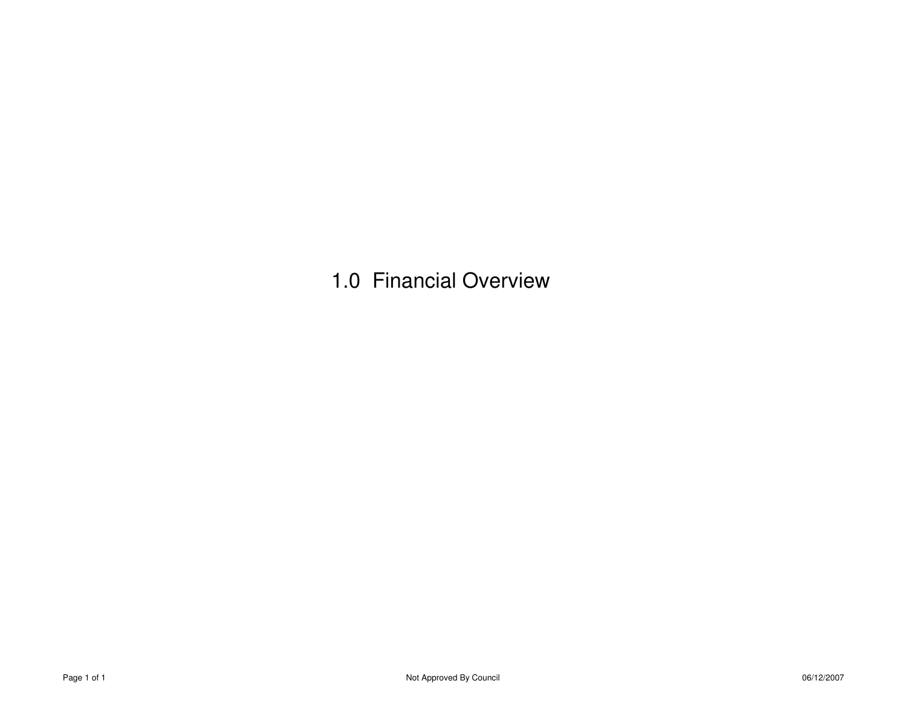1.0 Financial Overview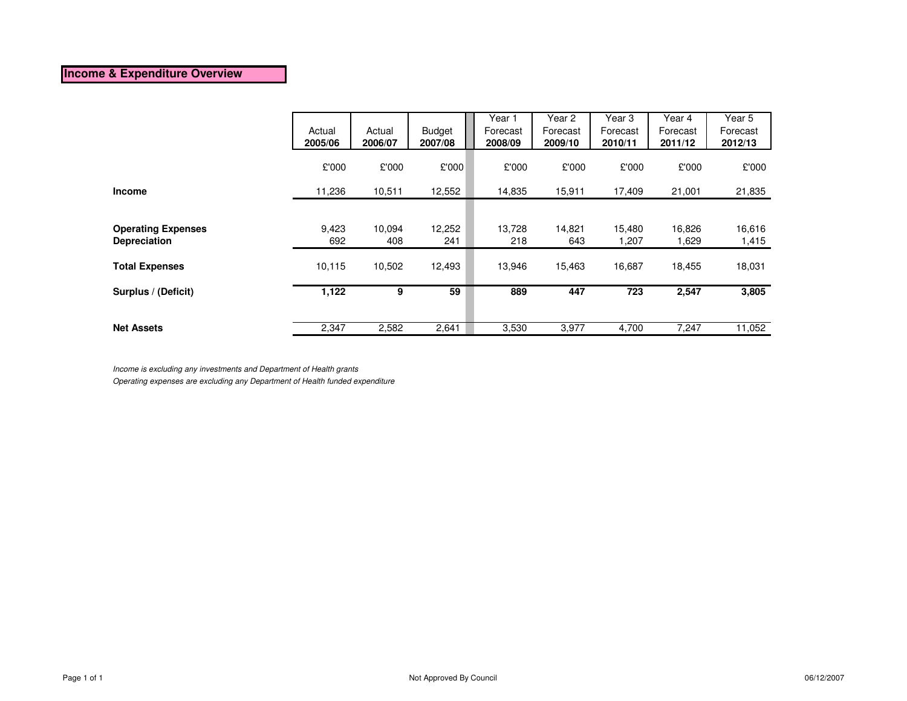### **Income & Expenditure Overview**

|                           |         |         |         | Year 1   | Year 2   | Year 3   | Year 4   | Year 5   |
|---------------------------|---------|---------|---------|----------|----------|----------|----------|----------|
|                           | Actual  | Actual  | Budget  | Forecast | Forecast | Forecast | Forecast | Forecast |
|                           | 2005/06 | 2006/07 | 2007/08 | 2008/09  | 2009/10  | 2010/11  | 2011/12  | 2012/13  |
|                           | £'000   | £'000   | £'000   | £'000    | £'000    | £'000    | £'000    | £'000    |
| <b>Income</b>             | 11,236  | 10,511  | 12,552  | 14,835   | 15,911   | 17,409   | 21,001   | 21,835   |
|                           |         |         |         |          |          |          |          |          |
| <b>Operating Expenses</b> | 9,423   | 10,094  | 12,252  | 13,728   | 14,821   | 15,480   | 16,826   | 16,616   |
| Depreciation              | 692     | 408     | 241     | 218      | 643      | 1,207    | 1,629    | 1,415    |
| <b>Total Expenses</b>     | 10,115  | 10,502  | 12,493  | 13,946   | 15,463   | 16,687   | 18,455   | 18,031   |
| Surplus / (Deficit)       | 1,122   | 9       | 59      | 889      | 447      | 723      | 2,547    | 3,805    |
|                           |         |         |         |          |          |          |          |          |
| <b>Net Assets</b>         | 2,347   | 2,582   | 2,641   | 3,530    | 3,977    | 4,700    | 7,247    | 11,052   |

Income is excluding any investments and Department of Health grants

Operating expenses are excluding any Department of Health funded expenditure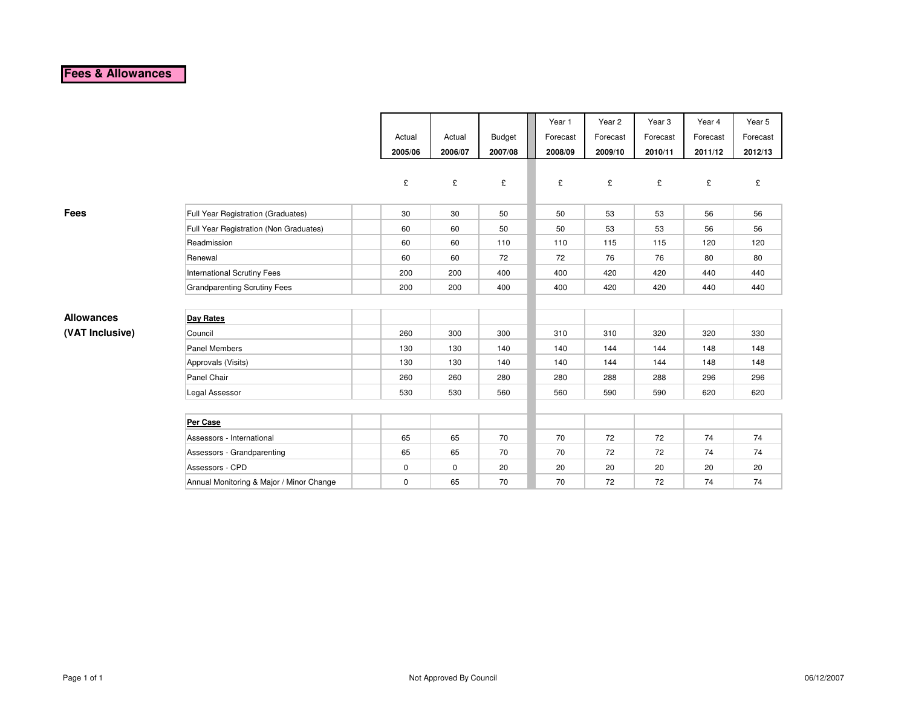# **Fees & Allowances**

|                   |                                          |             |             |               | Year 1   | Year 2   | Year <sub>3</sub> | Year 4   | Year 5   |
|-------------------|------------------------------------------|-------------|-------------|---------------|----------|----------|-------------------|----------|----------|
|                   |                                          | Actual      | Actual      | <b>Budget</b> | Forecast | Forecast | Forecast          | Forecast | Forecast |
|                   |                                          | 2005/06     | 2006/07     | 2007/08       | 2008/09  | 2009/10  | 2010/11           | 2011/12  | 2012/13  |
|                   |                                          |             |             |               |          |          |                   |          |          |
|                   |                                          | £           | £           | £             | £        | £        | £                 | £        | £        |
|                   |                                          |             |             |               |          |          |                   |          |          |
| <b>Fees</b>       | Full Year Registration (Graduates)       | 30          | 30          | 50            | 50       | 53       | 53                | 56       | 56       |
|                   | Full Year Registration (Non Graduates)   | 60          | 60          | 50            | 50       | 53       | 53                | 56       | 56       |
|                   | Readmission                              | 60          | 60          | 110           | 110      | 115      | 115               | 120      | 120      |
|                   | Renewal                                  | 60          | 60          | 72            | 72       | 76       | 76                | 80       | 80       |
|                   | <b>International Scrutiny Fees</b>       | 200         | 200         | 400           | 400      | 420      | 420               | 440      | 440      |
|                   | <b>Grandparenting Scrutiny Fees</b>      | 200         | 200         | 400           | 400      | 420      | 420               | 440      | 440      |
|                   |                                          |             |             |               |          |          |                   |          |          |
| <b>Allowances</b> | <b>Day Rates</b>                         |             |             |               |          |          |                   |          |          |
| (VAT Inclusive)   | Council                                  | 260         | 300         | 300           | 310      | 310      | 320               | 320      | 330      |
|                   | Panel Members                            | 130         | 130         | 140           | 140      | 144      | 144               | 148      | 148      |
|                   | Approvals (Visits)                       | 130         | 130         | 140           | 140      | 144      | 144               | 148      | 148      |
|                   | Panel Chair                              | 260         | 260         | 280           | 280      | 288      | 288               | 296      | 296      |
|                   | Legal Assessor                           | 530         | 530         | 560           | 560      | 590      | 590               | 620      | 620      |
|                   |                                          |             |             |               |          |          |                   |          |          |
|                   | Per Case                                 |             |             |               |          |          |                   |          |          |
|                   | Assessors - International                | 65          | 65          | 70            | 70       | 72       | 72                | 74       | 74       |
|                   | Assessors - Grandparenting               | 65          | 65          | 70            | 70       | 72       | 72                | 74       | 74       |
|                   | Assessors - CPD                          | $\mathbf 0$ | $\mathbf 0$ | 20            | 20       | 20       | 20                | 20       | 20       |
|                   | Annual Monitoring & Major / Minor Change | $\mathbf 0$ | 65          | 70            | 70       | 72       | 72                | 74       | 74       |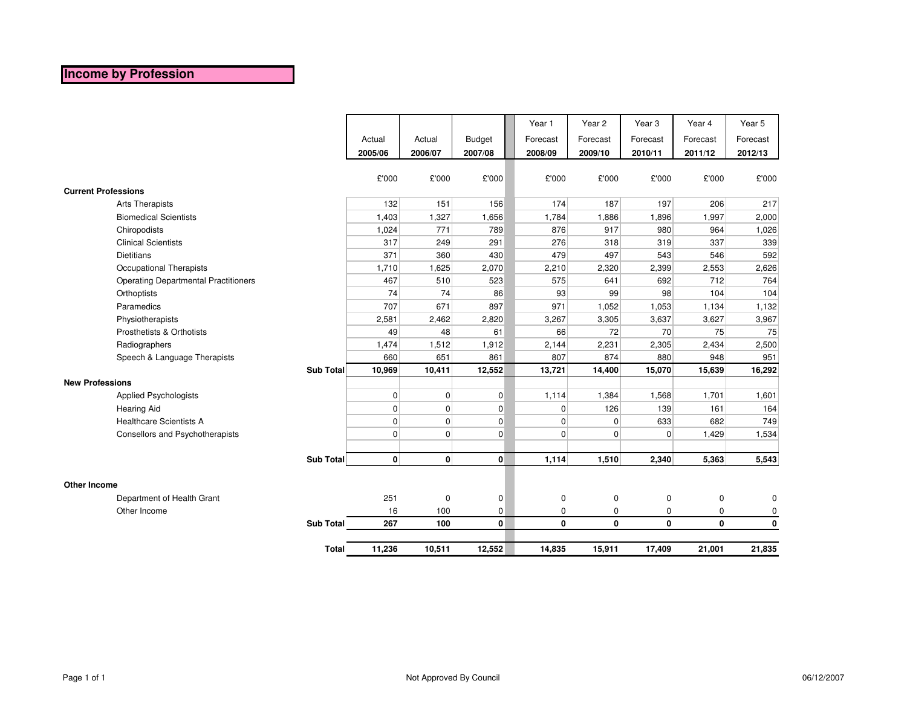## **Income by Profession**

|                                             |                  |                |                |               | Year 1         | Year 2      | Year <sub>3</sub> | Year 4       | Year 5      |
|---------------------------------------------|------------------|----------------|----------------|---------------|----------------|-------------|-------------------|--------------|-------------|
|                                             |                  | Actual         | Actual         | <b>Budget</b> | Forecast       | Forecast    | Forecast          | Forecast     | Forecast    |
|                                             |                  | 2005/06        | 2006/07        | 2007/08       | 2008/09        | 2009/10     | 2010/11           | 2011/12      | 2012/13     |
|                                             |                  |                |                |               |                |             |                   |              |             |
|                                             |                  | £'000          | £'000          | £'000         | £'000          | £'000       | £'000             | £'000        | £'000       |
| <b>Current Professions</b>                  |                  |                |                |               |                |             |                   |              |             |
| <b>Arts Therapists</b>                      |                  | 132            | 151            | 156           | 174            | 187         | 197               | 206          | 217         |
| <b>Biomedical Scientists</b>                |                  | 1,403          | 1,327          | 1,656         | 1,784          | 1,886       | 1,896             | 1,997        | 2,000       |
| Chiropodists                                |                  | 1,024          | 771            | 789           | 876            | 917         | 980               | 964          | 1,026       |
| <b>Clinical Scientists</b>                  |                  | 317            | 249            | 291           | 276            | 318         | 319               | 337          | 339         |
| <b>Dietitians</b>                           |                  | 371            | 360            | 430           | 479            | 497         | 543               | 546          | 592         |
| Occupational Therapists                     |                  | 1,710          | 1,625          | 2,070         | 2,210          | 2,320       | 2,399             | 2,553        | 2,626       |
| <b>Operating Departmental Practitioners</b> |                  | 467            | 510            | 523           | 575            | 641         | 692               | 712          | 764         |
| Orthoptists                                 |                  | 74             | 74             | 86            | 93             | 99          | 98                | 104          | 104         |
| Paramedics                                  |                  | 707            | 671            | 897           | 971            | 1,052       | 1,053             | 1,134        | 1,132       |
| Physiotherapists                            |                  | 2,581          | 2,462          | 2,820         | 3,267          | 3,305       | 3,637             | 3,627        | 3,967       |
| Prosthetists & Orthotists                   |                  | 49             | 48             | 61            | 66             | 72          | 70                | 75           | 75          |
| Radiographers                               |                  | 1,474          | 1,512          | 1,912         | 2,144          | 2,231       | 2,305             | 2,434        | 2,500       |
| Speech & Language Therapists                |                  | 660            | 651            | 861           | 807            | 874         | 880               | 948          | 951         |
|                                             | Sub Total        | 10,969         | 10,411         | 12,552        | 13,721         | 14,400      | 15,070            | 15,639       | 16,292      |
| <b>New Professions</b>                      |                  |                |                |               |                |             |                   |              |             |
| <b>Applied Psychologists</b>                |                  | $\overline{0}$ | $\overline{0}$ | $\mathbf 0$   | 1,114          | 1,384       | 1,568             | 1,701        | 1,601       |
| <b>Hearing Aid</b>                          |                  | $\overline{0}$ | $\overline{0}$ | $\mathbf 0$   | $\overline{0}$ | 126         | 139               | 161          | 164         |
| <b>Healthcare Scientists A</b>              |                  | $\overline{0}$ | $\overline{0}$ | $\pmb{0}$     | $\overline{0}$ | $\mathbf 0$ | 633               | 682          | 749         |
| Consellors and Psychotherapists             |                  | $\Omega$       | $\overline{0}$ | $\Omega$      | $\overline{0}$ | $\Omega$    | 0                 | 1,429        | 1,534       |
|                                             |                  |                |                |               |                |             |                   |              |             |
|                                             | Sub Total        | $\mathbf{0}$   | $\mathbf{0}$   | $\mathbf{0}$  | 1,114          | 1,510       | 2,340             | 5,363        | 5,543       |
|                                             |                  |                |                |               |                |             |                   |              |             |
| <b>Other Income</b>                         |                  |                |                |               |                |             |                   |              |             |
| Department of Health Grant                  |                  | 251            | $\pmb{0}$      | 0             | $\mathbf 0$    | $\mathbf 0$ | 0                 | 0            | 0           |
| Other Income                                |                  | 16             | 100            | 0             | $\mathbf 0$    | 0           | 0                 | 0            | 0           |
|                                             | <b>Sub Total</b> | 267            | 100            | $\mathbf{0}$  | 0              | 0           | $\mathbf{0}$      | $\mathbf{0}$ | $\mathbf 0$ |
|                                             | <b>Total</b>     | 11,236         | 10,511         | 12,552        | 14,835         | 15,911      | 17,409            | 21,001       | 21,835      |
|                                             |                  |                |                |               |                |             |                   |              |             |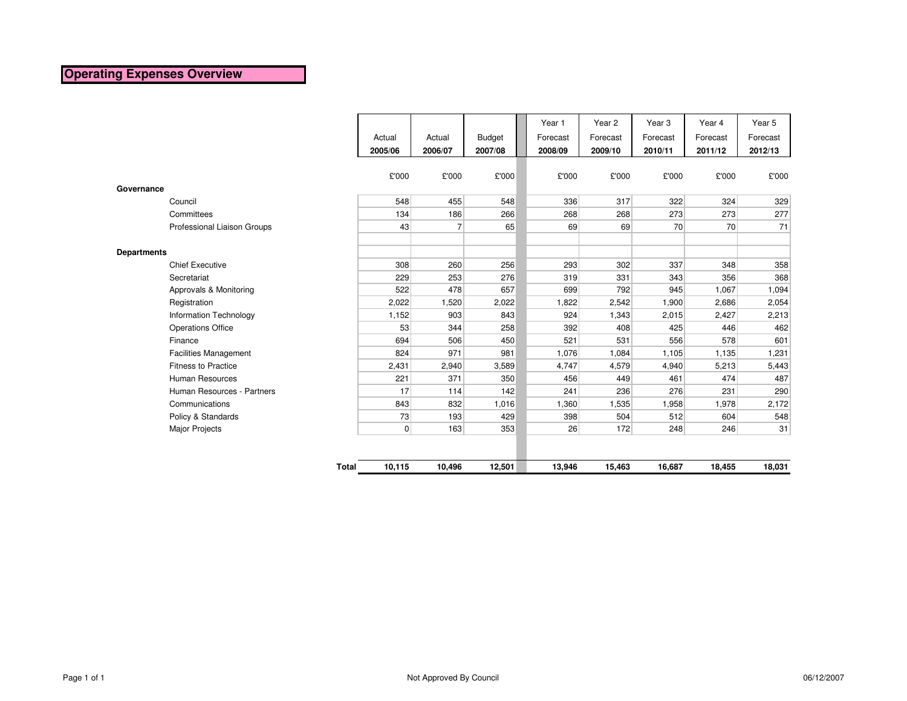### **Operating Expenses Overview**

|                    |                               |                 |                |               | Year 1   | Year <sub>2</sub> | Year <sub>3</sub> | Year 4   | Year 5   |
|--------------------|-------------------------------|-----------------|----------------|---------------|----------|-------------------|-------------------|----------|----------|
|                    |                               | Actual          | Actual         | <b>Budget</b> | Forecast | Forecast          | Forecast          | Forecast | Forecast |
|                    |                               | 2005/06         | 2006/07        | 2007/08       | 2008/09  | 2009/10           | 2010/11           | 2011/12  | 2012/13  |
|                    |                               |                 |                |               |          |                   |                   |          |          |
|                    |                               | £'000           | £'000          | £'000         |          | £'000<br>£'000    | £'000             | £'000    | £'000    |
| Governance         |                               |                 |                |               |          |                   |                   |          |          |
|                    | Council                       | 548             | 455            | 548           |          | 336<br>317        | 322               | 324      | 329      |
|                    | Committees                    | 134             | 186            | 266           |          | 268<br>268        | 273               | 273      | 277      |
|                    | Professional Liaison Groups   | 43              | $\overline{7}$ | 65            |          | 69<br>69          | 70                | 70       | 71       |
|                    |                               |                 |                |               |          |                   |                   |          |          |
| <b>Departments</b> |                               |                 |                |               |          |                   |                   |          |          |
|                    | <b>Chief Executive</b>        | 308             | 260            | 256           |          | 293<br>302        | 337               | 348      | 358      |
|                    | Secretariat                   | 229             | 253            | 276           |          | 319<br>331        | 343               | 356      | 368      |
|                    | Approvals & Monitoring        | 522             | 478            | 657           |          | 792<br>699        | 945               | 1,067    | 1,094    |
|                    | Registration                  | 2,022           | 1,520          | 2,022         |          | 1,822<br>2,542    | 1,900             | 2,686    | 2,054    |
|                    | <b>Information Technology</b> | 1,152           | 903            | 843           |          | 924<br>1,343      | 2,015             | 2,427    | 2,213    |
|                    | <b>Operations Office</b>      | 53              | 344            | 258           |          | 392<br>408        | 425               | 446      | 462      |
|                    | Finance                       | 694             | 506            | 450           |          | 521<br>531        | 556               | 578      | 601      |
|                    | <b>Facilities Management</b>  | 824             | 971            | 981           |          | 1,076<br>1,084    | 1,105             | 1,135    | 1,231    |
|                    | <b>Fitness to Practice</b>    | 2,431           | 2,940          | 3,589         |          | 4,747<br>4,579    | 4,940             | 5,213    | 5,443    |
|                    | <b>Human Resources</b>        | 221             | 371            | 350           |          | 456<br>449        | 461               | 474      | 487      |
|                    | Human Resources - Partners    | 17              | 114            | 142           |          | 241<br>236        | 276               | 231      | 290      |
|                    | Communications                | 843             | 832            | 1,016         |          | 1,360<br>1,535    | 1,958             | 1,978    | 2,172    |
|                    | Policy & Standards            | 73              | 193            | 429           |          | 398<br>504        | 512               | 604      | 548      |
|                    | <b>Major Projects</b>         | $\overline{0}$  | 163            | 353           |          | 26<br>172         | 248               | 246      | 31       |
|                    |                               |                 |                |               |          |                   |                   |          |          |
|                    |                               | 10,115<br>Total | 10,496         | 12,501        | 13,946   | 15,463            | 16,687            | 18,455   | 18,031   |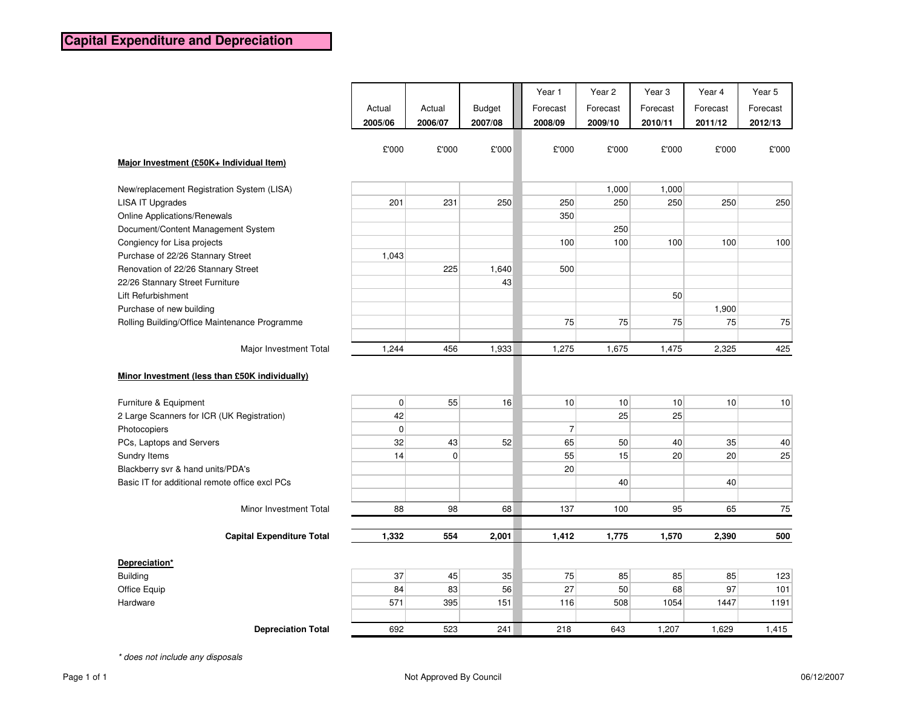|                                                |                   |                   |                          | Year 1              | Year 2              | Year <sub>3</sub>   | Year 4              | Year 5              |
|------------------------------------------------|-------------------|-------------------|--------------------------|---------------------|---------------------|---------------------|---------------------|---------------------|
|                                                | Actual<br>2005/06 | Actual<br>2006/07 | <b>Budget</b><br>2007/08 | Forecast<br>2008/09 | Forecast<br>2009/10 | Forecast<br>2010/11 | Forecast<br>2011/12 | Forecast<br>2012/13 |
|                                                | £'000             | £'000             | £'000                    | £'000               | £'000               | £'000               | £'000               | £'000               |
| Major Investment (£50K+ Individual Item)       |                   |                   |                          |                     |                     |                     |                     |                     |
| New/replacement Registration System (LISA)     |                   |                   |                          |                     | 1,000               | 1,000               |                     |                     |
| <b>LISA IT Upgrades</b>                        | 201               | 231               | 250                      | 250                 | 250                 | 250                 | 250                 | 250                 |
| <b>Online Applications/Renewals</b>            |                   |                   |                          | 350                 |                     |                     |                     |                     |
| Document/Content Management System             |                   |                   |                          |                     | 250                 |                     |                     |                     |
| Congiency for Lisa projects                    |                   |                   |                          | 100                 | 100                 | 100                 | 100                 | 100                 |
| Purchase of 22/26 Stannary Street              | 1,043             |                   |                          |                     |                     |                     |                     |                     |
| Renovation of 22/26 Stannary Street            |                   | 225               | 1,640                    | 500                 |                     |                     |                     |                     |
| 22/26 Stannary Street Furniture                |                   |                   | 43                       |                     |                     |                     |                     |                     |
| Lift Refurbishment                             |                   |                   |                          |                     |                     | 50                  |                     |                     |
| Purchase of new building                       |                   |                   |                          |                     |                     |                     | 1,900               |                     |
| Rolling Building/Office Maintenance Programme  |                   |                   |                          | 75                  | 75                  | 75                  | 75                  | 75                  |
|                                                |                   |                   |                          |                     |                     |                     |                     |                     |
| Major Investment Total                         | 1,244             | 456               | 1,933                    | 1,275               | 1,675               | 1,475               | 2,325               | 425                 |
| Minor Investment (less than £50K individually) |                   |                   |                          |                     |                     |                     |                     |                     |
| Furniture & Equipment                          | $\overline{0}$    | 55                | 16                       | 10                  | 10                  | 10 <sup>1</sup>     | 10                  | 10                  |
| 2 Large Scanners for ICR (UK Registration)     | 42                |                   |                          |                     | 25                  | 25                  |                     |                     |
| Photocopiers                                   | $\overline{0}$    |                   |                          | $\overline{7}$      |                     |                     |                     |                     |
| PCs, Laptops and Servers                       | 32                | 43                | 52                       | 65                  | 50                  | 40                  | 35                  | 40                  |
| Sundry Items                                   | 14                | 0                 |                          | 55                  | 15                  | 20                  | 20                  | 25                  |
| Blackberry svr & hand units/PDA's              |                   |                   |                          | 20                  |                     |                     |                     |                     |
| Basic IT for additional remote office excl PCs |                   |                   |                          |                     | 40                  |                     | 40                  |                     |
|                                                |                   |                   |                          |                     |                     |                     |                     |                     |
| Minor Investment Total                         | 88                | 98                | 68                       | 137                 | 100                 | 95                  | 65                  | 75                  |
|                                                |                   |                   |                          |                     |                     |                     |                     |                     |
| <b>Capital Expenditure Total</b>               | 1,332             | 554               | 2,001                    | 1,412               | 1,775               | 1,570               | 2,390               | 500                 |
| Depreciation*                                  |                   |                   |                          |                     |                     |                     |                     |                     |
| <b>Building</b>                                | 37                | 45                | 35                       | 75                  | 85                  | 85                  | 85                  | 123                 |
| Office Equip                                   | 84                | 83                | 56                       | 27                  | 50                  | 68                  | 97                  | 101                 |
| Hardware                                       | 571               | 395               | 151                      | 116                 | 508                 | 1054                | 1447                | 1191                |
|                                                |                   |                   |                          |                     |                     |                     |                     |                     |
| <b>Depreciation Total</b>                      | 692               | 523               | 241                      | 218                 | 643                 | 1,207               | 1,629               | 1,415               |

\* does not include any disposals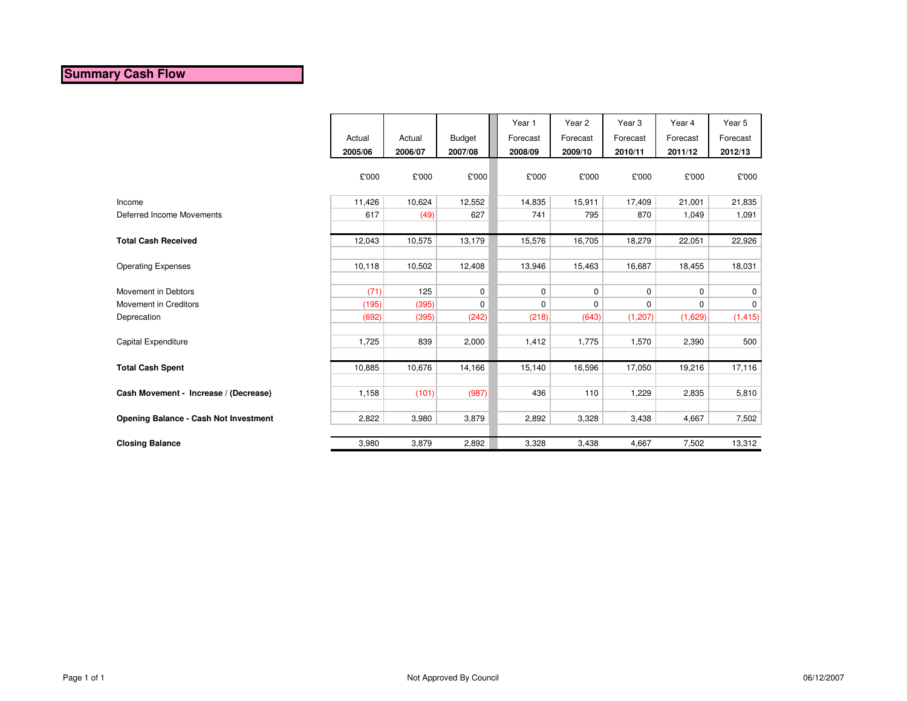### **Summary Cash Flow**

|                                              | Actual  | Actual  | <b>Budget</b> | Year 1<br>Forecast | Year 2<br>Forecast | Year <sub>3</sub><br>Forecast | Year 4<br>Forecast | Year 5<br>Forecast |
|----------------------------------------------|---------|---------|---------------|--------------------|--------------------|-------------------------------|--------------------|--------------------|
|                                              | 2005/06 | 2006/07 | 2007/08       | 2008/09            | 2009/10            | 2010/11                       | 2011/12            | 2012/13            |
|                                              | £'000   | £'000   | £'000         | £'000              | £'000              | £'000                         | £'000              | £'000              |
| Income                                       | 11,426  | 10,624  | 12,552        | 14,835             | 15,911             | 17,409                        | 21,001             | 21,835             |
| Deferred Income Movements                    | 617     | (49)    | 627           | 741                | 795                | 870                           | 1,049              | 1,091              |
|                                              |         |         |               |                    |                    |                               |                    |                    |
| <b>Total Cash Received</b>                   | 12,043  | 10,575  | 13,179        | 15,576             | 16,705             | 18,279                        | 22,051             | 22,926             |
|                                              |         |         |               |                    |                    |                               |                    |                    |
| <b>Operating Expenses</b>                    | 10,118  | 10,502  | 12,408        | 13,946             | 15,463             | 16,687                        | 18,455             | 18,031             |
|                                              |         |         |               |                    |                    |                               |                    |                    |
| Movement in Debtors                          | (71)    | 125     | $\mathbf 0$   | $\mathbf 0$        | $\mathbf 0$        | $\mathbf 0$                   | $\mathbf 0$        | 0                  |
| Movement in Creditors                        | (195)   | (395)   | $\mathbf 0$   | $\mathbf 0$        | $\mathbf 0$        | $\mathbf 0$                   | $\mathbf 0$        | $\mathbf 0$        |
| Deprecation                                  | (692)   | (395)   | (242)         | (218)              | (643)              | (1, 207)                      | (1,629)            | (1, 415)           |
|                                              |         |         |               |                    |                    |                               |                    |                    |
| Capital Expenditure                          | 1,725   | 839     | 2,000         | 1,412              | 1,775              | 1,570                         | 2,390              | 500                |
|                                              |         |         |               |                    |                    |                               |                    |                    |
| <b>Total Cash Spent</b>                      | 10,885  | 10,676  | 14,166        | 15,140             | 16,596             | 17,050                        | 19,216             | 17,116             |
|                                              | 1,158   |         |               | 436                | 110                | 1,229                         |                    |                    |
| Cash Movement - Increase / (Decrease)        |         | (101)   | (987)         |                    |                    |                               | 2,835              | 5,810              |
| <b>Opening Balance - Cash Not Investment</b> | 2,822   | 3,980   | 3,879         | 2,892              | 3,328              | 3,438                         | 4,667              | 7,502              |
|                                              |         |         |               |                    |                    |                               |                    |                    |
| <b>Closing Balance</b>                       | 3,980   | 3,879   | 2,892         | 3,328              | 3,438              | 4,667                         | 7,502              | 13,312             |
|                                              |         |         |               |                    |                    |                               |                    |                    |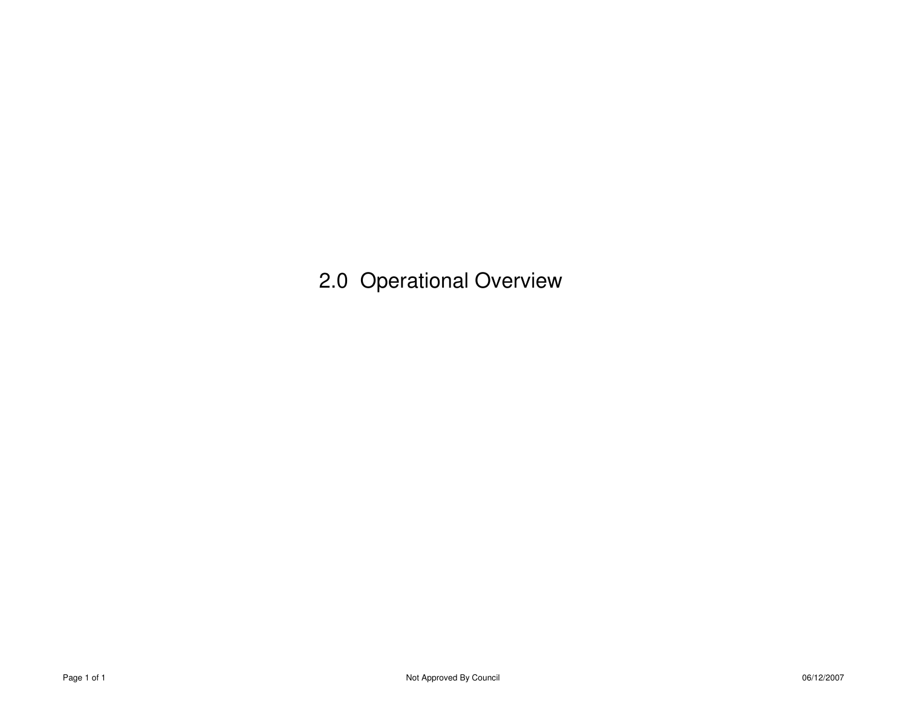2.0 Operational Overview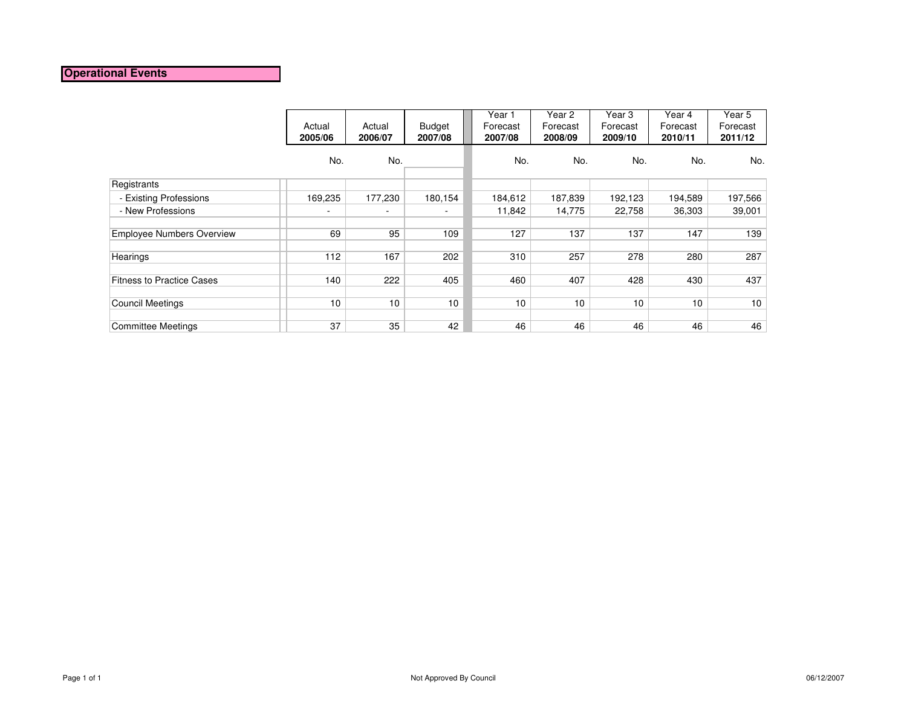### **Operational Events**

|                                  | Actual<br>2005/06 | Actual<br>2006/07 | <b>Budget</b><br>2007/08 | Year 1<br>Forecast<br>2007/08 | Year 2<br>Forecast<br>2008/09 | Year 3<br>Forecast<br>2009/10 | Year 4<br>Forecast<br>2010/11 | Year $5$<br>Forecast<br>2011/12 |
|----------------------------------|-------------------|-------------------|--------------------------|-------------------------------|-------------------------------|-------------------------------|-------------------------------|---------------------------------|
|                                  | No.               | No.               |                          | No.                           | No.                           | No.                           | No.                           | No.                             |
| Registrants                      |                   |                   |                          |                               |                               |                               |                               |                                 |
| - Existing Professions           | 169,235           | 177,230           | 180,154                  | 184,612                       | 187,839                       | 192,123                       | 194,589                       | 197,566                         |
| - New Professions                | ۰                 | ٠                 | $\sim$                   | 11,842                        | 14,775                        | 22,758                        | 36,303                        | 39,001                          |
| <b>Employee Numbers Overview</b> | 69                | 95                | 109                      | 127                           | 137                           | 137                           | 147                           | 139                             |
| Hearings                         | 112               | 167               | 202                      | 310                           | 257                           | 278                           | 280                           | 287                             |
| <b>Fitness to Practice Cases</b> | 140               | 222               | 405                      | 460                           | 407                           | 428                           | 430                           | 437                             |
| <b>Council Meetings</b>          | 10                | 10                | 10                       | 10                            | 10                            | 10                            | 10                            | 10                              |
| Committee Meetings               | 37                | 35                | 42                       | 46                            | 46                            | 46                            | 46                            | 46                              |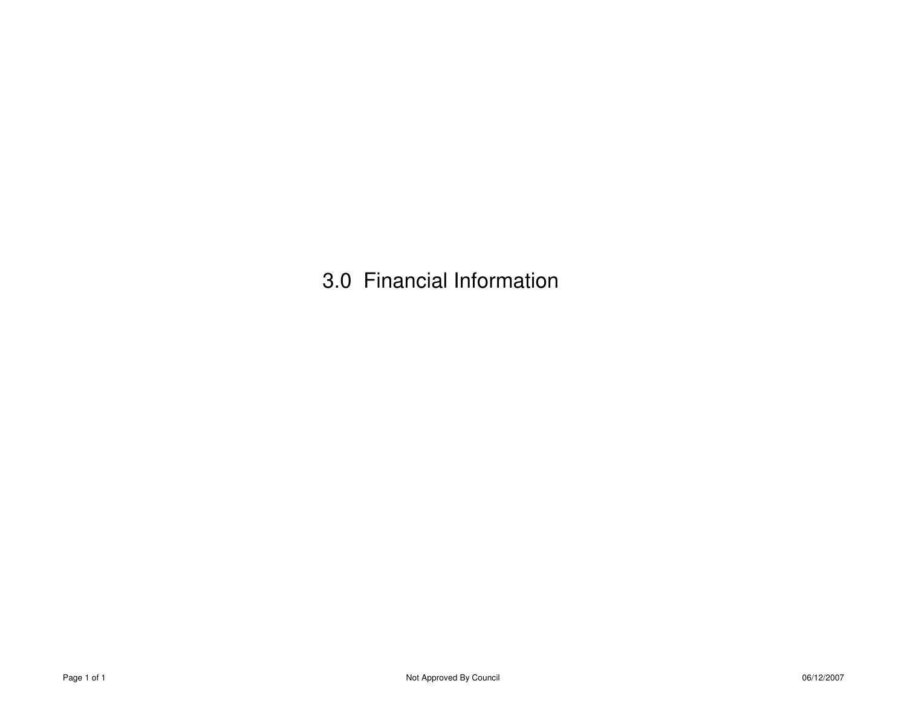3.0 Financial Information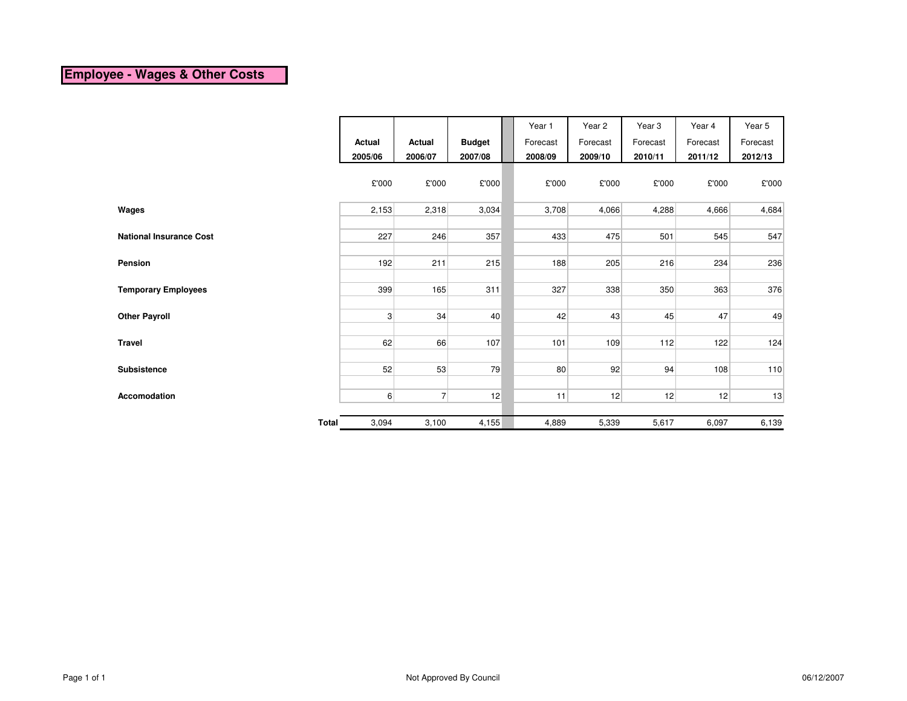# **Employee - Wages & Other Costs**

|                                |                |                |               | Year 1   | Year 2   | Year 3   | Year 4   | Year 5   |
|--------------------------------|----------------|----------------|---------------|----------|----------|----------|----------|----------|
|                                | Actual         | <b>Actual</b>  | <b>Budget</b> | Forecast | Forecast | Forecast | Forecast | Forecast |
|                                | 2005/06        | 2006/07        | 2007/08       | 2008/09  | 2009/10  | 2010/11  | 2011/12  | 2012/13  |
|                                | £'000          | £'000          | £'000         | £'000    | £'000    | £'000    | £'000    | £'000    |
| Wages                          | 2,153          | 2,318          | 3,034         | 3,708    | 4,066    | 4,288    | 4,666    | 4,684    |
|                                |                |                |               |          |          |          |          |          |
| <b>National Insurance Cost</b> | 227            | 246            | 357           | 433      | 475      | 501      | 545      | 547      |
|                                |                |                |               |          |          |          |          |          |
| Pension                        | 192            | 211            | 215           | 188      | 205      | 216      | 234      | 236      |
|                                |                |                |               |          |          |          |          |          |
| <b>Temporary Employees</b>     | 399            | 165            | 311           | 327      | 338      | 350      | 363      | 376      |
|                                |                |                |               |          |          |          |          |          |
| <b>Other Payroll</b>           | $\overline{3}$ | 34             | 40            | 42       | 43       | 45       | 47       | 49       |
|                                |                |                |               |          |          |          |          |          |
| <b>Travel</b>                  | 62             | 66             | 107           | 101      | 109      | 112      | 122      | 124      |
|                                |                |                |               |          |          |          |          |          |
| <b>Subsistence</b>             | 52             | 53             | 79            | 80       | 92       | 94       | 108      | 110      |
|                                |                |                |               |          |          |          |          |          |
| Accomodation                   | $6 \mid$       | 7 <sup>1</sup> | 12            | 11       | 12       | 12       | 12       | 13       |
|                                |                |                |               |          |          |          |          |          |
| <b>Total</b>                   | 3,094          | 3,100          | 4,155         | 4,889    | 5,339    | 5,617    | 6,097    | 6,139    |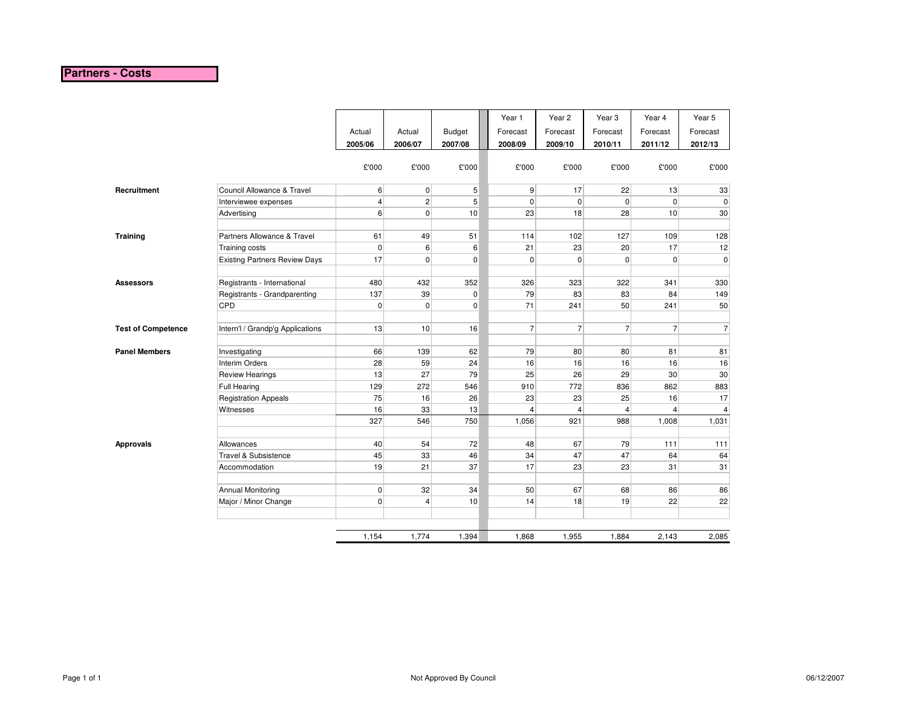### **Partners - Costs**

|                           |                                      |                   |                   |                          | Year 1              | Year 2              | Year <sub>3</sub>   | Year 4              | Year 5              |
|---------------------------|--------------------------------------|-------------------|-------------------|--------------------------|---------------------|---------------------|---------------------|---------------------|---------------------|
|                           |                                      | Actual<br>2005/06 | Actual<br>2006/07 | <b>Budget</b><br>2007/08 | Forecast<br>2008/09 | Forecast<br>2009/10 | Forecast<br>2010/11 | Forecast<br>2011/12 | Forecast<br>2012/13 |
|                           |                                      |                   |                   |                          |                     |                     |                     |                     |                     |
|                           |                                      | £'000             | £'000             | £'000                    | £'000               | £'000               | £'000               | £'000               | £'000               |
|                           |                                      |                   |                   |                          |                     |                     |                     |                     |                     |
| Recruitment               | Council Allowance & Travel           | 6                 | $\pmb{0}$         | 5                        | 9                   | 17                  | 22                  | 13                  | 33                  |
|                           | Interviewee expenses                 | 4                 | $\sqrt{2}$        | 5                        | $\mathbf 0$         | $\mathbf 0$         | $\mathbf 0$         | $\overline{0}$      | $\mathbf 0$         |
|                           | Advertising                          | 6                 | $\mathbf 0$       | 10                       | 23                  | 18                  | 28                  | 10                  | 30 <sup>°</sup>     |
|                           |                                      |                   |                   |                          |                     |                     |                     |                     |                     |
| <b>Training</b>           | Partners Allowance & Travel          | 61                | 49                | 51                       | 114                 | 102                 | 127                 | 109                 | 128                 |
|                           | Training costs                       | $\pmb{0}$         | 6                 | 6                        | 21                  | 23                  | 20                  | 17                  | 12                  |
|                           | <b>Existing Partners Review Days</b> | 17                | $\mathsf 0$       | $\pmb{0}$                | $\mathbf 0$         | $\pmb{0}$           | $\pmb{0}$           | $\overline{0}$      | $\overline{0}$      |
| <b>Assessors</b>          | Registrants - International          | 480               | 432               | 352                      | 326                 | 323                 | 322                 | 341                 | 330                 |
|                           | Registrants - Grandparenting         | 137               | 39                | $\mathbf 0$              | 79                  | 83                  | 83                  | 84                  | 149                 |
|                           | CPD                                  | 0                 | $\pmb{0}$         | $\pmb{0}$                | 71                  | 241                 | 50                  | 241                 | 50                  |
|                           |                                      |                   |                   |                          |                     |                     |                     |                     |                     |
| <b>Test of Competence</b> | Intern'l / Grandp'g Applications     | 13                | 10                | 16                       | $\overline{7}$      | $\overline{7}$      | $\overline{7}$      | $\overline{7}$      | $\overline{7}$      |
| <b>Panel Members</b>      | Investigating                        | 66                | 139               | 62                       | 79                  | 80                  | 80                  | 81                  | 81                  |
|                           | Interim Orders                       | 28                | 59                | 24                       | 16                  | 16                  | 16                  | 16                  | 16                  |
|                           | <b>Review Hearings</b>               | 13                | 27                | 79                       | 25                  | 26                  | 29                  | 30                  | 30                  |
|                           | <b>Full Hearing</b>                  | 129               | 272               | 546                      | 910                 | 772                 | 836                 | 862                 | 883                 |
|                           | <b>Registration Appeals</b>          | 75                | 16                | 26                       | 23                  | 23                  | 25                  | 16                  | 17                  |
|                           | Witnesses                            | 16                | 33                | 13                       | 4                   | $\overline{4}$      | $\overline{4}$      | $\overline{4}$      | $\overline{4}$      |
|                           |                                      | 327               | 546               | 750                      | 1,056               | 921                 | 988                 | 1,008               | 1,031               |
| <b>Approvals</b>          | Allowances                           | 40                | 54                | 72                       | 48                  | 67                  | 79                  | 111                 | 111                 |
|                           | Travel & Subsistence                 | 45                | 33                | 46                       | 34                  | 47                  | 47                  | 64                  | 64                  |
|                           | Accommodation                        | 19                | 21                | 37                       | 17                  | 23                  | 23                  | 31                  | 31                  |
|                           | Annual Monitoring                    | 0                 | 32                | 34                       | 50                  | 67                  | 68                  | 86                  | 86                  |
|                           | Major / Minor Change                 | 0                 | $\overline{4}$    | 10                       | 14                  | 18                  | 19                  | 22                  | 22                  |
|                           |                                      |                   |                   |                          |                     |                     |                     |                     |                     |
|                           |                                      | 1.154             | 1,774             | 1,394                    | 1,868               | 1,955               | 1,884               | 2.143               | 2,085               |
|                           |                                      |                   |                   |                          |                     |                     |                     |                     |                     |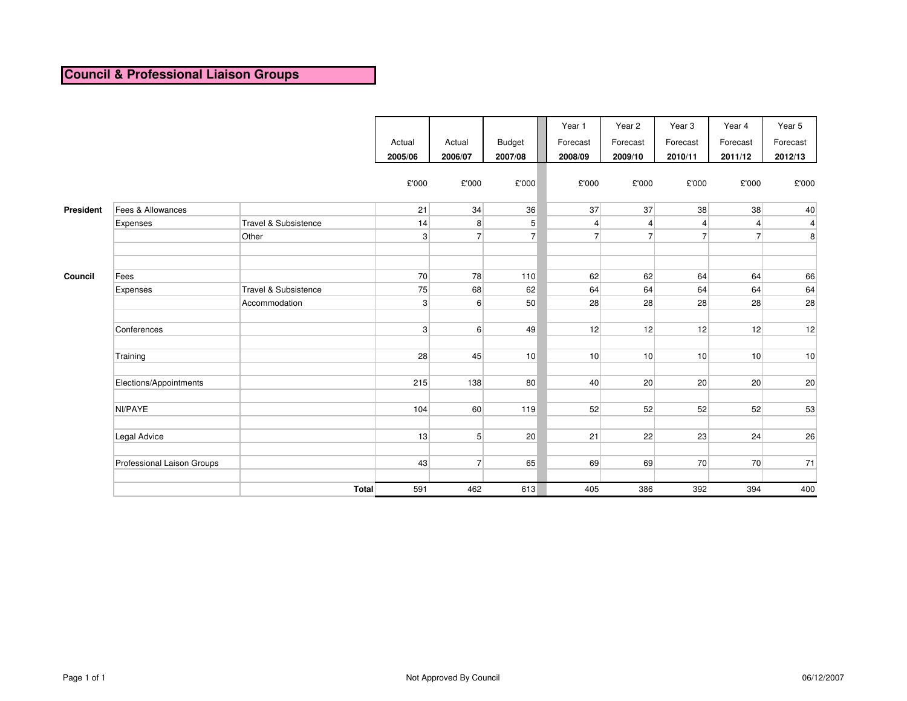# **Council & Professional Liaison Groups**

|           |                            |                      | Actual<br>2005/06 | Actual<br>2006/07 | <b>Budget</b><br>2007/08 | Year 1<br>Forecast<br>2008/09 | Year 2<br>Forecast<br>2009/10 | Year <sub>3</sub><br>Forecast<br>2010/11 | Year 4<br>Forecast<br>2011/12 | Year 5<br>Forecast<br>2012/13 |
|-----------|----------------------------|----------------------|-------------------|-------------------|--------------------------|-------------------------------|-------------------------------|------------------------------------------|-------------------------------|-------------------------------|
|           |                            |                      | £'000             | £'000             | £'000                    | £'000                         | £'000                         | £'000                                    | £'000                         | £'000                         |
| President | Fees & Allowances          |                      | 21                | 34                | 36                       | 37                            | 37                            | 38                                       | 38                            | 40                            |
|           | Expenses                   | Travel & Subsistence | 14                | 8 <sup>1</sup>    | 5                        | 4                             | $\overline{4}$                | $\overline{4}$                           | $\overline{4}$                | $\overline{\mathbf{4}}$       |
|           |                            | Other                | 3 <sup>1</sup>    | $\overline{7}$    | $\overline{7}$           | $\overline{7}$                | 7 <sup>1</sup>                | $\overline{7}$                           | $\overline{7}$                | 8                             |
|           |                            |                      |                   |                   |                          |                               |                               |                                          |                               |                               |
|           |                            |                      |                   |                   |                          |                               |                               |                                          |                               |                               |
| Council   | Fees                       |                      | 70                | 78                | 110                      | 62                            | 62                            | 64                                       | 64                            | 66                            |
|           | Expenses                   | Travel & Subsistence | 75                | 68                | 62                       | 64                            | 64                            | 64                                       | 64                            | 64                            |
|           |                            | Accommodation        | 3 <sup>1</sup>    | $6 \overline{6}$  | 50                       | 28                            | 28                            | 28                                       | 28                            | 28                            |
|           |                            |                      |                   |                   |                          |                               |                               |                                          |                               |                               |
|           | Conferences                |                      | 3 <sup>1</sup>    | $6 \overline{6}$  | 49                       | 12                            | 12                            | 12                                       | 12                            | 12                            |
|           | Training                   |                      | 28                | 45                | 10                       | 10                            | 10                            | 10                                       | 10                            | 10                            |
|           | Elections/Appointments     |                      | 215               | 138               | 80                       | 40                            | 20                            | 20                                       | 20                            | 20                            |
|           | NI/PAYE                    |                      | 104               | 60                | 119                      | 52                            | 52                            | 52                                       | 52                            | 53                            |
|           | Legal Advice               |                      | 13                | 5 <sup>1</sup>    | 20                       | 21                            | 22                            | 23                                       | 24                            | 26                            |
|           | Professional Laison Groups |                      | 43                | $\overline{7}$    | 65                       | 69                            | 69                            | 70                                       | 70                            | 71                            |
|           |                            | <b>Total</b>         | 591               | 462               | 613                      | 405                           | 386                           | 392                                      | 394                           | 400                           |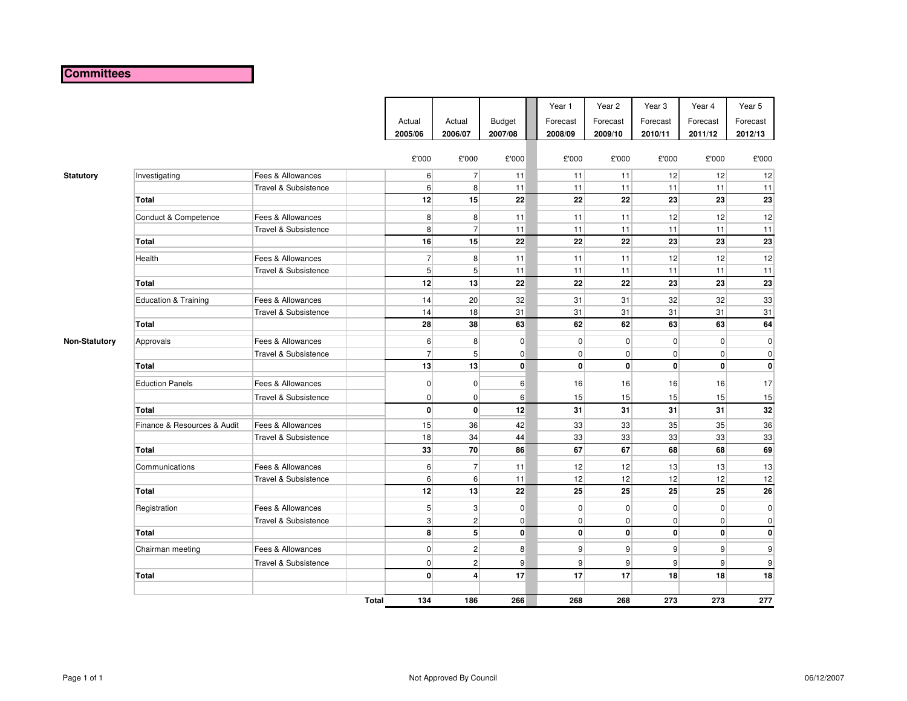### **Committees**

|                      |                             |                                 | Actual<br>2005/06 |                | Actual<br>2006/07 | <b>Budget</b><br>2007/08 | Year 1<br>Forecast<br>2008/09 | Year 2<br>Forecast<br>2009/10 | Year <sub>3</sub><br>Forecast<br>2010/11 | Year 4<br>Forecast<br>2011/12 | Year 5<br>Forecast<br>2012/13 |
|----------------------|-----------------------------|---------------------------------|-------------------|----------------|-------------------|--------------------------|-------------------------------|-------------------------------|------------------------------------------|-------------------------------|-------------------------------|
|                      |                             |                                 |                   | £'000          | £'000             | £'000                    | £'000                         | £'000                         | £'000                                    | £'000                         | £'000                         |
| <b>Statutory</b>     | Investigating               | Fees & Allowances               |                   | $6 \mid$       | $\overline{7}$    | 11                       | 11                            | 11                            | 12                                       | 12                            | 12                            |
|                      |                             | Travel & Subsistence            |                   | 6              | 8 <sup>1</sup>    | 11                       | 11                            | 11                            | 11                                       | 11                            | 11                            |
|                      | <b>Total</b>                |                                 |                   | 12             | 15                | 22                       | 22                            | 22                            | 23                                       | 23                            | 23                            |
|                      | Conduct & Competence        | Fees & Allowances               |                   | 8 <sup>1</sup> | 8 <sup>1</sup>    | 11                       | 11                            | 11                            | 12                                       | 12                            | 12                            |
|                      |                             | Travel & Subsistence            |                   | 8 <sup>1</sup> | $\overline{7}$    | 11                       | 11                            | 11                            | 11                                       | 11                            | 11                            |
|                      | <b>Total</b>                |                                 |                   | 16             | 15                | 22                       | 22                            | 22                            | 23                                       | 23                            | 23                            |
|                      | Health                      | Fees & Allowances               |                   | $\overline{7}$ | 8 <sup>1</sup>    | 11                       | 11                            | 11                            | 12                                       | 12                            | 12                            |
|                      |                             | Travel & Subsistence            |                   | 5 <sup>5</sup> | 5 <sup>1</sup>    | 11                       | 11                            | 11                            | 11                                       | 11                            | 11                            |
|                      | <b>Total</b>                |                                 |                   | 12             | 13                | 22                       | 22                            | 22                            | 23                                       | 23                            | 23                            |
|                      | Education & Training        | Fees & Allowances               |                   | 14             | 20                | 32                       | 31                            | 31                            | 32                                       | 32                            | 33                            |
|                      |                             | Travel & Subsistence            |                   | 14             | 18                | 31                       | 31                            | 31                            | 31                                       | 31                            | 31                            |
|                      | <b>Total</b>                |                                 |                   | 28             | 38                | 63                       | 62                            | 62                            | 63                                       | 63                            | 64                            |
| <b>Non-Statutory</b> | Approvals                   | Fees & Allowances               |                   | $6 \mid$       | 8                 | $\overline{0}$           | $\overline{0}$                | $\overline{0}$                | $\overline{0}$                           | $\overline{0}$                | $\pmb{0}$                     |
|                      |                             | <b>Travel &amp; Subsistence</b> |                   | $\overline{7}$ | 5 <sup>1</sup>    | $\overline{0}$           | $\overline{0}$                | $\overline{0}$                | $\overline{0}$                           | $\overline{0}$                | $\mathbf 0$                   |
|                      | <b>Total</b>                |                                 |                   | 13             | 13                | $\mathbf{0}$             | $\mathbf{0}$                  | $\mathbf{0}$                  | $\mathbf{0}$                             | $\mathbf{0}$                  | $\pmb{0}$                     |
|                      | <b>Eduction Panels</b>      | Fees & Allowances               |                   | $\overline{0}$ | $\overline{0}$    | $6 \overline{6}$         | 16                            | 16                            | 16                                       | 16                            | 17                            |
|                      |                             | Travel & Subsistence            |                   | $\overline{0}$ | $\overline{0}$    | 6                        | 15                            | 15                            | 15                                       | 15                            | 15                            |
|                      | <b>Total</b>                |                                 |                   | $\mathbf{0}$   | $\mathbf{0}$      | 12                       | 31                            | 31                            | 31                                       | 31                            | 32                            |
|                      | Finance & Resources & Audit | Fees & Allowances               |                   | 15             | 36                | 42                       | 33                            | 33                            | 35                                       | 35                            | 36                            |
|                      |                             | <b>Travel &amp; Subsistence</b> |                   | 18             | 34                | 44                       | 33                            | 33                            | 33                                       | 33                            | 33                            |
|                      | <b>Total</b>                |                                 |                   | 33             | 70                | 86                       | 67                            | 67                            | 68                                       | 68                            | 69                            |
|                      | Communications              | Fees & Allowances               |                   | 6              | $\overline{7}$    | 11                       | 12                            | 12                            | 13                                       | 13                            | 13                            |
|                      |                             | Travel & Subsistence            |                   | $6 \mid$       | 6 <sup>1</sup>    | 11                       | 12                            | 12                            | 12                                       | 12                            | 12                            |
|                      | Total                       |                                 |                   | 12             | 13                | 22                       | 25                            | 25                            | 25                                       | 25                            | 26                            |
|                      | Registration                | Fees & Allowances               |                   | 5 <sup>5</sup> | 3 <sup>2</sup>    | $\overline{0}$           | $\overline{0}$                | $\mathbf{0}$                  | $\overline{0}$                           | $\overline{0}$                | $\mathbf 0$                   |
|                      |                             | <b>Travel &amp; Subsistence</b> |                   | 3 <sup>1</sup> | 2 <sup>2</sup>    | $\overline{0}$           | $\overline{0}$                | $\overline{0}$                | $\overline{0}$                           | $\overline{0}$                | 0                             |
|                      | <b>Total</b>                |                                 |                   | $\mathbf{8}$   | 5 <sup>1</sup>    | $\mathbf{0}$             | $\mathbf{0}$                  | $\mathbf{0}$                  | $\mathbf{0}$                             | $\mathbf{0}$                  | $\mathbf 0$                   |
|                      | Chairman meeting            | Fees & Allowances               |                   | $\overline{0}$ | 2                 | 8                        | 9                             | $\overline{9}$                | 9                                        | $\overline{9}$                | 9                             |
|                      |                             | Travel & Subsistence            |                   | $\overline{0}$ | 2 <sup>2</sup>    | 9                        | $\vert 9 \vert$               | 9                             | $\overline{9}$                           | $\overline{9}$                | 9                             |
|                      | Total                       |                                 |                   | $\mathbf{0}$   | $\overline{4}$    | 17                       | 17                            | 17                            | 18                                       | 18                            | 18                            |
|                      |                             |                                 | Total             | 134            | 186               | 266                      | 268                           | 268                           | 273                                      | 273                           | 277                           |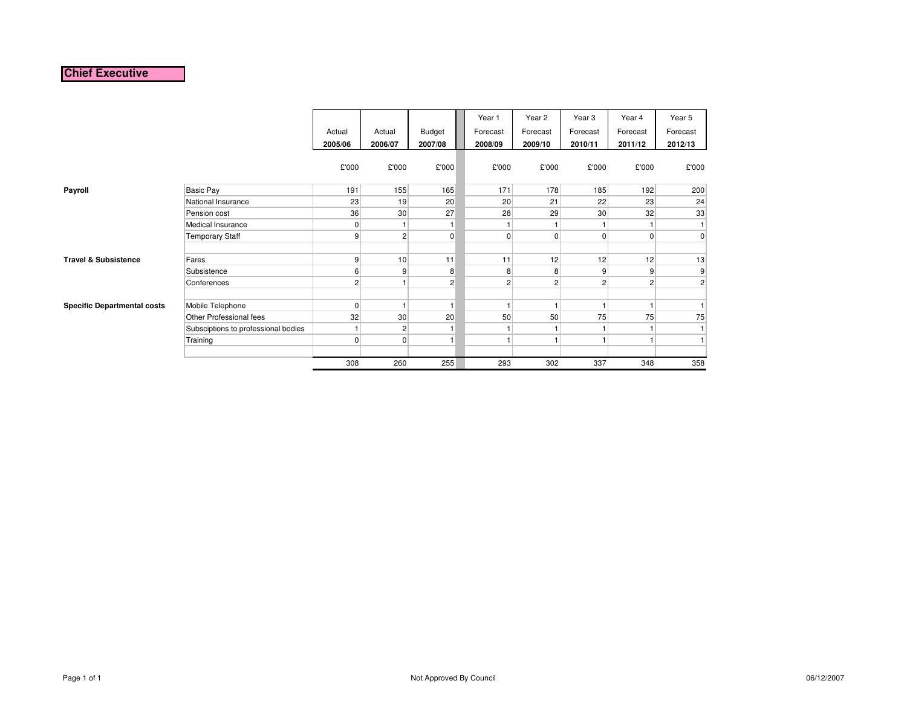### **Chief Executive**

|                                    |                                     | Actual<br>2005/06 | Actual<br>2006/07 | Budget<br>2007/08 | Year 1<br>Forecast<br>2008/09 | Year 2<br>Forecast<br>2009/10 | Year <sub>3</sub><br>Forecast<br>2010/11 | Year 4<br>Forecast<br>2011/12 | Year 5<br>Forecast<br>2012/13 |
|------------------------------------|-------------------------------------|-------------------|-------------------|-------------------|-------------------------------|-------------------------------|------------------------------------------|-------------------------------|-------------------------------|
|                                    |                                     | £'000             | £'000             | £'000             | £'000                         | £'000                         | £'000                                    | £'000                         | £'000                         |
| Payroll                            | <b>Basic Pay</b>                    | 191               | 155               | 165               | 171                           | 178                           | 185                                      | 192                           | 200                           |
|                                    | National Insurance                  | 23                | 19                | 20                | 20                            | 21                            | 22                                       | 23                            | 24                            |
|                                    | Pension cost                        | 36                | 30                | 27                | 28                            | 29                            | 30                                       | 32                            | 33                            |
|                                    | Medical Insurance                   | $\mathbf{0}$      |                   | 1                 |                               |                               |                                          |                               |                               |
|                                    | <b>Temporary Staff</b>              | 9 <sup>°</sup>    | 2                 | 0                 | 0                             | $\overline{0}$                | $\mathbf 0$                              | $\mathbf 0$                   | $\overline{0}$                |
| <b>Travel &amp; Subsistence</b>    | Fares                               | 9                 | 10                | 11                | 11                            | 12                            | 12                                       | 12                            | 13                            |
|                                    | Subsistence                         | 6                 | 9                 | 8                 | 8                             | 8                             | 9                                        | 9                             | 9                             |
|                                    | Conferences                         | $\overline{2}$    | 1                 | $\overline{c}$    | $\overline{2}$                | $\overline{2}$                | $\overline{2}$                           | $\overline{2}$                | $\mathbf{2}$                  |
| <b>Specific Departmental costs</b> | Mobile Telephone                    | $\overline{0}$    | $\overline{1}$    | $\overline{1}$    | 1                             | н                             | 1                                        | 1                             |                               |
|                                    | Other Professional fees             | 32                | 30                | 20                | 50                            | 50                            | 75                                       | 75                            | 75                            |
|                                    | Subsciptions to professional bodies |                   | 2                 | 1                 |                               |                               | 1                                        |                               |                               |
|                                    | Training                            | $\mathbf{0}$      | 0                 | $\overline{1}$    | н                             |                               | 1                                        | 1                             |                               |
|                                    |                                     | 308               | 260               | 255               | 293                           | 302                           | 337                                      | 348                           | 358                           |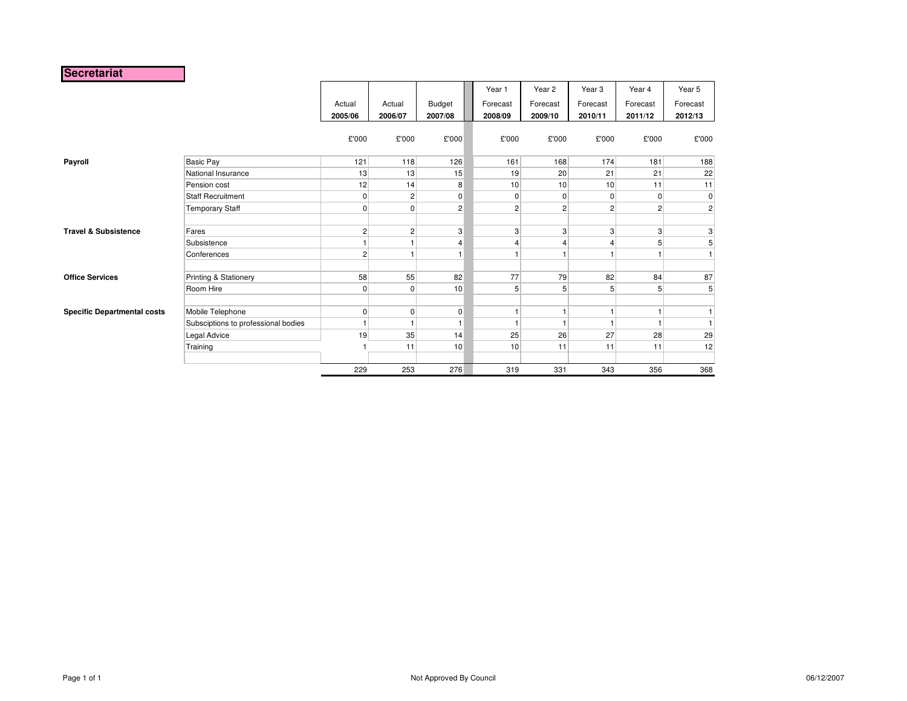### **Secretariat**

|                                    |                                     |                   |                   |                   | Year 1              | Year <sub>2</sub>   | Year <sub>3</sub>   | Year 4              | Year 5              |
|------------------------------------|-------------------------------------|-------------------|-------------------|-------------------|---------------------|---------------------|---------------------|---------------------|---------------------|
|                                    |                                     | Actual<br>2005/06 | Actual<br>2006/07 | Budget<br>2007/08 | Forecast<br>2008/09 | Forecast<br>2009/10 | Forecast<br>2010/11 | Forecast<br>2011/12 | Forecast<br>2012/13 |
|                                    |                                     | £'000             | £'000             | £'000             | £'000               | £'000               | £'000               | £'000               | £'000               |
| Payroll                            | Basic Pay                           | 121               | 118               | 126               | 161                 | 168                 | 174                 | 181                 | 188                 |
|                                    | National Insurance                  | 13                | 13                | 15                | 19                  | 20                  | 21                  | 21                  | 22                  |
|                                    | Pension cost                        | 12                | 14                | 8                 | 10                  | 10 <sup>1</sup>     | 10                  | 11                  | 11                  |
|                                    | <b>Staff Recruitment</b>            | $\mathbf 0$       | $\overline{2}$    | $\mathbf 0$       | $\overline{0}$      | 0                   | $\Omega$            | $\overline{0}$      | $\overline{0}$      |
|                                    | <b>Temporary Staff</b>              | $\mathbf 0$       | $\overline{0}$    | $\overline{2}$    | $\overline{2}$      | $\overline{c}$      | $\overline{2}$      | 2                   | $\overline{2}$      |
|                                    |                                     |                   |                   |                   |                     |                     |                     |                     |                     |
| <b>Travel &amp; Subsistence</b>    | Fares                               | $\overline{c}$    | $\overline{2}$    | $\mathbf{3}$      | 3 <sup>1</sup>      | 3                   | 3                   | 3 <sup>2</sup>      | $\mathbf{3}$        |
|                                    | Subsistence                         | $\mathbf{1}$      | 1 <sup>1</sup>    | $\overline{4}$    |                     | 4                   | 4                   | 5 <sub>l</sub>      | 5 <sub>l</sub>      |
|                                    | Conferences                         | $\overline{c}$    | 1                 |                   |                     |                     |                     |                     |                     |
| <b>Office Services</b>             | Printing & Stationery               | 58                | 55                | 82                | 77                  | 79                  | 82                  | 84                  | 87                  |
|                                    | Room Hire                           | $\mathbf 0$       | $\overline{0}$    | 10                | 5 <sup>5</sup>      | 5                   | 5                   | 5 <sup>5</sup>      | 5 <sub>l</sub>      |
| <b>Specific Departmental costs</b> | Mobile Telephone                    | $\mathbf 0$       | $\overline{0}$    | $\overline{0}$    |                     |                     |                     |                     |                     |
|                                    | Subsciptions to professional bodies | $\mathbf{1}$      | $\overline{1}$    |                   |                     |                     |                     | $\mathbf{1}$        |                     |
|                                    | Legal Advice                        | 19                | 35                | 14                | 25                  | 26                  | 27                  | 28                  | 29                  |
|                                    | Training                            |                   | 11                | 10                | 10                  | 11                  | 11                  | 11                  | 12                  |
|                                    |                                     |                   |                   |                   |                     |                     |                     |                     |                     |
|                                    |                                     | 229               | 253               | 276               | 319                 | 331                 | 343                 | 356                 | 368                 |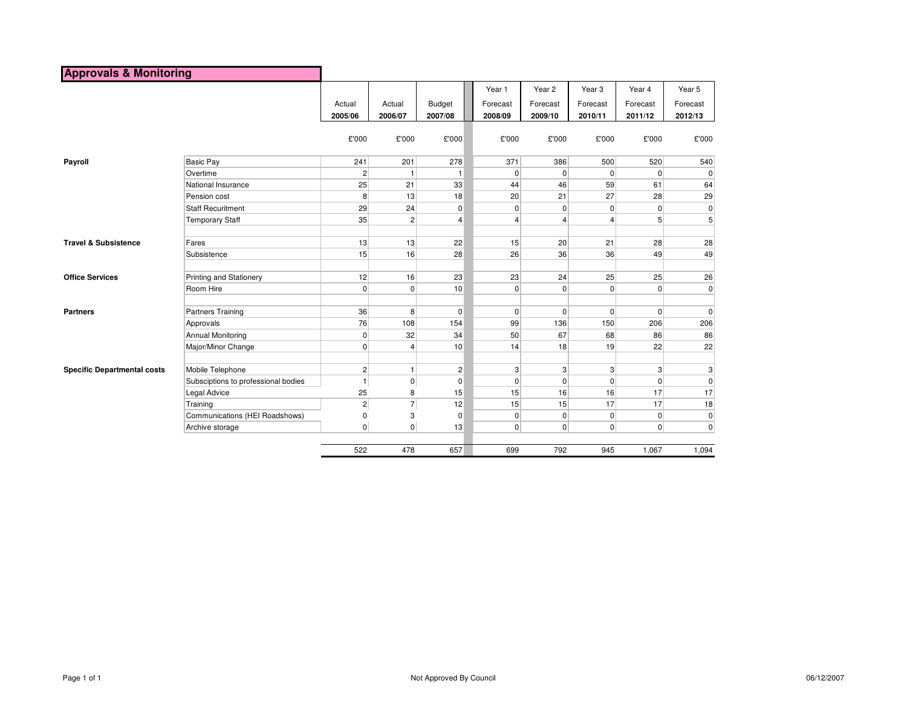| <b>Approvals &amp; Monitoring</b>  |                                     |                   |                   |                          |                     |                     |                     |                     |                     |
|------------------------------------|-------------------------------------|-------------------|-------------------|--------------------------|---------------------|---------------------|---------------------|---------------------|---------------------|
|                                    |                                     |                   |                   |                          | Year 1              | Year 2              | Year <sub>3</sub>   | Year 4              | Year 5              |
|                                    |                                     | Actual<br>2005/06 | Actual<br>2006/07 | <b>Budget</b><br>2007/08 | Forecast<br>2008/09 | Forecast<br>2009/10 | Forecast<br>2010/11 | Forecast<br>2011/12 | Forecast<br>2012/13 |
|                                    |                                     | £'000             | £'000             | £'000                    | £'000               | £'000               | £'000               | £'000               | £'000               |
| Payroll                            | <b>Basic Pay</b>                    | 241               | 201               | 278                      | 371                 | 386                 | 500                 | 520                 | 540                 |
|                                    | Overtime                            | $\overline{c}$    | -1                | $\mathbf{1}$             | 0                   | $\overline{0}$      | $\overline{0}$      | $\overline{0}$      | 0                   |
|                                    | National Insurance                  | 25                | 21                | 33                       | 44                  | 46                  | 59                  | 61                  | 64                  |
|                                    | Pension cost                        | 8                 | 13                | 18                       | 20                  | 21                  | 27                  | 28                  | 29                  |
|                                    | <b>Staff Recuritment</b>            | 29                | 24                | $\mathbf 0$              | 0                   | $\mathbf 0$         | $\overline{0}$      | $\overline{0}$      | $\mathbf 0$         |
|                                    | <b>Temporary Staff</b>              | 35                | $\mathbf{2}$      | $\overline{4}$           | $\overline{4}$      | $\overline{4}$      | 4                   | 5 <sup>5</sup>      | 5                   |
| <b>Travel &amp; Subsistence</b>    | Fares                               | 13                | 13                | 22                       | 15                  | 20                  | 21                  | 28                  | 28                  |
|                                    | Subsistence                         | 15                | 16                | 28                       | 26                  | 36                  | 36                  | 49                  | 49                  |
| <b>Office Services</b>             | Printing and Stationery             | 12                | 16                | 23                       | 23                  | 24                  | 25                  | 25                  | 26                  |
|                                    | Room Hire                           | 0                 | $\overline{0}$    | 10                       | $\overline{0}$      | $\overline{0}$      | $\overline{0}$      | $\overline{0}$      | $\pmb{0}$           |
| <b>Partners</b>                    | Partners Training                   | 36                | 8                 | $\mathbf 0$              | $\mathbf 0$         | $\overline{0}$      | $\overline{0}$      | $\overline{0}$      | $\mathbf 0$         |
|                                    | Approvals                           | 76                | 108               | 154                      | 99                  | 136                 | 150                 | 206                 | 206                 |
|                                    | <b>Annual Monitoring</b>            | $\overline{0}$    | 32                | 34                       | 50                  | 67                  | 68                  | 86                  | 86                  |
|                                    | Major/Minor Change                  | $\overline{0}$    | $\overline{4}$    | 10                       | 14                  | 18                  | 19                  | 22                  | 22                  |
| <b>Specific Departmental costs</b> | Mobile Telephone                    | $\overline{2}$    | $\mathbf{1}$      | $\overline{c}$           | 3                   | 3                   | 3                   | 3 <sup>1</sup>      | 3                   |
|                                    | Subsciptions to professional bodies | $\overline{1}$    | $\pmb{0}$         | $\mathbf 0$              | $\mathbf 0$         | $\overline{0}$      | $\overline{0}$      | $\overline{0}$      | $\mathbf 0$         |
|                                    | <b>Legal Advice</b>                 | 25                | 8                 | 15                       | 15                  | 16                  | 16                  | 17                  | 17                  |
|                                    | Training                            | $\overline{c}$    | $\overline{7}$    | 12                       | 15                  | 15                  | 17                  | 17                  | 18                  |
|                                    | Communications (HEI Roadshows)      | 0                 | 3                 | $\mathbf 0$              | 0                   | $\overline{0}$      | $\overline{0}$      | $\overline{0}$      | $\pmb{0}$           |
|                                    | Archive storage                     | $\overline{0}$    | $\overline{0}$    | 13                       | $\overline{0}$      | $\overline{0}$      | $\overline{0}$      | $\overline{0}$      | $\mathbf 0$         |
|                                    |                                     | 522               | 478               | 657                      | 699                 | 792                 | 945                 | 1,067               | 1,094               |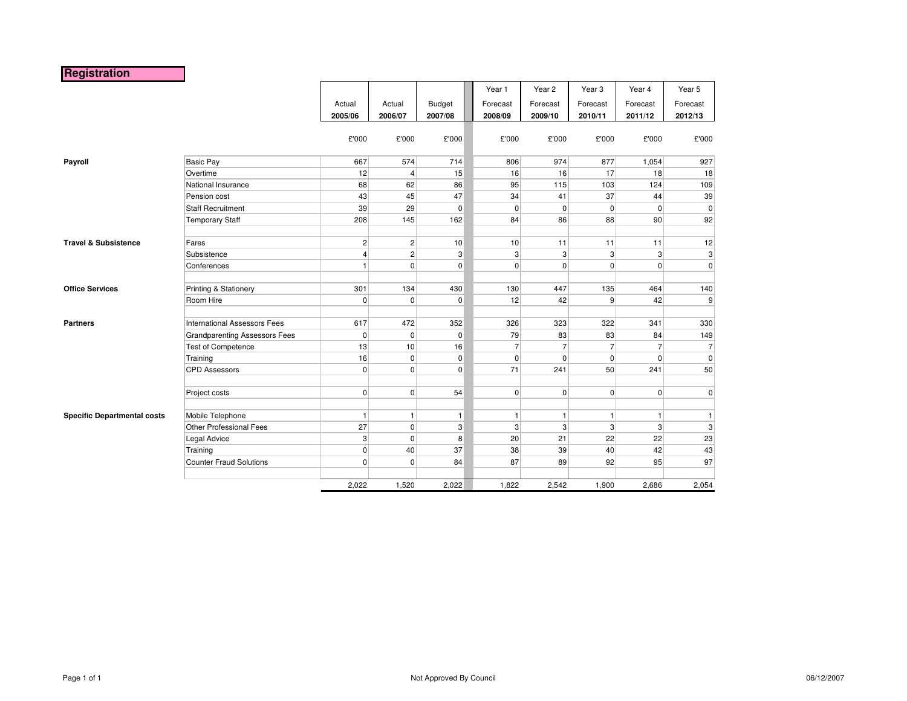## **Registration**

|                                    |                                      |                |                      |               | Year 1         | Year 2         | Year <sub>3</sub> | Year 4         | Year 5                    |
|------------------------------------|--------------------------------------|----------------|----------------------|---------------|----------------|----------------|-------------------|----------------|---------------------------|
|                                    |                                      | Actual         | Actual               | <b>Budget</b> | Forecast       | Forecast       | Forecast          | Forecast       | Forecast                  |
|                                    |                                      | 2005/06        | 2006/07              | 2007/08       | 2008/09        | 2009/10        | 2010/11           | 2011/12        | 2012/13                   |
|                                    |                                      |                |                      |               |                |                |                   |                |                           |
|                                    |                                      | £'000          | £'000                | £'000         | £'000          | £'000          | £'000             | £'000          | £'000                     |
|                                    |                                      |                |                      |               |                |                |                   |                |                           |
| Payroll                            | <b>Basic Pay</b>                     | 667            | 574                  | 714           | 806            | 974            | 877               | 1,054          | 927                       |
|                                    | Overtime                             | 12             | $\overline{4}$       | 15            | 16             | 16             | 17                | 18             | 18                        |
|                                    | National Insurance                   | 68             | 62                   | 86            | 95             | 115            | 103               | 124            | 109                       |
|                                    | Pension cost                         | 43             | 45                   | 47            | 34             | 41             | 37                | 44             | 39                        |
|                                    | <b>Staff Recruitment</b>             | 39             | 29                   | $\mathbf 0$   | 0              | $\overline{0}$ | $\overline{0}$    | $\overline{0}$ | $\mathbf{0}$              |
|                                    | <b>Temporary Staff</b>               | 208            | 145                  | 162           | 84             | 86             | 88                | 90             | 92                        |
| <b>Travel &amp; Subsistence</b>    | Fares                                | $\overline{2}$ | $\mathbf{2}$         | 10            | 10             | 11             | 11                | 11             | 12                        |
|                                    | Subsistence                          | 4              | $\overline{2}$       | 3             | $\overline{3}$ | 3 <sup>1</sup> | $\mathbf{3}$      | $\mathbf{3}$   | $\ensuremath{\mathsf{3}}$ |
|                                    | Conferences                          | $\mathbf{1}$   | $\overline{0}$       | 0             | $\overline{0}$ | $\overline{0}$ | $\mathbf 0$       | $\overline{0}$ | $\mathbf{0}$              |
|                                    |                                      |                |                      |               |                |                |                   |                |                           |
| <b>Office Services</b>             | Printing & Stationery                | 301            | 134                  | 430           | 130            | 447            | 135               | 464            | 140                       |
|                                    | Room Hire                            | $\mathbf 0$    | $\mathbf 0$          | $\mathbf 0$   | 12             | 42             | 9                 | 42             | $\overline{9}$            |
| <b>Partners</b>                    | International Assessors Fees         | 617            | 472                  | 352           | 326            | 323            | 322               | 341            | 330                       |
|                                    | <b>Grandparenting Assessors Fees</b> | $\mathbf 0$    | $\mathbf 0$          | $\mathbf 0$   | 79             | 83             | 83                | 84             | 149                       |
|                                    | <b>Test of Competence</b>            | 13             | 10                   | 16            | $\overline{7}$ | $\overline{7}$ | $\overline{7}$    | $\overline{7}$ | $\overline{7}$            |
|                                    | Training                             | 16             | $\overline{0}$       | $\pmb{0}$     | 0              | $\overline{0}$ | $\mathbf 0$       | $\overline{0}$ | $\mathbf{0}$              |
|                                    | <b>CPD Assessors</b>                 | $\overline{0}$ | $\overline{0}$       | 0             | 71             | 241            | 50                | 241            | 50                        |
|                                    | Project costs                        | $\overline{0}$ | $\overline{0}$       | 54            | $\overline{0}$ | $\overline{0}$ | $\Omega$          | $\overline{0}$ | $\overline{0}$            |
| <b>Specific Departmental costs</b> | Mobile Telephone                     | $\mathbf{1}$   | 1                    | $\mathbf{1}$  | $\mathbf{1}$   | $\mathbf{1}$   | 1                 | $\mathbf{1}$   | $\mathbf{1}$              |
|                                    | <b>Other Professional Fees</b>       | 27             | $\overline{0}$       |               | 3              | 3 <sup>1</sup> |                   | 3              | $\mathbf{3}$              |
|                                    |                                      |                |                      | 3             |                | 21             | 3<br>22           |                |                           |
|                                    | Legal Advice                         | 3              | $\overline{0}$<br>40 | 8<br>37       | 20             | 39             |                   | 22<br>42       | 23                        |
|                                    | Training<br>Counter Fraud Solutions  | $\overline{0}$ |                      |               | 38             |                | 40                |                | 43<br>97                  |
|                                    |                                      | $\mathbf 0$    | $\overline{0}$       | 84            | 87             | 89             | 92                | 95             |                           |
|                                    |                                      | 2,022          | 1,520                | 2,022         | 1,822          | 2,542          | 1,900             | 2,686          | 2,054                     |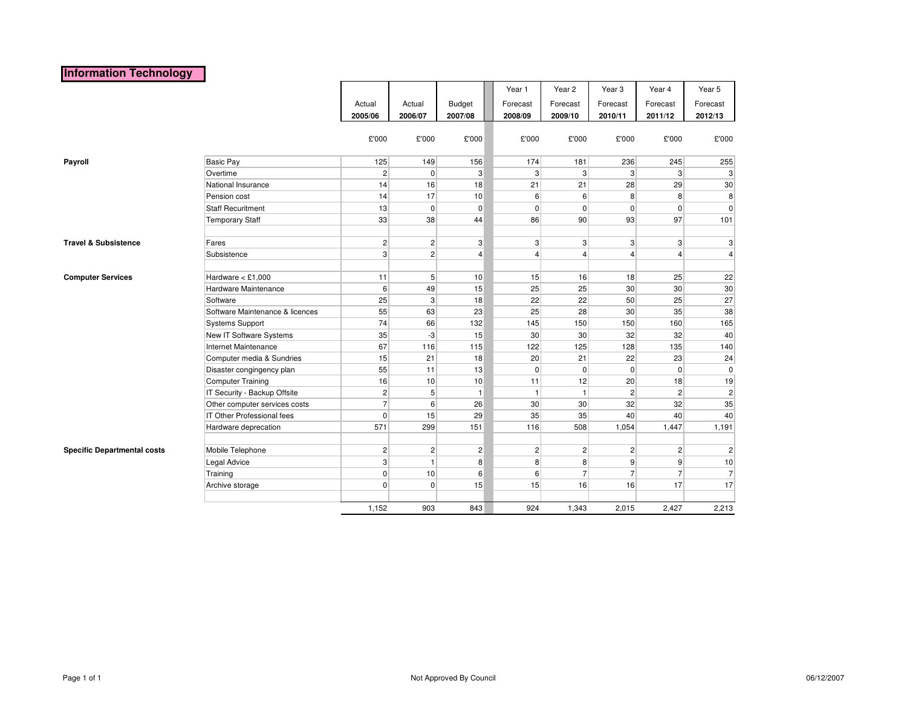### **Information Technology**

|                                    |                                   |                |                |                | Year 1                           | Year 2          | Year <sub>3</sub> | Year 4         | Year 5          |
|------------------------------------|-----------------------------------|----------------|----------------|----------------|----------------------------------|-----------------|-------------------|----------------|-----------------|
|                                    |                                   | Actual         | Actual         | Budget         | Forecast                         | Forecast        | Forecast          | Forecast       | Forecast        |
|                                    |                                   | 2005/06        | 2006/07        | 2007/08        | 2008/09                          | 2009/10         | 2010/11           | 2011/12        | 2012/13         |
|                                    |                                   |                |                |                |                                  |                 |                   |                |                 |
|                                    |                                   | £'000          | £'000          | £'000          | £'000                            | £'000           | £'000             | £'000          | £'000           |
| Payroll                            | <b>Basic Pay</b>                  | 125            | 149            | 156            | 174                              | 181             | 236               | 245            | 255             |
|                                    | Overtime                          | $\mathbf{2}$   | $\overline{0}$ | $\mathbf{3}$   | 3 <sup>1</sup>                   | 3 <sup>1</sup>  | 3 <sup>1</sup>    | $\mathbf{3}$   | 3               |
|                                    | National Insurance                | 14             | 16             | 18             | 21                               | 21              | 28                | 29             | 30              |
|                                    | Pension cost                      | 14             | 17             | 10             | 6                                | 6               | 8 <sup>1</sup>    | 8 <sup>1</sup> | 8 <sup>1</sup>  |
|                                    | <b>Staff Recuritment</b>          | 13             | $\overline{0}$ | $\pmb{0}$      | $\overline{0}$                   | $\overline{0}$  | $\overline{0}$    | $\overline{0}$ | $\mathbf 0$     |
|                                    | Temporary Staff                   | 33             | 38             | 44             | 86                               | 90              | 93                | 97             | 101             |
| <b>Travel &amp; Subsistence</b>    | Fares                             | $\mathbf{2}$   | $\mathbf{2}$   | $\mathbf{3}$   |                                  | 3               | 3 <sup>1</sup>    | 3              | 3               |
|                                    | Subsistence                       | 3              | 2              | $\overline{4}$ | 3 <sup>1</sup><br>$\overline{4}$ | $\overline{4}$  | $\vert$           | $\overline{4}$ | $\vert$         |
|                                    |                                   |                |                |                |                                  |                 |                   |                |                 |
| <b>Computer Services</b>           | Hardware $<$ £1,000               | 11             | 5 <sup>5</sup> | 10             | 15                               | 16              | 18                | 25             | 22              |
|                                    | Hardware Maintenance              | 6              | 49             | 15             | 25                               | 25              | 30 <sup>°</sup>   | 30             | 30 <sup>°</sup> |
|                                    | Software                          | 25             | 3 <sup>1</sup> | 18             | 22                               | 22              | 50                | 25             | 27              |
|                                    | Software Maintenance & licences   | 55             | 63             | 23             | 25                               | 28              | 30 <sup>°</sup>   | 35             | 38              |
|                                    | Systems Support                   | 74             | 66             | 132            | 145                              | 150             | 150               | 160            | 165             |
|                                    | New IT Software Systems           | 35             | $-3$           | 15             | 30                               | 30 <sup>°</sup> | 32                | 32             | 40              |
|                                    | Internet Maintenance              | 67             | 116            | 115            | 122                              | 125             | 128               | 135            | 140             |
|                                    | Computer media & Sundries         | 15             | 21             | 18             | 20                               | 21              | 22                | 23             | 24              |
|                                    | Disaster congingency plan         | 55             | 11             | 13             | $\overline{0}$                   | $\overline{0}$  | $\overline{0}$    | $\overline{0}$ | $\mathbf 0$     |
|                                    | Computer Training                 | 16             | 10             | 10             | 11                               | 12              | 20                | 18             | 19              |
|                                    | IT Security - Backup Offsite      | $\mathbf{2}$   | 5 <sup>5</sup> | $\mathbf{1}$   | 1                                | $\mathbf{1}$    | $\mathbf{2}$      | $\overline{2}$ | $\vert$ 2       |
|                                    | Other computer services costs     | $\overline{7}$ | $6 \mid$       | 26             | 30                               | 30 <sup>°</sup> | 32                | 32             | 35              |
|                                    | <b>IT Other Professional fees</b> | $\mathbf 0$    | 15             | 29             | 35                               | 35              | 40                | 40             | 40              |
|                                    | Hardware deprecation              | 571            | 299            | 151            | 116                              | 508             | 1,054             | 1,447          | 1,191           |
| <b>Specific Departmental costs</b> | Mobile Telephone                  | $\mathbf{2}$   | $\mathbf{2}$   | $\overline{c}$ | $\mathbf{2}$                     | $\overline{2}$  | $\mathbf{2}$      | $\mathbf{2}$   | 2               |
|                                    | Legal Advice                      | 3              | $\mathbf{1}$   | 8              | 8 <sup>1</sup>                   | 8               | 9                 | 9              | 10              |
|                                    | Training                          | $\mathbf 0$    | 10             | 6              | 6                                | $\overline{7}$  | $\overline{7}$    | $\overline{7}$ | 7               |
|                                    | Archive storage                   | $\mathbf 0$    | $\overline{0}$ | 15             | 15                               | 16              | 16                | 17             | 17              |
|                                    |                                   |                |                |                |                                  |                 |                   |                |                 |
|                                    |                                   | 1,152          | 903            | 843            | 924                              | 1,343           | 2,015             | 2,427          | 2,213           |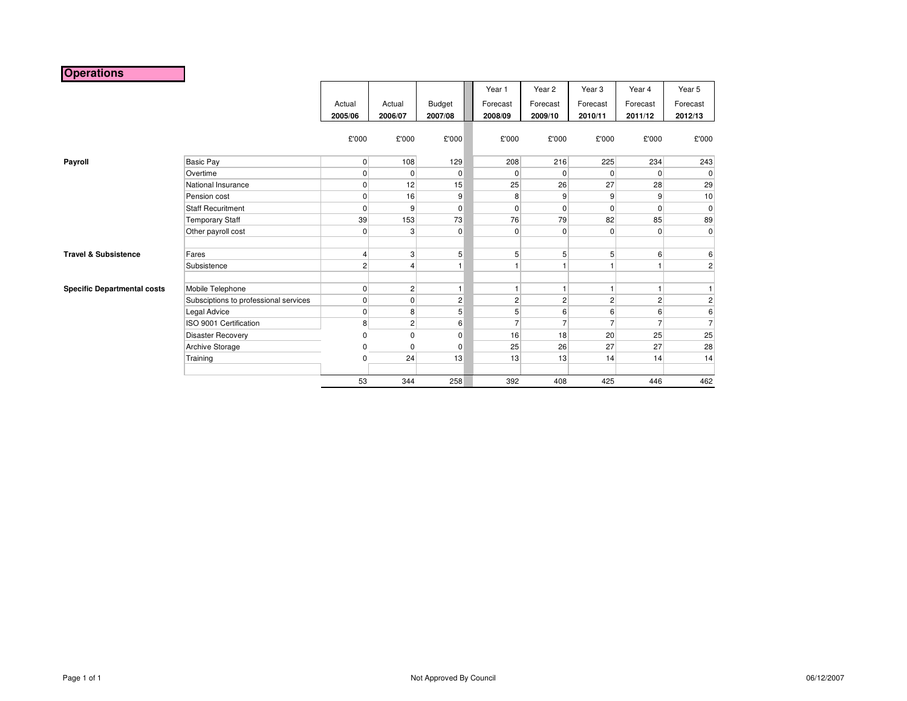## **Operations**

|                                    |                                       |                |                |                | Year 1   | Year 2              | Year <sub>3</sub> | Year 4         | Year 5         |
|------------------------------------|---------------------------------------|----------------|----------------|----------------|----------|---------------------|-------------------|----------------|----------------|
|                                    |                                       | Actual         | Actual         | Budget         | Forecast | Forecast            | Forecast          | Forecast       | Forecast       |
|                                    |                                       | 2005/06        | 2006/07        | 2007/08        | 2008/09  | 2009/10             | 2010/11           | 2011/12        | 2012/13        |
|                                    |                                       | £'000          | £'000          | £'000          | £'000    | £'000               | £'000             | £'000          | £'000          |
| Payroll                            | <b>Basic Pay</b>                      | $\overline{0}$ | 108            | 129            | 208      | 216                 | 225               | 234            | 243            |
|                                    | Overtime                              | 0              | $\overline{0}$ | $\mathbf 0$    |          | 0<br>0              | 0                 | 0              | $\overline{0}$ |
|                                    | National Insurance                    | $\mathbf 0$    | 12             | 15             |          | 26<br>25            | 27                | 28             | 29             |
|                                    | Pension cost                          | $\mathbf 0$    | 16             | 9              |          | 9<br>8              | 9                 | 9              | 10             |
|                                    | <b>Staff Recuritment</b>              | $\mathbf 0$    | $\overline{9}$ | $\mathbf 0$    |          | 0<br>$\overline{0}$ | $\mathbf 0$       | 0              | $\overline{0}$ |
|                                    | <b>Temporary Staff</b>                | 39             | 153            | 73             |          | 76<br>79            | 82                | 85             | 89             |
|                                    | Other payroll cost                    | $\mathbf 0$    | 3              | $\mathbf 0$    |          | $\overline{0}$<br>0 | $\mathbf 0$       | $\overline{0}$ | $\overline{0}$ |
| <b>Travel &amp; Subsistence</b>    | Fares                                 | 4              | 3              | 5              |          | 5<br>5              | 5                 | 6              | 6 <sup>1</sup> |
|                                    | Subsistence                           | $\overline{c}$ | $\overline{4}$ |                |          |                     |                   | $\mathbf{1}$   | $\overline{2}$ |
| <b>Specific Departmental costs</b> | Mobile Telephone                      | $\mathbf 0$    | $\overline{2}$ | $\overline{1}$ |          | 1.                  |                   | 1              |                |
|                                    | Subsciptions to professional services | $\mathbf 0$    | $\overline{0}$ | $\overline{c}$ |          | $\overline{c}$<br>2 | $\overline{c}$    | $\overline{c}$ | $\mathbf{2}$   |
|                                    | Legal Advice                          | $\mathbf 0$    | 8              | 5              |          | 5<br>6              | 6                 | 6              | 6              |
|                                    | ISO 9001 Certification                | 8              | 2 <sup>2</sup> | 6              |          | 7                   | $\overline{7}$    | $\overline{7}$ | $\overline{7}$ |
|                                    | <b>Disaster Recovery</b>              | 0              | 0              | $\mathbf 0$    |          | 18<br>16            | 20                | 25             | 25             |
|                                    | Archive Storage                       | 0              | 0              | 0              |          | 25<br>26            | 27                | 27             | 28             |
|                                    | Training                              | $\mathbf 0$    | 24             | 13             |          | 13<br>13            | 14                | 14             | 14             |
|                                    |                                       |                |                |                |          |                     |                   |                |                |
|                                    |                                       | 53             | 344            | 258            | 392      | 408                 | 425               | 446            | 462            |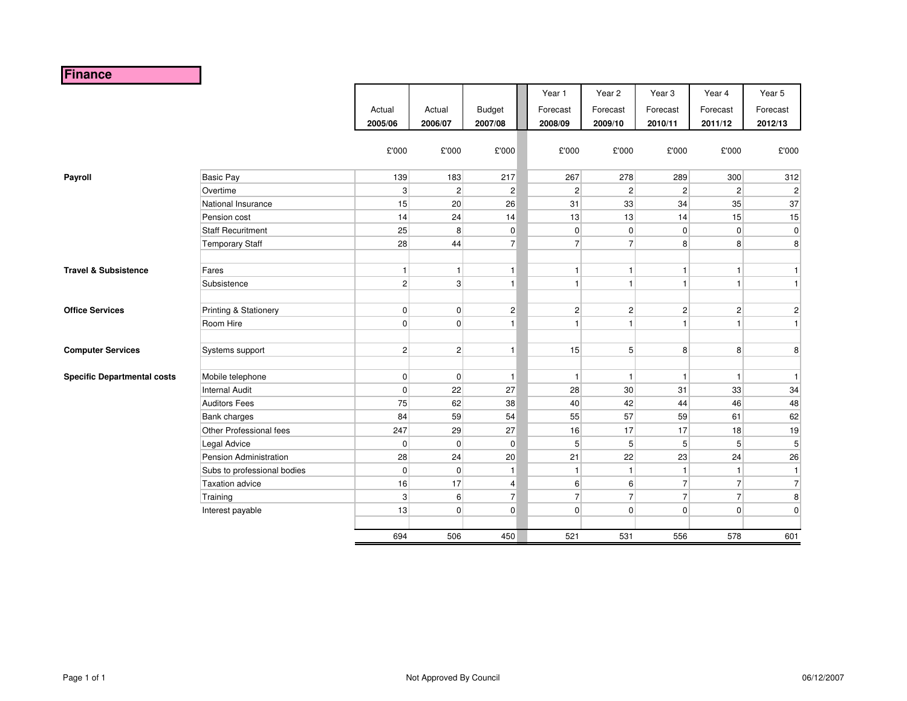# **Finance**

|                                    |                             |                |                |                | Year 1         | Year 2           | Year <sub>3</sub> | Year 4         | Year 5         |
|------------------------------------|-----------------------------|----------------|----------------|----------------|----------------|------------------|-------------------|----------------|----------------|
|                                    |                             | Actual         | Actual         | <b>Budget</b>  | Forecast       | Forecast         | Forecast          | Forecast       | Forecast       |
|                                    |                             | 2005/06        | 2006/07        | 2007/08        | 2008/09        | 2009/10          | 2010/11           | 2011/12        | 2012/13        |
|                                    |                             | £'000          | £'000          | £'000          | £'000          | £'000            | £'000             | £'000          | £'000          |
| Payroll                            | <b>Basic Pay</b>            | 139            | 183            | 217            | 267            | 278              | 289               | 300            | 312            |
|                                    | Overtime                    | 3              | 2 <sup>2</sup> | $\mathbf 2$    | 2              | 2 <sup>2</sup>   | 2 <sup>2</sup>    | $\overline{c}$ | $\vert$ 2      |
|                                    | National Insurance          | 15             | 20             | 26             | 31             | 33               | 34                | 35             | 37             |
|                                    | Pension cost                | 14             | 24             | 14             | 13             | 13               | 14                | 15             | 15             |
|                                    | <b>Staff Recuritment</b>    | 25             | 8              | $\pmb{0}$      | $\overline{0}$ | $\overline{0}$   | $\overline{0}$    | $\overline{0}$ | $\mathbf 0$    |
|                                    | <b>Temporary Staff</b>      | 28             | 44             | 7 <sup>1</sup> | $\overline{7}$ | $\overline{7}$   | 8                 | 8              | 8 <sup>1</sup> |
|                                    |                             |                |                |                |                |                  |                   |                |                |
| <b>Travel &amp; Subsistence</b>    | Fares                       | $\vert$        | $\mathbf{1}$   | $\mathbf{1}$   | $\mathbf{1}$   | $\mathbf{1}$     | $\mathbf{1}$      | $\mathbf{1}$   | $\mathbf{1}$   |
|                                    | Subsistence                 | 2              | 3              | $\mathbf{1}$   | $\mathbf{1}$   | $\mathbf{1}$     | $\mathbf{1}$      | $\mathbf{1}$   | $\mathbf{1}$   |
|                                    |                             |                |                |                |                |                  |                   |                |                |
| <b>Office Services</b>             | Printing & Stationery       | 0              | 0              | $\mathbf 2$    | $\overline{2}$ | $\overline{2}$   | 2                 | $\sqrt{2}$     | $\mathbf{2}$   |
|                                    | Room Hire                   | $\overline{0}$ | $\overline{0}$ | $\mathbf{1}$   | 1              | $\mathbf{1}$     | $\mathbf{1}$      | 1              | $\mathbf{1}$   |
|                                    |                             |                |                |                |                |                  |                   |                |                |
| <b>Computer Services</b>           | Systems support             | 2              | 2 <sup>2</sup> | $\mathbf{1}$   | 15             | 5 <sup>1</sup>   | 8 <sup>1</sup>    | 8              | 8 <sup>1</sup> |
| <b>Specific Departmental costs</b> | Mobile telephone            | 0              | $\overline{0}$ | $\mathbf{1}$   | $\mathbf{1}$   | $\mathbf{1}$     | $\mathbf{1}$      | $\mathbf{1}$   | $\mathbf{1}$   |
|                                    | <b>Internal Audit</b>       | $\overline{0}$ | 22             | 27             | 28             | 30               | 31                | 33             | 34             |
|                                    | <b>Auditors Fees</b>        | 75             | 62             | 38             | 40             | 42               | 44                | 46             | 48             |
|                                    | <b>Bank charges</b>         | 84             | 59             | 54             | 55             | 57               | 59                | 61             | 62             |
|                                    | Other Professional fees     | 247            | 29             | 27             | 16             | 17               | 17                | 18             | 19             |
|                                    | <b>Legal Advice</b>         | $\overline{0}$ | $\overline{0}$ | $\pmb{0}$      | 5 <sup>5</sup> | 5 <sup>2</sup>   | 5 <sup>5</sup>    | 5              | 5              |
|                                    | Pension Administration      | 28             | 24             | 20             | 21             | 22               | 23                | 24             | 26             |
|                                    | Subs to professional bodies | $\overline{0}$ | $\overline{0}$ | $\mathbf{1}$   | $\mathbf{1}$   | $\mathbf{1}$     | $\mathbf{1}$      | $\vert$        | $\mathbf{1}$   |
|                                    | <b>Taxation advice</b>      | 16             | 17             | $\overline{4}$ | $6 \mid$       | $6 \overline{6}$ | 7 <sup>1</sup>    | $\overline{7}$ | $\overline{7}$ |
|                                    | Training                    | 3              | $6 \mid$       | $\overline{7}$ | $\overline{7}$ | $\overline{7}$   | $\overline{7}$    | $\overline{7}$ | 8              |
|                                    | Interest payable            | 13             | $\overline{0}$ | $\mathbf 0$    | $\overline{0}$ | $\overline{0}$   | $\overline{0}$    | $\overline{0}$ | $\mathbf 0$    |
|                                    |                             |                |                |                |                |                  |                   |                |                |
|                                    |                             | 694            | 506            | 450            | 521            | 531              | 556               | 578            | 601            |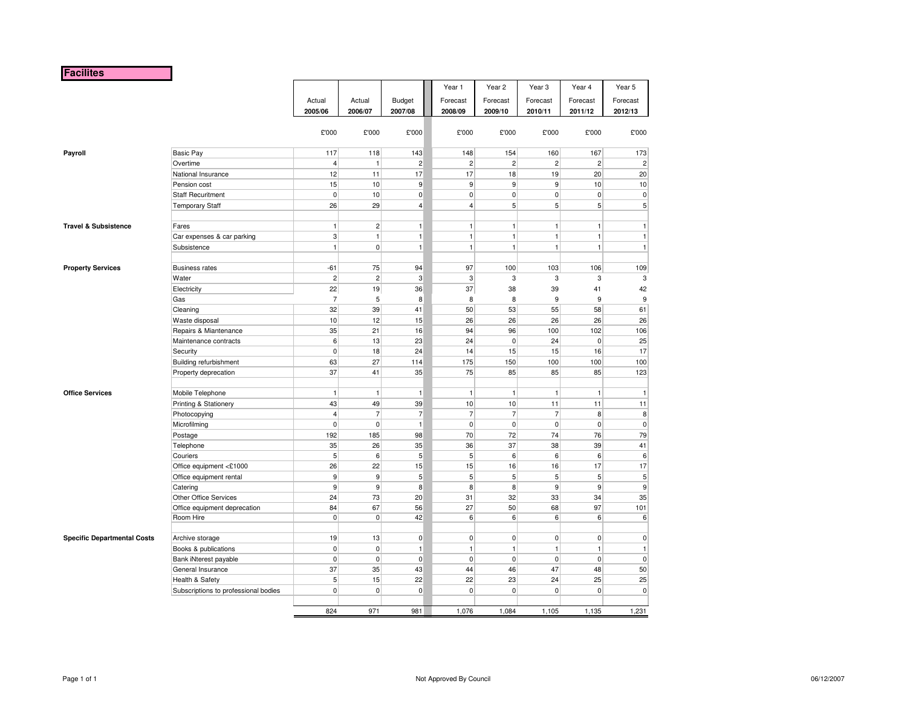### **Facilites**

|                                    |                                      |                |                  |                 | Year 1           | Year <sub>2</sub> | Year <sub>3</sub> | Year 4         | Year 5                  |
|------------------------------------|--------------------------------------|----------------|------------------|-----------------|------------------|-------------------|-------------------|----------------|-------------------------|
|                                    |                                      | Actual         | Actual           | Budget          | Forecast         | Forecast          | Forecast          | Forecast       | Forecast                |
|                                    |                                      | 2005/06        | 2006/07          | 2007/08         | 2008/09          | 2009/10           | 2010/11           | 2011/12        | 2012/13                 |
|                                    |                                      | £'000          | £'000            | £'000           | £'000            | £'000             | £'000             | £'000          | £'000                   |
| Payroll                            | <b>Basic Pay</b>                     | 117            | 118              | 143             | 148              | 154               | 160               | 167            | 173                     |
|                                    | Overtime                             | $\overline{4}$ | 1                | $\overline{2}$  | $\overline{c}$   | $\overline{c}$    | $\overline{2}$    | $\overline{2}$ | $\overline{\mathbf{c}}$ |
|                                    | National Insurance                   | 12             | 11               | 17              | 17               | 18                | 19                | 20             | 20                      |
|                                    | Pension cost                         | 15             | 10               | $\overline{9}$  | $\boldsymbol{9}$ | 9                 | $\mathsf{g}$      | 10             | 10                      |
|                                    | <b>Staff Recuritment</b>             | $\overline{0}$ | 10               | $\overline{0}$  | $\pmb{0}$        | 0                 | $\overline{0}$    | $\pmb{0}$      | $\pmb{0}$               |
|                                    | <b>Temporary Staff</b>               | 26             | 29               | $\overline{4}$  | $\overline{4}$   | 5                 | 5 <sup>1</sup>    | 5 <sup>1</sup> | 5                       |
|                                    |                                      |                |                  |                 |                  |                   |                   |                |                         |
| <b>Travel &amp; Subsistence</b>    | Fares                                | 1              | 2 <sup>2</sup>   | $\mathbf{1}$    | $\mathbf{1}$     | $\mathbf{1}$      | $\mathbf{1}$      | 1              | $\mathbf{1}$            |
|                                    | Car expenses & car parking           | 3 <sup>1</sup> | 1                | $\mathbf{1}$    | $\mathbf{1}$     | $\mathbf{1}$      | $\mathbf{1}$      | 1              | $\mathbf{1}$            |
|                                    | Subsistence                          | 1              | $\overline{0}$   | $\mathbf{1}$    | $\mathbf{1}$     | $\mathbf{1}$      | $\mathbf{1}$      | $\mathbf{1}$   | $\mathbf{1}$            |
| <b>Property Services</b>           | <b>Business rates</b>                | $-61$          | 75               | 94              | 97               | 100               | 103               | 106            | 109                     |
|                                    | Water                                | $\overline{2}$ | $\overline{2}$   | 3               | 3                | 3                 | 3                 | 3              | 3                       |
|                                    | Electricity                          | 22             | 19               | 36              | 37               | 38                | 39                | 41             | 42                      |
|                                    | Gas                                  | $\overline{7}$ | 5                | 8               | 8                | 8                 | 9                 | 9              | 9                       |
|                                    | Cleaning                             | 32             | 39               | 41              | 50               | 53                | 55                | 58             | 61                      |
|                                    | Waste disposal                       | 10             | 12               | 15              | 26               | 26                | 26                | 26             | 26                      |
|                                    | Repairs & Miantenance                | 35             | 21               | 16              | 94               | 96                | 100               | 102            | 106                     |
|                                    | Maintenance contracts                | $6 \mid$       | 13               | 23              | 24               | 0                 | 24                | $\pmb{0}$      | 25                      |
|                                    | Security                             | $\overline{0}$ | 18               | 24              | 14               | 15                | 15                | 16             | 17                      |
|                                    | Building refurbishment               | 63             | 27               | 114             | 175              | 150               | 100               | 100            | 100                     |
|                                    | Property deprecation                 | 37             | 41               | 35              | 75               | 85                | 85                | 85             | 123                     |
|                                    |                                      |                |                  |                 |                  |                   |                   |                |                         |
| <b>Office Services</b>             | Mobile Telephone                     | 1              | 1                | $\mathbf{1}$    | $\mathbf{1}$     | $\mathbf{1}$      | $\mathbf{1}$      | $\mathbf{1}$   | $\mathbf{1}$            |
|                                    | Printing & Stationery                | 43             | 49               | 39              | 10               | 10                | 11                | 11             | 11                      |
|                                    | Photocopying                         | 4 <sup>1</sup> | $\overline{7}$   | $\overline{7}$  | $\overline{7}$   | $\overline{7}$    | $\overline{7}$    | 8              | 8                       |
|                                    | Microfilming                         | $\overline{0}$ | $\mathbf 0$      | $\mathbf{1}$    | $\pmb{0}$        | $\pmb{0}$         | $\overline{0}$    | $\overline{0}$ | $\pmb{0}$               |
|                                    | Postage                              | 192            | 185              | 98              | 70               | 72                | 74                | 76             | 79                      |
|                                    | Telephone                            | 35             | 26               | 35              | 36               | 37                | 38                | 39             | 41                      |
|                                    | Couriers                             | 5 <sup>1</sup> | $6 \overline{6}$ | 5 <sup>1</sup>  | 5 <sup>1</sup>   | 6                 | $6 \overline{6}$  | 6              | 6                       |
|                                    | Office equipment <£1000              | 26             | 22               | 15              | 15               | 16                | 16                | 17             | 17                      |
|                                    | Office equipment rental              | 9 <sup>1</sup> | $\mathsf{g}$     | $5\overline{)}$ | $\sqrt{5}$       | 5                 | $5\overline{)}$   | 5 <sup>5</sup> | 5                       |
|                                    | Catering                             | 9 <sup>1</sup> | $\overline{9}$   | 8               | 8                | 8                 | $\overline{9}$    | 9              | 9                       |
|                                    | Other Office Services                | 24             | 73               | 20              | 31               | 32                | 33                | 34             | 35                      |
|                                    | Office equipment deprecation         | 84             | 67               | 56              | 27               | 50                | 68                | 97             | 101                     |
|                                    | Room Hire                            | $\overline{0}$ | $\mathbf{0}$     | 42              | 6                | 6                 | 6                 | 6              | 6                       |
|                                    |                                      |                |                  |                 |                  |                   |                   |                |                         |
| <b>Specific Departmental Costs</b> | Archive storage                      | 19             | 13               | $\overline{0}$  | $\overline{0}$   | 0                 | $\overline{0}$    | $\overline{0}$ | $\pmb{0}$               |
|                                    | Books & publications                 | $\overline{0}$ | $\pmb{0}$        | $\mathbf{1}$    | $\mathbf{1}$     | $\mathbf{1}$      | $\mathbf{1}$      | $\mathbf{1}$   | $\mathbf{1}$            |
|                                    | Bank iNterest payable                | $\overline{0}$ | $\overline{0}$   | $\mathbf 0$     | $\overline{0}$   | 0                 | $\overline{0}$    | $\mathbf 0$    | 0                       |
|                                    | General Insurance                    | 37             | 35               | 43              | 44               | 46                | 47                | 48             | 50                      |
|                                    | Health & Safety                      | 5 <sup>1</sup> | 15               | 22              | 22               | 23                | 24                | 25             | 25                      |
|                                    | Subscriptions to professional bodies | $\overline{0}$ | $\mathbf{0}$     | $\mathbf 0$     | $\pmb{0}$        | $\mathbf 0$       | $\overline{0}$    | $\pmb{0}$      | $\pmb{0}$               |
|                                    |                                      | 824            | 971              | 981             | 1.076            | 1.084             | 1.105             | 1,135          | 1.231                   |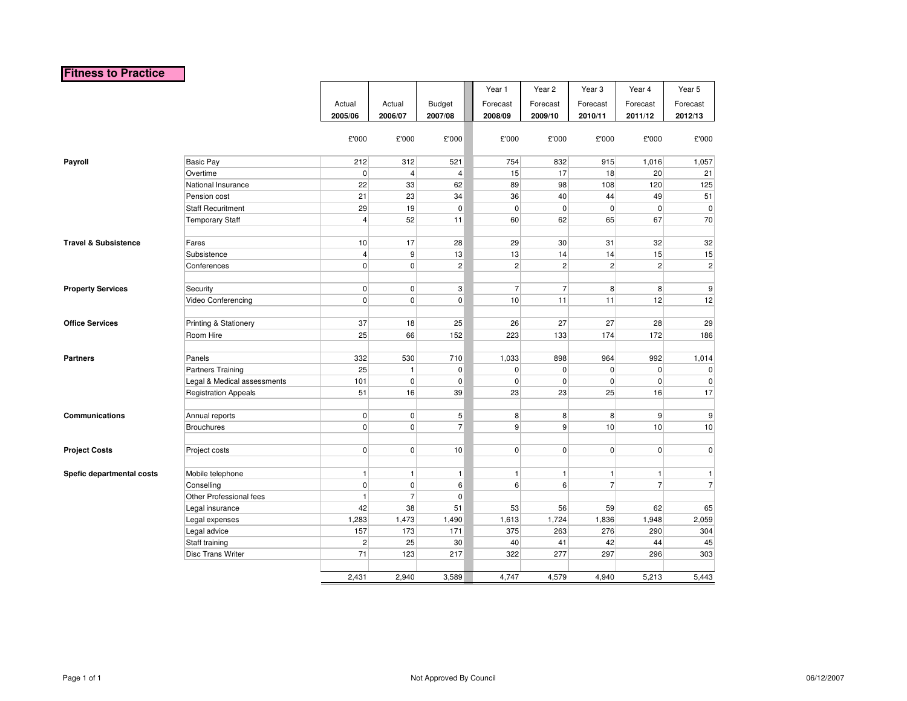## **Fitness to Practice**

|                                 |                             |                |                         |                         | Year 1         | Year 2          | Year <sub>3</sub> | Year 4         | Year 5         |
|---------------------------------|-----------------------------|----------------|-------------------------|-------------------------|----------------|-----------------|-------------------|----------------|----------------|
|                                 |                             | Actual         | Actual                  | <b>Budget</b>           | Forecast       | Forecast        | Forecast          | Forecast       | Forecast       |
|                                 |                             | 2005/06        | 2006/07                 | 2007/08                 | 2008/09        | 2009/10         | 2010/11           | 2011/12        | 2012/13        |
|                                 |                             | £'000          | £'000                   | £'000                   | £'000          | £'000           | £'000             | £'000          | £'000          |
|                                 |                             |                |                         |                         |                |                 |                   |                |                |
| Payroll                         | Basic Pay                   | 212            | 312                     | 521                     | 754            | 832             | 915               | 1,016          | 1,057          |
|                                 | Overtime                    | $\mathbf 0$    | $\overline{\mathbf{4}}$ | $\overline{\mathbf{4}}$ | 15             | 17              | 18                | 20             | 21             |
|                                 | National Insurance          | 22             | 33                      | 62                      | 89             | 98              | 108               | 120            | 125            |
|                                 | Pension cost                | 21             | 23                      | 34                      | 36             | 40              | 44                | 49             | 51             |
|                                 | <b>Staff Recuritment</b>    | 29             | 19                      | $\overline{0}$          | $\pmb{0}$      | $\overline{0}$  | $\overline{0}$    | $\overline{0}$ | $\overline{0}$ |
|                                 | <b>Temporary Staff</b>      | $\overline{4}$ | 52                      | 11                      | 60             | 62              | 65                | 67             | 70             |
| <b>Travel &amp; Subsistence</b> | Fares                       | 10             | 17                      | 28                      | 29             | 30 <sup>°</sup> | 31                | 32             | 32             |
|                                 | Subsistence                 | $\overline{4}$ | 9                       | 13                      | 13             | 14              | 14                | 15             | 15             |
|                                 | Conferences                 | $\mathbf 0$    | $\mathbf 0$             | $\mathbf{2}$            | $\overline{c}$ | $\mathbf{2}$    | $\overline{2}$    | $\mathbf{2}$   | $\overline{c}$ |
| <b>Property Services</b>        | Security                    | $\pmb{0}$      | $\pmb{0}$               | 3                       | $\overline{7}$ | 7               | $\boldsymbol{8}$  | 8              | $9\,$          |
|                                 | Video Conferencing          | $\mathbf 0$    | $\mathbf 0$             | $\overline{0}$          | 10             | 11              | 11                | 12             | 12             |
|                                 |                             |                |                         |                         |                |                 |                   |                |                |
| <b>Office Services</b>          | Printing & Stationery       | 37             | 18                      | 25                      | 26             | 27              | 27                | 28             | 29             |
|                                 | Room Hire                   | 25             | 66                      | 152                     | 223            | 133             | 174               | 172            | 186            |
|                                 |                             |                |                         |                         |                |                 |                   |                |                |
| <b>Partners</b>                 | Panels                      | 332            | 530                     | 710                     | 1,033          | 898             | 964               | 992            | 1,014          |
|                                 | <b>Partners Training</b>    | 25             | $\mathbf{1}$            | $\overline{0}$          | 0              | $\overline{0}$  | $\overline{0}$    | $\overline{0}$ | $\overline{0}$ |
|                                 | Legal & Medical assessments | 101            | $\mathbf 0$             | $\overline{0}$          | 0              | $\overline{0}$  | $\mathbf 0$       | $\overline{0}$ | $\mathbf{0}$   |
|                                 | <b>Registration Appeals</b> | 51             | 16                      | 39                      | 23             | 23              | 25                | 16             | 17             |
| <b>Communications</b>           | Annual reports              | $\overline{0}$ | $\pmb{0}$               | $5\overline{)}$         | 8              | 8 <sup>1</sup>  | 8                 | $\overline{9}$ | $9\,$          |
|                                 | <b>Brouchures</b>           | $\mathbf 0$    | $\mathbf 0$             | $\overline{7}$          | 9              | 9               | 10                | 10             | 10             |
|                                 |                             |                |                         |                         |                |                 |                   |                |                |
| <b>Project Costs</b>            | Project costs               | $\mathbf 0$    | $\overline{0}$          | 10                      | $\overline{0}$ | $\overline{0}$  | $\overline{0}$    | $\overline{0}$ | $\overline{0}$ |
|                                 |                             |                |                         |                         |                |                 |                   |                |                |
| Spefic departmental costs       | Mobile telephone            | $\overline{1}$ | $\mathbf{1}$            | $\mathbf{1}$            | $\mathbf{1}$   | 1               | $\mathbf{1}$      | $\mathbf{1}$   | 1              |
|                                 | Conselling                  | $\pmb{0}$      | $\mathbf 0$             | $6 \overline{6}$        | 6              | 6               | $\overline{7}$    | $\overline{7}$ | $\overline{7}$ |
|                                 | Other Professional fees     | $\mathbf{1}$   | $\overline{7}$          | $\overline{0}$          |                |                 |                   |                |                |
|                                 | Legal insurance             | 42             | 38                      | 51                      | 53             | 56              | 59                | 62             | 65             |
|                                 | Legal expenses              | 1,283          | 1,473                   | 1,490                   | 1,613          | 1,724           | 1,836             | 1,948          | 2,059          |
|                                 | Legal advice                | 157            | 173                     | 171                     | 375            | 263             | 276               | 290            | 304            |
|                                 | Staff training              | $\sqrt{2}$     | 25                      | 30 <sup>°</sup>         | 40             | 41              | 42                | 44             | 45             |
|                                 | Disc Trans Writer           | 71             | 123                     | 217                     | 322            | 277             | 297               | 296            | 303            |
|                                 |                             | 2,431          | 2,940                   | 3,589                   | 4,747          | 4,579           | 4,940             | 5,213          | 5,443          |
|                                 |                             |                |                         |                         |                |                 |                   |                |                |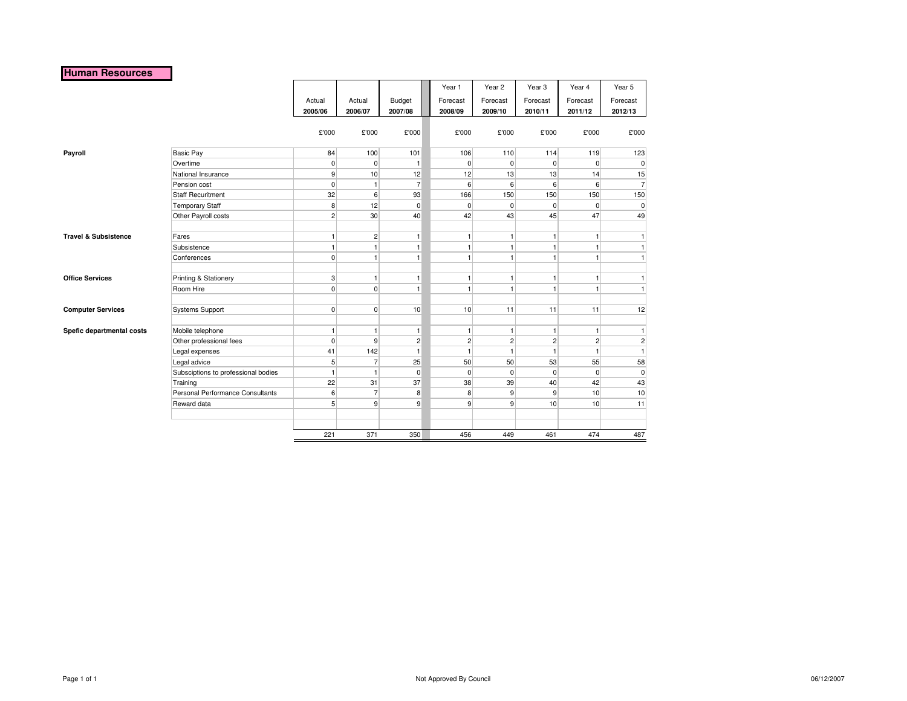### **Human Resources**

|                                 |                                     |                |                |                | Year 1         | Year 2         | Year <sub>3</sub> | Year 4         | Year 5         |
|---------------------------------|-------------------------------------|----------------|----------------|----------------|----------------|----------------|-------------------|----------------|----------------|
|                                 |                                     | Actual         | Actual         | Budget         | Forecast       | Forecast       | Forecast          | Forecast       | Forecast       |
|                                 |                                     | 2005/06        | 2006/07        | 2007/08        | 2008/09        | 2009/10        | 2010/11           | 2011/12        | 2012/13        |
|                                 |                                     |                |                |                |                |                |                   |                |                |
|                                 |                                     | £'000          | £'000          | £'000          | £'000          | £'000          | £'000             | £'000          | £'000          |
|                                 |                                     |                |                |                |                |                |                   |                |                |
| Payroll                         | <b>Basic Pay</b>                    | 84             | 100            | 101            | 106            | 110            | 114               | 119            | 123            |
|                                 | Overtime                            | $\overline{0}$ | $\overline{0}$ | $\mathbf{1}$   | $\mathbf 0$    | $\overline{0}$ | $\overline{0}$    | $\overline{0}$ | $\mathbf 0$    |
|                                 | National Insurance                  | $\overline{9}$ | 10             | 12             | 12             | 13             | 13                | 14             | 15             |
|                                 | Pension cost                        | $\overline{0}$ | 1              | $\overline{7}$ | 6              | 6              | $6 \overline{6}$  | 6              | $\overline{7}$ |
|                                 | <b>Staff Recuritment</b>            | 32             | 6              | 93             | 166            | 150            | 150               | 150            | 150            |
|                                 | <b>Temporary Staff</b>              | 8              | 12             | $\mathbf 0$    | 0              | $\overline{0}$ | $\overline{0}$    | $\overline{0}$ | $\pmb{0}$      |
|                                 | Other Payroll costs                 | $\overline{2}$ | 30             | 40             | 42             | 43             | 45                | 47             | 49             |
|                                 |                                     |                |                |                |                |                |                   |                |                |
| <b>Travel &amp; Subsistence</b> | Fares                               | $\overline{1}$ | $\overline{2}$ | $\mathbf{1}$   | 1              | $\mathbf{1}$   | $\mathbf{1}$      | 1              | 1              |
|                                 | Subsistence                         | $\mathbf{1}$   | 1              | $\mathbf{1}$   | $\mathbf{1}$   | $\mathbf{1}$   | 1                 | 1              | 1              |
|                                 | Conferences                         | $\mathbf 0$    | 1              | $\mathbf{1}$   | $\mathbf{1}$   | $\mathbf{1}$   | $\mathbf{1}$      | $\mathbf{1}$   | $\mathbf{1}$   |
|                                 |                                     |                |                |                |                |                |                   |                |                |
| <b>Office Services</b>          | Printing & Stationery               | 3              | 1              | $\mathbf{1}$   | 1              | $\overline{1}$ | $\mathbf{1}$      | 1              | 1              |
|                                 | Room Hire                           | $\overline{0}$ | $\overline{0}$ | $\mathbf{1}$   | $\mathbf{1}$   | $\overline{1}$ | 1                 | 1              | 1              |
|                                 |                                     |                |                |                |                |                |                   |                |                |
| <b>Computer Services</b>        | <b>Systems Support</b>              | $\overline{0}$ | $\overline{0}$ | 10             | 10             | 11             | 11                | 11             | 12             |
| Spefic departmental costs       | Mobile telephone                    | $\mathbf{1}$   | 1              | $\mathbf{1}$   | $\mathbf{1}$   | $\mathbf{1}$   | $\mathbf{1}$      | $\mathbf{1}$   | $\mathbf{1}$   |
|                                 | Other professional fees             | $\mathbf 0$    | $\vert$        | $\overline{c}$ | $\overline{c}$ | $\overline{2}$ | 2 <sup>2</sup>    | $\overline{2}$ | $\overline{2}$ |
|                                 | Legal expenses                      | 41             | 142            | $\mathbf{1}$   | 1              | $\mathbf{1}$   | $\mathbf{1}$      | 1              | $\mathbf{1}$   |
|                                 | Legal advice                        | 5 <sup>5</sup> | $\overline{7}$ | 25             | 50             | 50             | 53                | 55             | 58             |
|                                 | Subsciptions to professional bodies | $\overline{1}$ | 1              | $\mathbf 0$    | 0              | $\overline{0}$ | $\overline{0}$    | $\overline{0}$ | $\pmb{0}$      |
|                                 | Training                            | 22             | 31             | 37             | 38             | 39             | 40                | 42             | 43             |
|                                 | Personal Performance Consultants    | 6              | 7              | 8              | 8              | $\overline{9}$ | $\overline{9}$    | 10             | 10             |
|                                 | Reward data                         | 5              | 9 <sup>1</sup> | 9              | $\overline{9}$ | $\overline{9}$ | 10                | 10             | 11             |
|                                 |                                     |                |                |                |                |                |                   |                |                |
|                                 |                                     |                |                |                |                |                |                   |                |                |
|                                 |                                     | 221            | 371            | 350            | 456            | 449            | 461               | 474            | 487            |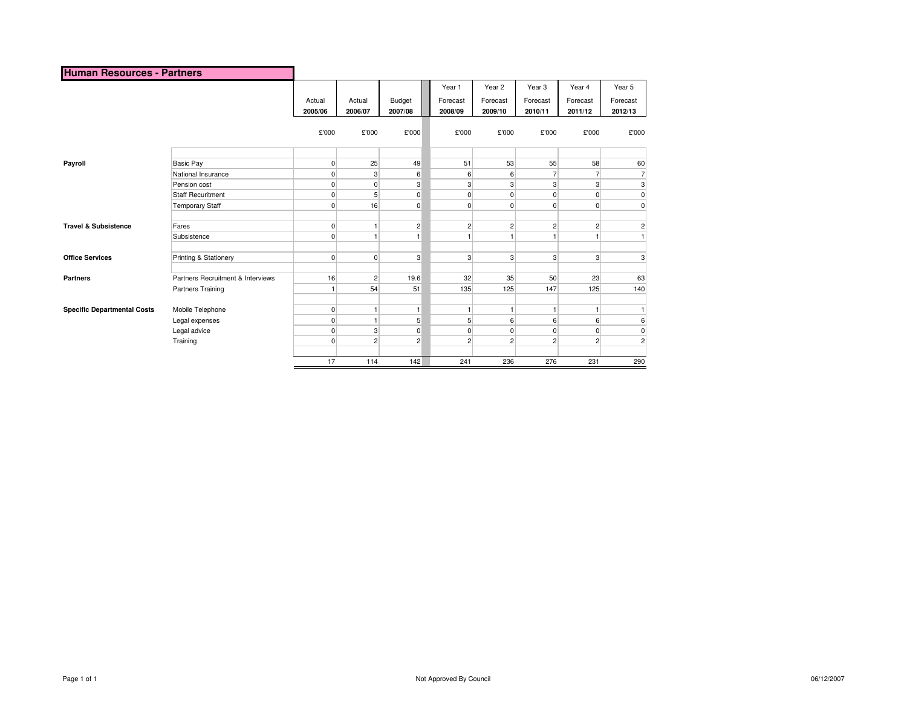| Human Resources - Partners         |                                   |              |                |              |                    |                    |                    |                    |                         |
|------------------------------------|-----------------------------------|--------------|----------------|--------------|--------------------|--------------------|--------------------|--------------------|-------------------------|
|                                    |                                   | Actual       | Actual         | Budget       | Year 1<br>Forecast | Year 2<br>Forecast | Year 3<br>Forecast | Year 4<br>Forecast | Year 5<br>Forecast      |
|                                    |                                   | 2005/06      | 2006/07        | 2007/08      | 2008/09            | 2009/10            | 2010/11            | 2011/12            | 2012/13                 |
|                                    |                                   | £'000        | £'000          | £'000        | £'000              | £'000              | £'000              | £'000              | £'000                   |
|                                    |                                   |              |                |              |                    |                    |                    |                    |                         |
| Payroll                            | Basic Pay                         | 0            | 25             | 49           | 51                 | 53                 | 55                 | 58                 | 60                      |
|                                    | National Insurance                | 0            | 3              | 6            | 6                  | 6                  | 7                  | $\overline{7}$     | $\overline{7}$          |
|                                    | Pension cost                      | 0            | 0              | 3            | 3                  | 3                  | 3                  | 3                  | 3                       |
|                                    | <b>Staff Recuritment</b>          | 0            | 5              | 0            | $\overline{0}$     | $\Omega$           | 0                  | 0                  | 0                       |
|                                    | <b>Temporary Staff</b>            | 0            | 16             | $\pmb{0}$    | $\overline{0}$     | $\Omega$           | 0                  | $\pmb{0}$          | $\overline{0}$          |
| <b>Travel &amp; Subsistence</b>    | Fares                             | 0            | 1              | 2            | $\overline{c}$     | $\overline{2}$     | $\overline{2}$     | $\overline{c}$     | $\overline{c}$          |
|                                    | Subsistence                       | 0            | 1              | 1            |                    |                    |                    |                    | $\mathbf{1}$            |
| <b>Office Services</b>             | Printing & Stationery             | $\mathbf 0$  | $\overline{0}$ | 3            | 3                  | 3                  | 3                  | 3                  | $\overline{3}$          |
| <b>Partners</b>                    | Partners Recruitment & Interviews | 16           | $\overline{c}$ | 19.6         | 32                 | 35                 | 50                 | 23                 | 63                      |
|                                    | Partners Training                 | $\mathbf{1}$ | 54             | 51           | 135                | 125                | 147                | 125                | 140                     |
| <b>Specific Departmental Costs</b> | Mobile Telephone                  | 0            | 1              | $\mathbf{1}$ |                    |                    | 1                  | 1                  | $\mathbf{1}$            |
|                                    | Legal expenses                    | 0            | $\mathbf{1}$   | 5            | 5 <sup>5</sup>     | 6                  | 6                  | 6                  | 6                       |
|                                    | Legal advice                      | 0            | 3              | $\mathbf 0$  | $\overline{0}$     | $\mathbf 0$        | 0                  | $\mathbf 0$        | 0                       |
|                                    | Training                          | 0            | $\overline{c}$ | 2            | $\overline{c}$     | $\overline{2}$     | $\overline{c}$     | $\overline{c}$     | $\overline{\mathbf{c}}$ |
|                                    |                                   | 17           | 114            | 142          | 241                | 236                | 276                | 231                | 290                     |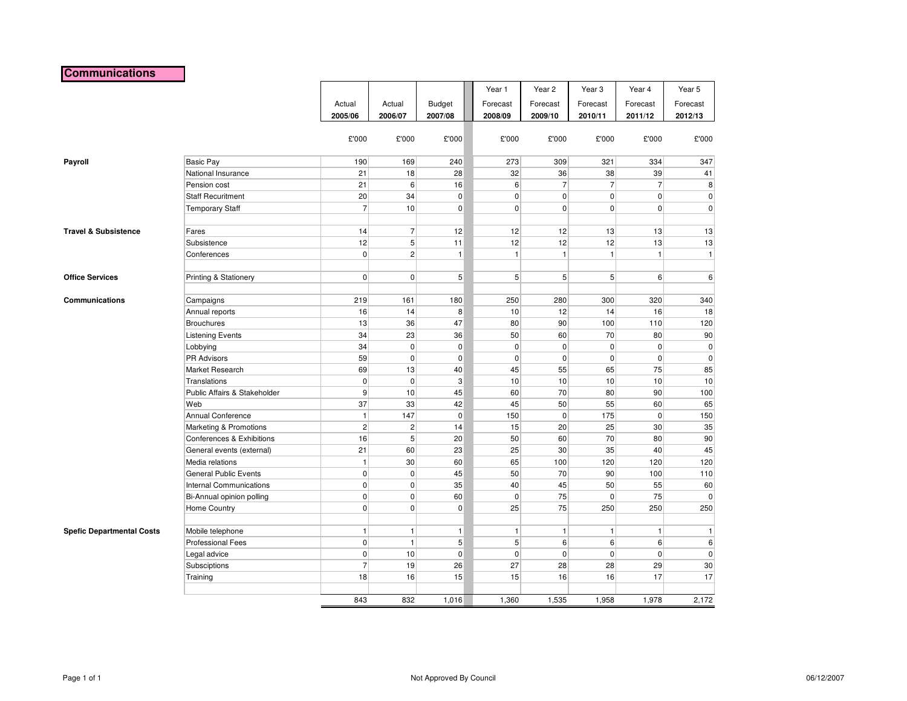## **Communications**

|                                  |                                              |                    |                |                 | Year 1         | Year 2               | Year <sub>3</sub> | Year 4         | Year 5         |
|----------------------------------|----------------------------------------------|--------------------|----------------|-----------------|----------------|----------------------|-------------------|----------------|----------------|
|                                  |                                              | Actual             | Actual         | <b>Budget</b>   | Forecast       | Forecast             | Forecast          | Forecast       | Forecast       |
|                                  |                                              | 2005/06            | 2006/07        | 2007/08         | 2008/09        | 2009/10              | 2010/11           | 2011/12        | 2012/13        |
|                                  |                                              |                    |                |                 |                |                      |                   |                |                |
|                                  |                                              | £'000              | £'000          | £'000           | £'000          | £'000                | £'000             | £'000          | £'000          |
| Payroll                          | <b>Basic Pay</b>                             | 190                | 169            | 240             | 273            | 309                  | 321               | 334            | 347            |
|                                  | National Insurance                           | 21                 | 18             | 28              | 32             | 36                   | 38                | 39             | 41             |
|                                  | Pension cost                                 | 21                 | 6              | 16              | 6 <sup>1</sup> | $\overline{7}$       | $\overline{7}$    | $\overline{7}$ | 8              |
|                                  | <b>Staff Recuritment</b>                     | 20                 | 34             | $\overline{0}$  | $\overline{0}$ | $\overline{0}$       | $\overline{0}$    | $\overline{0}$ | $\overline{0}$ |
|                                  | <b>Temporary Staff</b>                       | $\overline{7}$     | 10             | $\overline{0}$  | $\overline{0}$ | $\overline{0}$       | $\overline{0}$    | $\overline{0}$ | $\overline{0}$ |
|                                  |                                              |                    |                |                 |                |                      |                   |                |                |
| <b>Travel &amp; Subsistence</b>  | Fares                                        | 14                 | $\overline{7}$ | 12              | 12             | 12                   | 13                | 13             | 13             |
|                                  | Subsistence                                  | 12                 | 5              | 11              | 12             | 12                   | 12                | 13             | 13             |
|                                  | Conferences                                  | $\mathbf 0$        | $\overline{2}$ | $\mathbf{1}$    | 1              | $\mathbf{1}$         | $\vert$           | $\mathbf{1}$   | $\vert$        |
|                                  |                                              |                    |                |                 |                |                      |                   |                |                |
| <b>Office Services</b>           | Printing & Stationery                        | $\pmb{0}$          | 0              | $5\overline{)}$ | 5 <sup>1</sup> | 5 <sup>5</sup>       | 5 <sup>5</sup>    | 6              | 6              |
|                                  |                                              |                    |                |                 |                |                      |                   |                |                |
| Communications                   | Campaigns                                    | 219                | 161            | 180             | 250            | 280                  | 300               | 320            | 340            |
|                                  | Annual reports                               | 16                 | 14             | 8               | 10             | 12                   | 14                | 16             | 18             |
|                                  | <b>Brouchures</b>                            | 13                 | 36             | 47              | 80             | 90                   | 100               | 110            | 120            |
|                                  | <b>Listening Events</b>                      | 34                 | 23             | 36              | 50             | 60                   | 70                | 80             | 90             |
|                                  | Lobbying                                     | 34                 | 0              | $\overline{0}$  | $\overline{0}$ | $\mathbf 0$          | $\overline{0}$    | $\pmb{0}$      | $\mathbf{0}$   |
|                                  | <b>PR Advisors</b>                           | 59                 | 0              | $\overline{0}$  | $\overline{0}$ | 0                    | $\overline{0}$    | $\overline{0}$ | $\overline{0}$ |
|                                  | Market Research                              | 69                 | 13             | 40              | 45             | 55                   | 65                | 75             | 85             |
|                                  | <b>Translations</b>                          | $\mathbf 0$        | 0              | $\mathbf{3}$    | 10             | 10                   | 10                | 10             | 10             |
|                                  | Public Affairs & Stakeholder                 | 9                  | 10             | 45              | 60             | 70                   | 80                | 90             | 100            |
|                                  | Web                                          | 37<br>$\mathbf{1}$ | 33<br>147      | 42              | 45             | 50<br>$\overline{0}$ | 55                | 60             | 65             |
|                                  | <b>Annual Conference</b>                     | $\overline{c}$     | $\overline{c}$ | $\mathbf{0}$    | 150            | 20                   | 175               | $\mathbf{0}$   | 150            |
|                                  | Marketing & Promotions                       | 16                 | 5              | 14<br>20        | 15<br>50       | 60                   | 25<br>70          | 30<br>80       | 35<br>90       |
|                                  | Conferences & Exhibitions                    | 21                 | 60             | 23              | 25             | 30                   | 35                | 40             | 45             |
|                                  | General events (external)<br>Media relations | $\mathbf{1}$       | 30             | 60              | 65             | 100                  | 120               | 120            | 120            |
|                                  | General Public Events                        | $\pmb{0}$          | $\mathbf 0$    | 45              | 50             | 70                   | 90                | 100            | 110            |
|                                  | <b>Internal Communications</b>               | $\pmb{0}$          | 0              | 35              | 40             | 45                   | 50                | 55             | 60             |
|                                  | Bi-Annual opinion polling                    | $\pmb{0}$          | $\mathsf 0$    | 60              | $\overline{0}$ | 75                   | $\mathbf{0}$      | 75             | $\overline{0}$ |
|                                  | <b>Home Country</b>                          | $\mathbf 0$        | $\mathbf 0$    | $\overline{0}$  | 25             | 75                   | 250               | 250            | 250            |
|                                  |                                              |                    |                |                 |                |                      |                   |                |                |
| <b>Spefic Departmental Costs</b> | Mobile telephone                             | $\mathbf{1}$       | $\mathbf{1}$   | $\vert$         | $\mathbf{1}$   | $\mathbf{1}$         | $\mathbf{1}$      | $\mathbf{1}$   | $\mathbf{1}$   |
|                                  | <b>Professional Fees</b>                     | $\pmb{0}$          | $\mathbf{1}$   | $5\overline{)}$ | 5 <sup>1</sup> | 6                    | 6                 | 6              | $6\,$          |
|                                  | Legal advice                                 | $\mathbf 0$        | 10             | $\overline{0}$  | $\overline{0}$ | $\mathbf 0$          | $\overline{0}$    | $\mathbf 0$    | $\mathbf{0}$   |
|                                  | Subsciptions                                 | $\overline{7}$     | 19             | 26              | 27             | 28                   | 28                | 29             | 30             |
|                                  | Training                                     | 18                 | 16             | 15              | 15             | 16                   | 16                | 17             | 17             |
|                                  |                                              |                    |                |                 |                |                      |                   |                |                |
|                                  |                                              | 843                | 832            | 1,016           | 1,360          | 1,535                | 1,958             | 1,978          | 2,172          |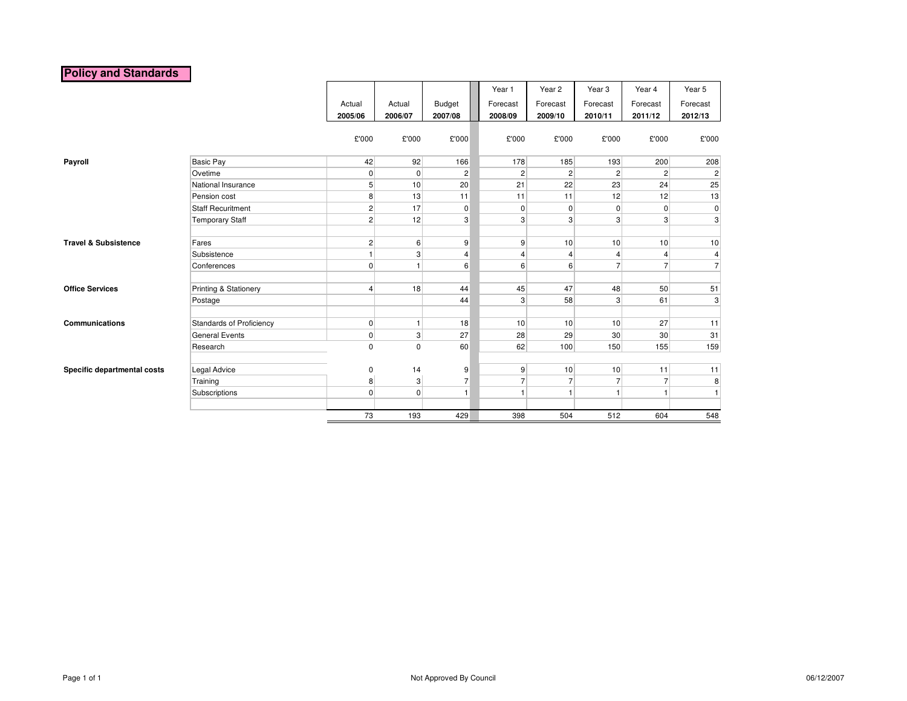# **Policy and Standards**

|                                 |                                 |                |                |                | Year 1   | Year 2                               | Year <sub>3</sub> | Year 4          | Year 5         |
|---------------------------------|---------------------------------|----------------|----------------|----------------|----------|--------------------------------------|-------------------|-----------------|----------------|
|                                 |                                 | Actual         | Actual         | Budget         | Forecast | Forecast                             | Forecast          | Forecast        | Forecast       |
|                                 |                                 | 2005/06        | 2006/07        | 2007/08        | 2008/09  | 2009/10                              | 2010/11           | 2011/12         | 2012/13        |
|                                 |                                 |                |                |                |          |                                      |                   |                 |                |
|                                 |                                 | £'000          | £'000          | £'000          | £'000    | £'000                                | £'000             | £'000           | £'000          |
| Payroll                         | <b>Basic Pay</b>                | 42             | 92             | 166            | 178      | 185                                  | 193               | 200             | 208            |
|                                 | Ovetime                         | $\overline{0}$ | $\overline{0}$ | $\overline{c}$ |          | $\overline{c}$<br>$\overline{2}$     | $\overline{2}$    | $\overline{2}$  | $\mathbf{2}$   |
|                                 | National Insurance              | 5 <sup>5</sup> | 10             | 20             | 21       | 22                                   | 23                | 24              | 25             |
|                                 | Pension cost                    | 8              | 13             | 11             | 11       | 11                                   | 12                | 12              | 13             |
|                                 | <b>Staff Recuritment</b>        | $\overline{2}$ | 17             | $\mathbf 0$    |          | 0<br>$\mathbf 0$                     | 0                 | $\overline{0}$  | $\overline{0}$ |
|                                 | <b>Temporary Staff</b>          | $\overline{2}$ | 12             | 3              |          | $\overline{3}$<br>3                  | 3                 | $\mathbf{3}$    | $\mathbf{3}$   |
|                                 |                                 |                |                |                |          |                                      |                   |                 |                |
| <b>Travel &amp; Subsistence</b> | Fares                           | $\overline{2}$ | 6 <sup>1</sup> | 9              |          | 9<br>10                              | 10                | 10              | 10             |
|                                 | Subsistence                     |                | 3 <sup>1</sup> | $\overline{4}$ |          | 4<br>$\overline{\mathbf{4}}$         | 4                 | $\overline{4}$  | 4              |
|                                 | Conferences                     | $\overline{0}$ | 1              | 6              |          | $6 \overline{6}$<br>$6 \overline{6}$ | 7                 | $\overline{7}$  | $\overline{7}$ |
| <b>Office Services</b>          | Printing & Stationery           | 4              | 18             | 44             | 45       | 47                                   | 48                | 50              | 51             |
|                                 | Postage                         |                |                | 44             |          | 58<br>$\overline{3}$                 | 3                 | 61              | $\mathbf{3}$   |
| <b>Communications</b>           | <b>Standards of Proficiency</b> | $\overline{0}$ | 1 <sup>1</sup> | 18             | 10       | 10                                   | 10                | 27              | 11             |
|                                 | <b>General Events</b>           | $\overline{0}$ | 3 <sup>2</sup> | 27             | 28       | 29                                   | 30                | 30 <sup>2</sup> | 31             |
|                                 | Research                        | $\mathsf 0$    | 0              | 60             | 62       | 100                                  | 150               | 155             | 159            |
|                                 |                                 |                |                |                |          |                                      |                   |                 |                |
| Specific departmental costs     | Legal Advice                    | 0              | 14             | 9              |          | $9\,$<br>10                          | 10                | 11              | 11             |
|                                 | Training                        | 8              | 3 <sup>1</sup> | $\overline{7}$ |          | $\overline{7}$<br>$\overline{7}$     | $\overline{7}$    | $\overline{7}$  | 8              |
|                                 | Subscriptions                   | $\overline{0}$ | $\overline{0}$ | $\mathbf{1}$   |          | $\mathbf{1}$                         | 1                 | $\mathbf{1}$    | $\mathbf{1}$   |
|                                 |                                 |                |                |                |          |                                      |                   |                 |                |
|                                 |                                 | 73             | 193            | 429            | 398      | 504                                  | 512               | 604             | 548            |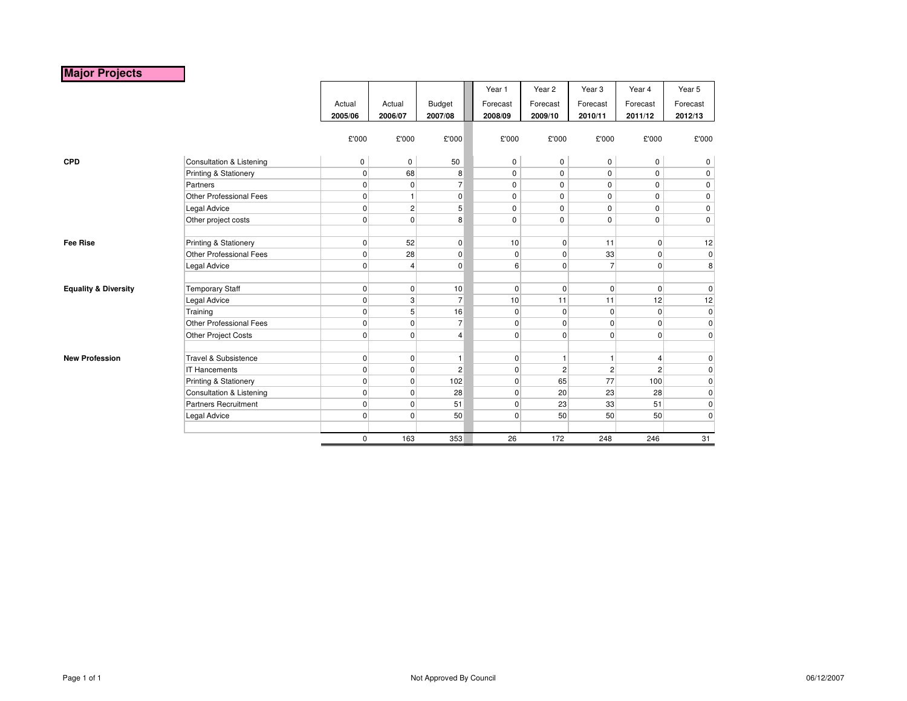# **Major Projects**

|                                 |                                     |             |                |                | Year 1         | Year <sub>2</sub> | Year <sub>3</sub> | Year 4         | Year 5         |
|---------------------------------|-------------------------------------|-------------|----------------|----------------|----------------|-------------------|-------------------|----------------|----------------|
|                                 |                                     | Actual      | Actual         | Budget         | Forecast       | Forecast          | Forecast          | Forecast       | Forecast       |
|                                 |                                     | 2005/06     | 2006/07        | 2007/08        | 2008/09        | 2009/10           | 2010/11           | 2011/12        | 2012/13        |
|                                 |                                     |             |                |                |                |                   |                   |                |                |
|                                 |                                     | £'000       | £'000          | £'000          | £'000          | £'000             | £'000             | £'000          | £'000          |
|                                 |                                     |             |                |                |                |                   |                   |                |                |
| <b>CPD</b>                      | Consultation & Listening            | 0           | 0              | 50             | 0              | 0                 | $\mathbf 0$       | 0              | 0              |
|                                 | Printing & Stationery               | $\mathbf 0$ | 68             | 8              | $\mathbf 0$    | 0                 | 0                 | $\mathbf 0$    | $\mathbf 0$    |
|                                 | Partners                            | $\mathbf 0$ | $\overline{0}$ | $\overline{7}$ | $\mathbf 0$    | 0                 | $\mathbf 0$       | $\mathbf 0$    | 0              |
|                                 | Other Professional Fees             | $\mathbf 0$ | $\mathbf{1}$   | $\mathbf 0$    | $\mathbf 0$    | 0                 | $\mathbf 0$       | $\mathbf 0$    | $\mathbf 0$    |
|                                 | Legal Advice                        | 0           | $\overline{2}$ | 5              | $\mathbf 0$    | 0                 | $\mathbf 0$       | 0              | 0              |
|                                 | Other project costs                 | $\mathbf 0$ | $\overline{0}$ | 8              | $\mathbf 0$    | 0                 | $\mathbf 0$       | $\mathbf 0$    | $\mathbf 0$    |
|                                 |                                     |             |                |                |                |                   |                   |                |                |
| <b>Fee Rise</b>                 | Printing & Stationery               | 0           | 52             | $\overline{0}$ | 10             | 0                 | 11                | $\overline{0}$ | 12             |
|                                 | Other Professional Fees             | 0           | 28             | $\mathbf 0$    | $\overline{0}$ | $\overline{0}$    | 33                | $\overline{0}$ | $\overline{0}$ |
|                                 | Legal Advice                        | $\mathbf 0$ | 4              | $\pmb{0}$      | $6 \mid$       | 0                 | $\overline{7}$    | $\overline{0}$ | 8 <sup>1</sup> |
|                                 |                                     |             |                |                |                |                   |                   |                |                |
| <b>Equality &amp; Diversity</b> | <b>Temporary Staff</b>              | 0           | $\overline{0}$ | 10             | $\overline{0}$ | $\overline{0}$    | $\mathbf 0$       | $\overline{0}$ | $\overline{0}$ |
|                                 | Legal Advice                        | $\mathbf 0$ | 3              | $\overline{7}$ | 10             | 11                | 11                | 12             | 12             |
|                                 | Training                            | 0           | 5 <sup>1</sup> | 16             | $\Omega$       | $\overline{0}$    | $\mathbf 0$       | $\overline{0}$ | $\overline{0}$ |
|                                 | Other Professional Fees             | 0           | $\overline{0}$ | $\overline{7}$ | $\overline{0}$ | 0                 | $\mathbf 0$       | $\overline{0}$ | $\overline{0}$ |
|                                 | Other Project Costs                 | $\mathbf 0$ | $\overline{0}$ | $\overline{4}$ | $\overline{0}$ | 0                 | $\mathbf 0$       | $\overline{0}$ | $\overline{0}$ |
|                                 |                                     |             |                |                |                |                   |                   |                |                |
| <b>New Profession</b>           | Travel & Subsistence                | 0           | $\overline{0}$ | $\mathbf{1}$   | $\overline{0}$ | 1                 | $\overline{1}$    | $\overline{4}$ | $\overline{0}$ |
|                                 | <b>IT Hancements</b>                | $\mathbf 0$ | $\overline{0}$ | $\overline{2}$ | $\overline{0}$ | $\overline{2}$    | $\overline{c}$    | 2              | 0              |
|                                 | Printing & Stationery               | 0           | $\overline{0}$ | 102            | $\Omega$       | 65                | 77                | 100            | 0              |
|                                 | <b>Consultation &amp; Listening</b> | $\mathbf 0$ | $\overline{0}$ | 28             | $\overline{0}$ | 20                | 23                | 28             | $\overline{0}$ |
|                                 | <b>Partners Recruitment</b>         | $\mathbf 0$ | $\overline{0}$ | 51             | $\overline{0}$ | 23                | 33                | 51             | $\overline{0}$ |
|                                 | Legal Advice                        | $\mathbf 0$ | $\overline{0}$ | 50             | $\overline{0}$ | 50                | 50                | 50             | $\overline{0}$ |
|                                 |                                     |             |                |                |                |                   |                   |                |                |
|                                 |                                     | 0           | 163            | 353            | 26             | 172               | 248               | 246            | 31             |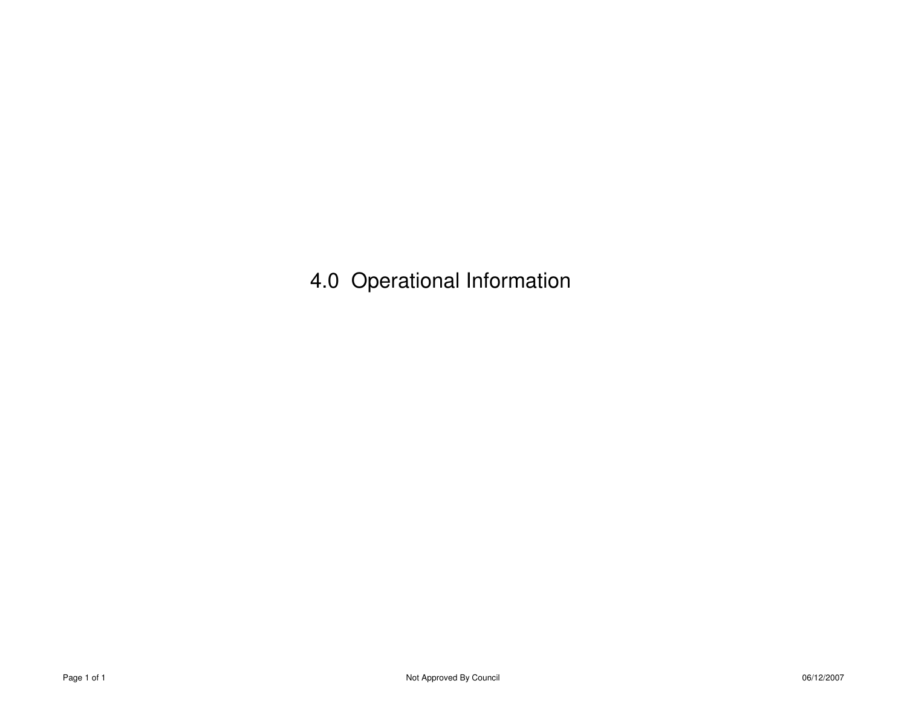4.0 Operational Information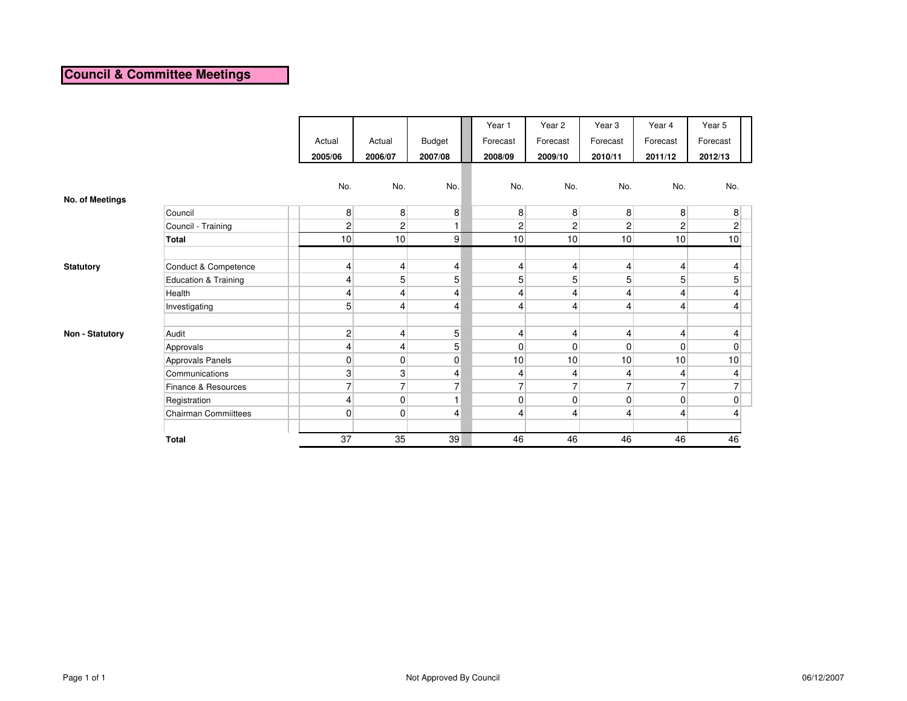# **Council & Committee Meetings**

|                  |                             |                 |                          |                | Year 1         | Year 2         | Year <sub>3</sub> | Year 4                  | Year 5          |  |
|------------------|-----------------------------|-----------------|--------------------------|----------------|----------------|----------------|-------------------|-------------------------|-----------------|--|
|                  |                             | Actual          | Actual                   | <b>Budget</b>  | Forecast       | Forecast       | Forecast          | Forecast                | Forecast        |  |
|                  |                             | 2005/06         | 2006/07                  | 2007/08        | 2008/09        | 2009/10        | 2010/11           | 2011/12                 | 2012/13         |  |
|                  |                             |                 |                          |                |                |                |                   |                         |                 |  |
|                  |                             | No.             | No.                      | No.            | No.            | No.            | No.               | No.                     | No.             |  |
| No. of Meetings  |                             |                 |                          |                |                |                |                   |                         |                 |  |
|                  | Council                     | 8 <sup>1</sup>  | 8 <sup>1</sup>           | 8              | 8 <sup>1</sup> | 8              | 8                 | 8 <sup>°</sup>          | 8               |  |
|                  | Council - Training          | $\overline{2}$  | $\overline{c}$           | $\blacksquare$ | $\overline{2}$ | $\overline{c}$ | 2                 | $\overline{2}$          | 2               |  |
|                  | <b>Total</b>                | 10              | 10                       | $\overline{9}$ | 10             | 10             | 10                | 10                      | 10              |  |
|                  |                             |                 |                          |                |                |                |                   |                         |                 |  |
| <b>Statutory</b> | Conduct & Competence        | $\vert 4 \vert$ | $\overline{\mathcal{L}}$ | 4              | 4              | 4              | 4                 | $\overline{4}$          | $\overline{4}$  |  |
|                  | Education & Training        | 4               | 5                        | 5              | 5 <sup>1</sup> | 5              | 5                 | 5                       | 5               |  |
|                  | Health                      | $\overline{4}$  | $\overline{\mathcal{L}}$ | 4              | 4              | 4              | 4                 | $\overline{4}$          | 4               |  |
|                  | Investigating               | 5 <sup>1</sup>  | $\overline{4}$           | 4              | 4              | 4              | 4                 | $\overline{4}$          | 4               |  |
|                  |                             |                 |                          |                |                |                |                   |                         |                 |  |
| Non - Statutory  | Audit                       | $\mathbf{2}$    | $\overline{\mathcal{L}}$ | 5 <sub>l</sub> | 4              | 4              | 4                 | $\overline{\mathbf{r}}$ | 4               |  |
|                  | Approvals                   | 4               | 4                        | 5 <sup>1</sup> | $\overline{0}$ | $\mathbf 0$    | $\mathbf 0$       | $\overline{0}$          | 0               |  |
|                  | Approvals Panels            | $\overline{0}$  | $\overline{0}$           | $\mathbf 0$    | 10             | 10             | 10                | 10                      | 10 <sup>1</sup> |  |
|                  | Communications              | 3               | 3                        | 4              | 4              | 4              | 4                 | 4                       | 4               |  |
|                  | Finance & Resources         | $\overline{7}$  | $\overline{7}$           | $\overline{7}$ | $\overline{ }$ | $\overline{7}$ | 7                 | $\overline{7}$          | $\overline{7}$  |  |
|                  | Registration                | 4               | $\pmb{0}$                | $\overline{1}$ | $\overline{0}$ | 0              | $\mathbf 0$       | $\overline{0}$          | 0               |  |
|                  | <b>Chairman Commiittees</b> | $\overline{0}$  | $\overline{0}$           | 4              | 4              | $\overline{4}$ | 4                 | 4                       | 4               |  |
|                  |                             |                 |                          |                |                |                |                   |                         |                 |  |
|                  | <b>Total</b>                | 37              | 35                       | 39             | 46             | 46             | 46                | 46                      | 46              |  |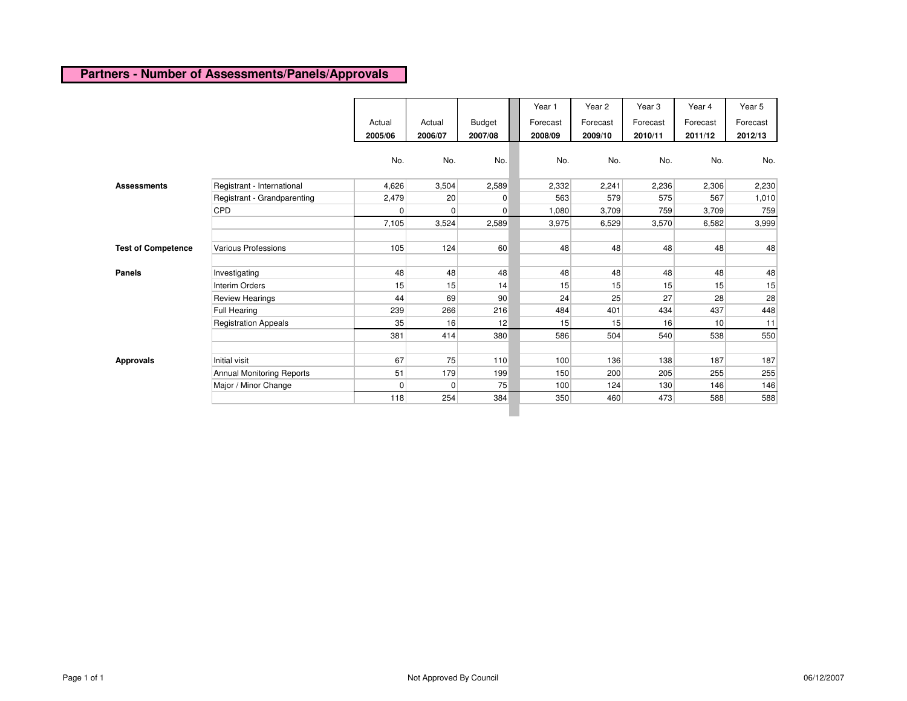# **Partners - Number of Assessments/Panels/Approvals**

|                           |                                  | Actual<br>2005/06 | Actual<br>2006/07 | <b>Budget</b><br>2007/08 | Year 1<br>Forecast<br>2008/09 | Year 2<br>Forecast<br>2009/10 | Year <sub>3</sub><br>Forecast<br>2010/11 | Year 4<br>Forecast<br>2011/12 | Year 5<br>Forecast<br>2012/13 |
|---------------------------|----------------------------------|-------------------|-------------------|--------------------------|-------------------------------|-------------------------------|------------------------------------------|-------------------------------|-------------------------------|
|                           |                                  | No.               | No.               | No.                      | No.                           | No.                           | No.                                      | No.                           | No.                           |
| <b>Assessments</b>        | Registrant - International       | 4,626             | 3,504             | 2,589                    | 2,332                         | 2,241                         | 2,236                                    | 2,306                         | 2,230                         |
|                           | Registrant - Grandparenting      | 2,479             | 20                | $\overline{0}$           | 563                           | 579                           | 575                                      | 567                           | 1,010                         |
|                           | CPD                              | $\overline{0}$    | $\mathbf 0$       | $\overline{0}$           | 1,080                         | 3,709                         | 759                                      | 3,709                         | 759                           |
|                           |                                  | 7,105             | 3,524             | 2,589                    | 3,975                         | 6,529                         | 3,570                                    | 6,582                         | 3,999                         |
| <b>Test of Competence</b> | Various Professions              | 105               | 124               | 60                       | 48                            | 48                            | 48                                       | 48                            | 48                            |
| <b>Panels</b>             | Investigating                    | 48                | 48                | 48                       | 48                            | 48                            | 48                                       | 48                            | 48                            |
|                           | <b>Interim Orders</b>            | 15                | 15                | 14                       | 15                            | 15                            | 15                                       | 15                            | 15                            |
|                           | <b>Review Hearings</b>           | 44                | 69                | 90                       | 24                            | 25                            | 27                                       | 28                            | 28                            |
|                           | <b>Full Hearing</b>              | 239               | 266               | 216                      | 484                           | 401                           | 434                                      | 437                           | 448                           |
|                           | <b>Registration Appeals</b>      | 35                | 16                | 12                       | 15                            | 15                            | 16                                       | 10                            | 11                            |
|                           |                                  | 381               | 414               | 380                      | 586                           | 504                           | 540                                      | 538                           | 550                           |
| <b>Approvals</b>          | Initial visit                    | 67                | 75                | 110                      | 100                           | 136                           | 138                                      | 187                           | 187                           |
|                           | <b>Annual Monitoring Reports</b> | 51                | 179               | 199                      | 150                           | 200                           | 205                                      | 255                           | 255                           |
|                           | Major / Minor Change             | $\overline{0}$    | 0                 | 75                       | 100                           | 124                           | 130                                      | 146                           | 146                           |
|                           |                                  | 118               | 254               | 384                      | 350                           | 460                           | 473                                      | 588                           | 588                           |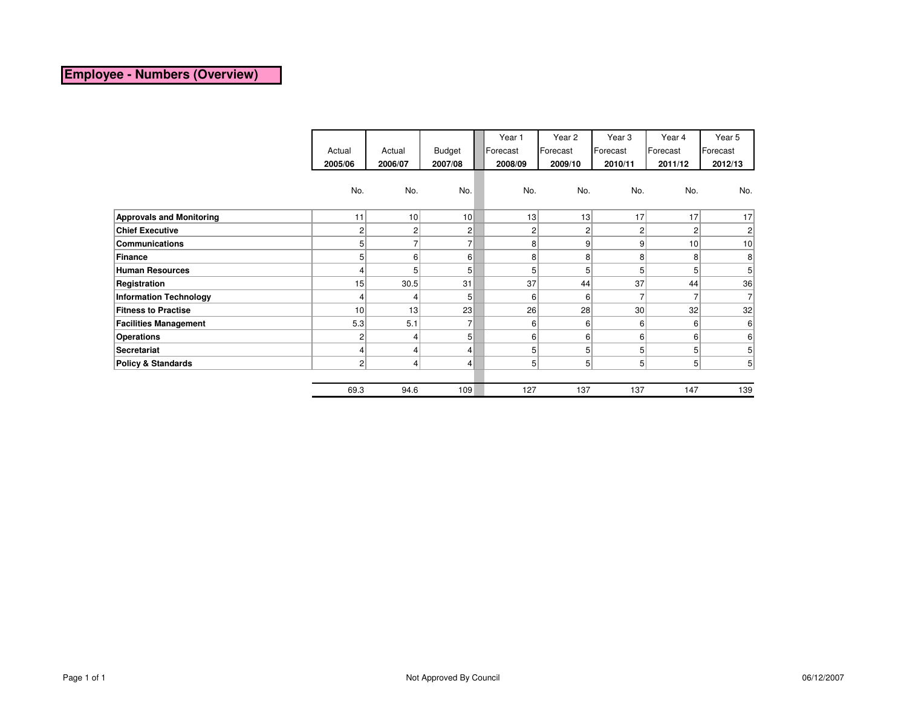### **Employee - Numbers (Overview)**

|                                 | Actual          | Actual          | <b>Budget</b>   | Year 1<br>Forecast | Year 2<br>Forecast | Year 3<br>Forecast | Year 4<br>Forecast | Year 5<br>Forecast |
|---------------------------------|-----------------|-----------------|-----------------|--------------------|--------------------|--------------------|--------------------|--------------------|
|                                 | 2005/06         | 2006/07         | 2007/08         | 2008/09            | 2009/10            | 2010/11            | 2011/12            | 2012/13            |
|                                 | No.             | No.             | No.             | No.                | No.                | No.                | No.                | No.                |
| <b>Approvals and Monitoring</b> | 11              | 10 <sup>1</sup> | 10 <sup>1</sup> | 13                 | 13                 | 17                 | 17                 | 17                 |
| <b>Chief Executive</b>          | 2 <sub>1</sub>  | $\overline{2}$  | $\overline{2}$  | $\overline{2}$     | $\overline{2}$     | 2                  | $\overline{2}$     | $\overline{c}$     |
| <b>Communications</b>           | 5 <sup>1</sup>  |                 | $\overline{7}$  | 8                  | 9                  | 9                  | 10 <sup>1</sup>    | 10                 |
| Finance                         | 5 <sup>1</sup>  | $6 \mid$        | 6               | 8                  | 8 <sup>1</sup>     | 8                  | 8                  | 8                  |
| <b>Human Resources</b>          | 4               | 5               | 5 <sup>1</sup>  | 5                  | 5 <sup>1</sup>     | 5                  | 5                  | 5                  |
| Registration                    | 15              | 30.5            | 31              | 37                 | 44                 | 37                 | 44                 | 36                 |
| <b>Information Technology</b>   | 4               | 4               | 5 <sup>1</sup>  | 6                  | $6 \mid$           | 7                  | $\overline{7}$     | $\overline{7}$     |
| <b>Fitness to Practise</b>      | 10 <sup>1</sup> | 13              | 23              | 26                 | 28                 | 30 <sup>°</sup>    | 32                 | 32                 |
| <b>Facilities Management</b>    | 5.3             | 5.1             | $\overline{7}$  | 6                  | 6 <sup>1</sup>     | 6 <sup>1</sup>     | 6                  | 6                  |
| <b>Operations</b>               | 2               | 4               | 5 <sup>1</sup>  | 6                  | 6 <sup>1</sup>     | 6                  | 6                  | 6                  |
| <b>Secretariat</b>              | 4               | 4               | $\overline{4}$  | 5                  | 5                  | 5                  | 5                  | 5                  |
| <b>Policy &amp; Standards</b>   | $\overline{2}$  | 4               | $\vert$         | 5 <sup>1</sup>     | 5                  | 5 <sup>1</sup>     | 5 <sup>1</sup>     | 5 <sup>1</sup>     |
|                                 |                 |                 |                 |                    |                    |                    |                    |                    |
|                                 | 69.3            | 94.6            | 109             | 127                | 137                | 137                | 147                | 139                |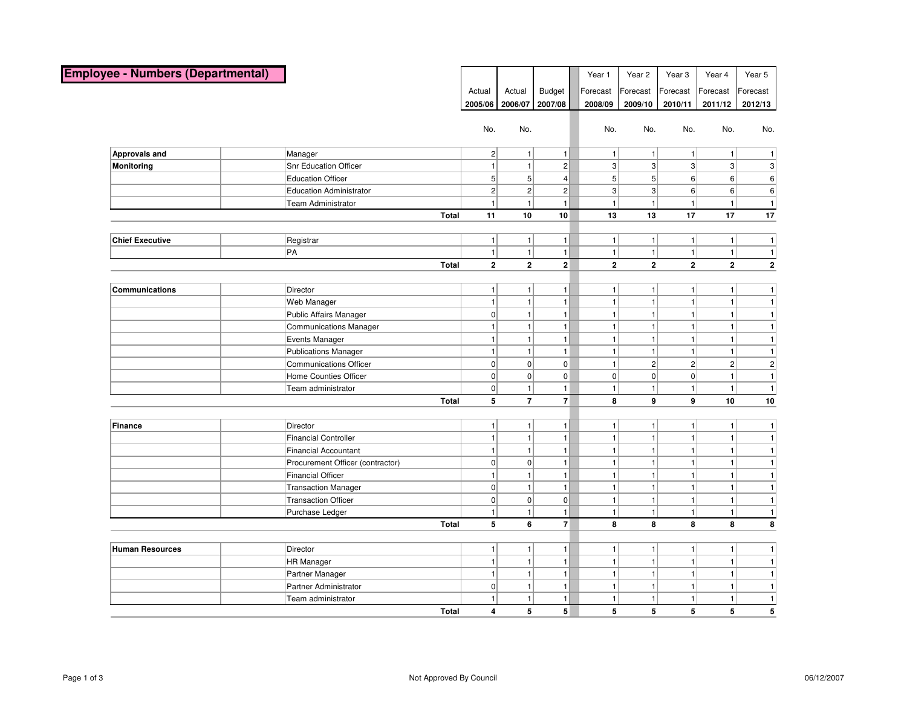| <b>Employee - Numbers (Departmental)</b> |                                  |              |                |                         |                 | Year 1         | Year 2         | Year <sub>3</sub> | Year 4         | Year 5         |
|------------------------------------------|----------------------------------|--------------|----------------|-------------------------|-----------------|----------------|----------------|-------------------|----------------|----------------|
|                                          |                                  |              | Actual         | Actual                  | <b>Budget</b>   | Forecast       | Forecast       | Forecast          | Forecast       | Forecast       |
|                                          |                                  |              | 2005/06        | 2006/07                 | 2007/08         | 2008/09        | 2009/10        | 2010/11           | 2011/12        | 2012/13        |
|                                          |                                  |              |                |                         |                 |                |                |                   |                |                |
|                                          |                                  |              | No.            | No.                     |                 | No.            | No.            | No.               | No.            | No.            |
| Approvals and                            | Manager                          |              | 2 <sup>2</sup> | $\mathbf{1}$            | $\mathbf{1}$    | $\mathbf{1}$   | $\mathbf{1}$   | 1 <sup>1</sup>    | 1              | 1              |
| <b>Monitoring</b>                        | <b>Snr Education Officer</b>     |              | 1              | $\mathbf{1}$            | 2               | $\overline{3}$ | 3 <sup>2</sup> | $\frac{3}{2}$     | 3              | 3              |
|                                          | <b>Education Officer</b>         |              | 5 <sup>2</sup> | 5 <sup>5</sup>          | $\vert$         | 5 <sup>2</sup> | 5 <sup>2</sup> | 6 <sup>1</sup>    | 6              | 6              |
|                                          | <b>Education Administrator</b>   |              | $\overline{2}$ | $\overline{2}$          | 2               | $\overline{3}$ | 3 <sup>2</sup> | 6                 | $6\vert$       | 6              |
|                                          | <b>Team Administrator</b>        |              | $\mathbf{1}$   | $\mathbf{1}$            | $\mathbf{1}$    | $\mathbf{1}$   | $\mathbf{1}$   | 1                 | 1              | $\vert$ 1      |
|                                          |                                  | Total        | 11             | 10                      | 10              | 13             | 13             | 17                | 17             | 17             |
|                                          |                                  |              |                |                         |                 |                |                |                   |                |                |
| <b>Chief Executive</b>                   | Registrar                        |              | 1              | 1                       | 1               | $\mathbf{1}$   | 1 <sup>1</sup> | 1                 | 1              | 1              |
|                                          | PA                               |              | 1              | 1                       | $\mathbf{1}$    | 1              | 1              | 1                 | 1              | 1              |
|                                          |                                  | Total        | $\mathbf{2}$   | $\overline{\mathbf{2}}$ | $\overline{2}$  | $\mathbf{2}$   | $\bf 2$        | $\mathbf{2}$      | $\bf 2$        | $\mathbf{2}$   |
|                                          |                                  |              |                |                         |                 |                |                |                   |                |                |
| Communications                           | Director                         |              | 1              | $\mathbf{1}$            | $\mathbf{1}$    | 1              | $\mathbf{1}$   | 1 <sup>1</sup>    | 1              | 1              |
|                                          | Web Manager                      |              | 1              | $\mathbf{1}$            | $\mathbf{1}$    | $\mathbf{1}$   | $\mathbf{1}$   | 1                 | 1              | $\overline{1}$ |
|                                          | Public Affairs Manager           |              | 0              | $\mathbf{1}$            | $\mathbf{1}$    | $\mathbf{1}$   | $\mathbf{1}$   | $\mathbf{1}$      | 1              | 1              |
|                                          | <b>Communications Manager</b>    |              | 1              | $\mathbf{1}$            | 1               | $\mathbf{1}$   | $\mathbf{1}$   | 1 <sup>1</sup>    | 1 <sup>1</sup> | 1              |
|                                          | Events Manager                   |              | 1              | $\mathbf{1}$            | 1               | $\mathbf{1}$   | $\mathbf{1}$   | 1                 | 1              | $\overline{1}$ |
|                                          | Publications Manager             |              | $\mathbf{1}$   | $\mathbf{1}$            | $\vert$ 1       | $\mathbf{1}$   | $\mathbf{1}$   | $\mathbf{1}$      | 1              | $\vert$ 1      |
|                                          | <b>Communications Officer</b>    |              | 0              | 0                       | $\overline{0}$  | $\mathbf{1}$   | $\overline{2}$ | 2 <sup>1</sup>    | $\overline{2}$ | 2              |
|                                          | Home Counties Officer            |              | $\overline{0}$ | 0                       | $\overline{0}$  | 0              | 0              | 0                 | 1              | 1              |
|                                          | Team administrator               |              | $\overline{0}$ | $\mathbf{1}$            | $\mathbf{1}$    | $\mathbf{1}$   | $\overline{1}$ | $\mathbf{1}$      | $\mathbf{1}$   | 1              |
|                                          |                                  | <b>Total</b> | 5              | $\overline{7}$          | $\overline{7}$  | 8              | 9              | 9                 | 10             | 10             |
| Finance                                  | Director                         |              | 1              | $\mathbf{1}$            | $\mathbf{1}$    | $\mathbf{1}$   | $\mathbf{1}$   | 1 <sup>1</sup>    | 1              | 1              |
|                                          | <b>Financial Controller</b>      |              | 1              | $\mathbf{1}$            | $\mathbf{1}$    | $\mathbf{1}$   | 1              | 1 <sup>1</sup>    | 1              | 1              |
|                                          | <b>Financial Accountant</b>      |              | 1              | 1                       | $\mathbf{1}$    | $\mathbf{1}$   | 1              | 1 <sup>1</sup>    | 1              | 1              |
|                                          | Procurement Officer (contractor) |              | 0              | 0                       | $\mathbf{1}$    | $\mathbf{1}$   | $\overline{1}$ | 1                 | 1              | 1              |
|                                          | <b>Financial Officer</b>         |              | $\mathbf{1}$   | $\mathbf{1}$            | $\mathbf{1}$    | $\mathbf{1}$   | $\mathbf{1}$   | 1 <sup>1</sup>    | 1              | $\overline{1}$ |
|                                          | Transaction Manager              |              | $\overline{0}$ | $\mathbf{1}$            | $\mathbf{1}$    | $\mathbf{1}$   | $\mathbf{1}$   | 1                 | 1              | 1              |
|                                          | <b>Transaction Officer</b>       |              | 0              | 0                       | 0               | $\mathbf{1}$   | $\mathbf{1}$   | 1                 | 1              | 1              |
|                                          | Purchase Ledger                  |              | 1              | $\vert$                 | 1               | $\mathbf{1}$   | 1              | 1 <sup>1</sup>    | 1              | $\overline{1}$ |
|                                          |                                  | Total        | 5              | 6                       | $\mathbf{7}$    | 8              | 8              | 8                 | 8              | 8              |
| <b>Human Resources</b>                   | Director                         |              | 1 <sup>1</sup> | 1                       | 1               | $\mathbf{1}$   | 1              | 1 <sup>1</sup>    | 1              | 1              |
|                                          | HR Manager                       |              | 1              | $\mathbf{1}$            | $\mathbf{1}$    | $\mathbf{1}$   | 1              | 1 <sup>1</sup>    | 1              | 1              |
|                                          | Partner Manager                  |              | 1              | 1                       | $\mathbf{1}$    | $\mathbf{1}$   | $\vert$ 1      | 1 <sup>1</sup>    | 1              | 1              |
|                                          | Partner Administrator            |              | $\overline{0}$ | $\mathbf{1}$            | $\mathbf{1}$    | $\mathbf{1}$   | $\mathbf{1}$   | 1 <sup>1</sup>    | 1              | 1              |
|                                          | Team administrator               |              | 1              | 1                       | 1               | 1              | 1 <sup>1</sup> | 1 <sup>1</sup>    | 1              | 1              |
|                                          |                                  | <b>Total</b> | 4              | 5                       | $5\overline{5}$ | 5              | 5              | 5                 | 5              | 5              |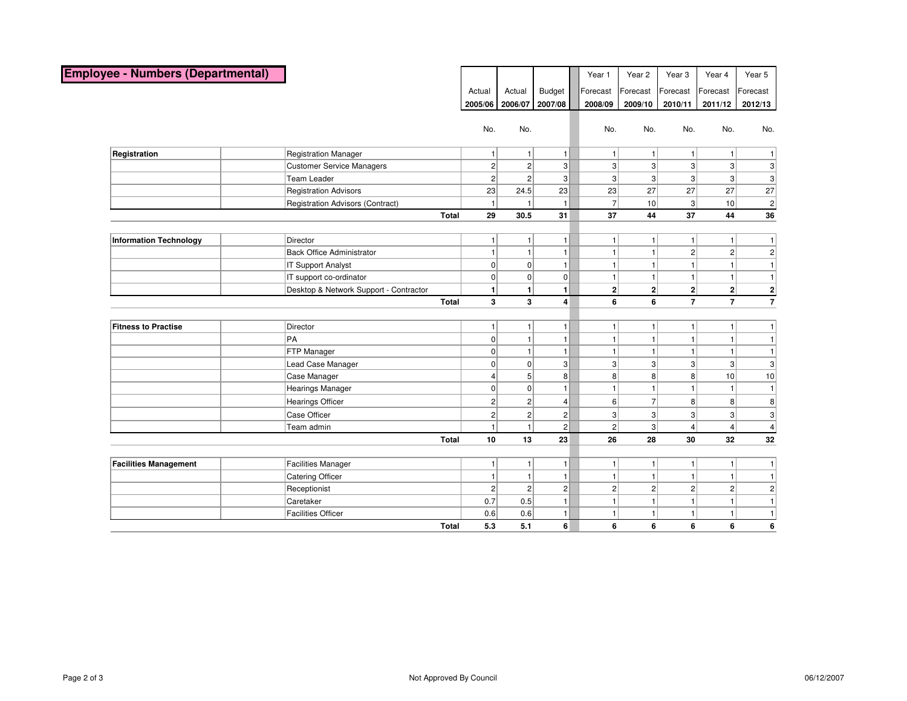| <b>Employee - Numbers (Departmental)</b> |                                         |              |                |                |                | Year 1         | Year 2         | Year <sub>3</sub>       | Year 4                  | Year 5           |
|------------------------------------------|-----------------------------------------|--------------|----------------|----------------|----------------|----------------|----------------|-------------------------|-------------------------|------------------|
|                                          |                                         |              | Actual         | Actual         | <b>Budget</b>  | Forecast       | Forecast       | Forecast                | Forecast                | Forecast         |
|                                          |                                         |              | 2005/06        | 2006/07        | 2007/08        | 2008/09        | 2009/10        | 2010/11                 | 2011/12                 | 2012/13          |
|                                          |                                         |              |                |                |                |                |                |                         |                         |                  |
|                                          |                                         |              | No.            | No.            |                | No.            | No.            | No.                     | No.                     | No.              |
|                                          |                                         |              |                |                |                |                |                |                         |                         |                  |
| Registration                             | <b>Registration Manager</b>             |              | 11             | 1 <sup>1</sup> | 1              |                | $\mathbf{1}$   | 1 <sup>1</sup>          | 1                       | 1                |
|                                          | <b>Customer Service Managers</b>        |              | $\overline{2}$ | $\overline{2}$ | $\overline{3}$ | 3 <sup>1</sup> | 3 <sup>1</sup> | $\overline{3}$          | 3                       | 3                |
|                                          | <b>Team Leader</b>                      |              | $\overline{2}$ | $\overline{2}$ | $\overline{3}$ | 3 <sup>1</sup> | 3 <sup>2</sup> | $\overline{3}$          | $\overline{3}$          | $\overline{3}$   |
|                                          | <b>Registration Advisors</b>            |              | 23             | 24.5           | 23             | 23             | 27             | 27                      | 27                      | 27               |
|                                          | <b>Registration Advisors (Contract)</b> |              | $\vert$ 1      | 1              | $\mathbf{1}$   | 7 <sup>1</sup> | 10             | 3 <sup>1</sup>          | 10                      | $\overline{2}$   |
|                                          |                                         | <b>Total</b> | 29             | 30.5           | 31             | 37             | 44             | 37                      | 44                      | 36               |
|                                          |                                         |              |                |                |                |                |                |                         |                         |                  |
| <b>Information Technology</b>            | Director                                |              | 11             | 1 <sup>1</sup> | 11             | -1             | 1              | 1 <sup>1</sup>          | $\mathbf{1}$            | 1                |
|                                          | <b>Back Office Administrator</b>        |              | 1              | 1 <sup>1</sup> | 1              |                | $\mathbf{1}$   | $\mathbf{2}$            | $\mathbf{2}$            | 2                |
|                                          | IT Support Analyst                      |              | $\overline{0}$ | $\overline{0}$ | 1              | -1             | $\mathbf{1}$   | 1                       | $\mathbf{1}$            | $\vert$ 1        |
|                                          | IT support co-ordinator                 |              | $\overline{0}$ | $\overline{0}$ | 0              | -1             | 1              | 1                       | $\mathbf{1}$            | $\vert 1 \vert$  |
|                                          | Desktop & Network Support - Contractor  |              | 1              | 1              | $\blacksquare$ | $\mathbf{2}$   | 2              | $\mathbf{2}$            | $\mathbf{2}$            | $\left  \right $ |
|                                          |                                         | <b>Total</b> | 3              | 3              | $\overline{4}$ | 6              | 6              | $\overline{7}$          | $\overline{7}$          | $\overline{7}$   |
|                                          |                                         |              |                |                |                |                |                |                         |                         |                  |
| <b>Fitness to Practise</b>               | Director                                |              | 1 <sup>1</sup> | 1 <sup>1</sup> | 1 <sup>1</sup> | 1              | $\mathbf{1}$   | 1 <sup>1</sup>          | 1                       | 1                |
|                                          | PA                                      |              | $\overline{0}$ | 1 <sup>1</sup> | 1              |                | $\mathbf{1}$   | 1                       | $\mathbf{1}$            | $\vert$ 1        |
|                                          | FTP Manager                             |              | $\overline{0}$ | 1              | 1              |                | $\mathbf{1}$   | 1                       | $\mathbf{1}$            | $\vert$ 1        |
|                                          | Lead Case Manager                       |              | 0              | $\overline{0}$ | 3 <sup>2</sup> | 3 <sup>1</sup> | 3 <sup>2</sup> | 3 <sup>1</sup>          | 3                       | 3                |
|                                          | Case Manager                            |              | 4              | 5 <sup>1</sup> | 8 <sup>1</sup> | $\mathbf{8}$   | 8 <sup>2</sup> | 8 <sup>1</sup>          | 10                      | 10               |
|                                          | Hearings Manager                        |              | $\overline{0}$ | $\overline{0}$ | 1              |                | $\mathbf{1}$   | $\vert$ 1               | $\mathbf{1}$            | $\vert$ 1        |
|                                          | <b>Hearings Officer</b>                 |              | $\overline{2}$ | $\overline{2}$ | $\vert$        | $6 \mid$       | 7 <sup>1</sup> | 8 <sup>1</sup>          | 8 <sup>1</sup>          | 8 <sup>2</sup>   |
|                                          | Case Officer                            |              | $\overline{2}$ | $\overline{2}$ | $\overline{2}$ | $\overline{3}$ | 3 <sup>1</sup> | 3 <sup>1</sup>          | $\overline{3}$          | 3 <sup>2</sup>   |
|                                          | Team admin                              |              | $\mathbf{1}$   | $\mathbf{1}$   | $\overline{2}$ | $\overline{2}$ | 3 <sup>2</sup> | $\overline{\mathbf{4}}$ | $\overline{\mathbf{4}}$ | $\vert$          |
|                                          |                                         | <b>Total</b> | 10             | 13             | 23             | 26             | 28             | 30                      | 32                      | 32               |
|                                          |                                         |              |                |                |                |                |                |                         |                         |                  |
| <b>Facilities Management</b>             | <b>Facilities Manager</b>               |              | 1 <sup>1</sup> | 1 <sup>1</sup> | 1 <sup>1</sup> | 1              | $\mathbf{1}$   | 1 <sup>1</sup>          | 1                       | $\vert$ 1        |
|                                          | Catering Officer                        |              | 1              | 1              | 1 <sup>1</sup> | 1              | $\mathbf{1}$   | 1                       | 1                       | 1                |
|                                          | Receptionist                            |              | $\overline{2}$ | $\overline{2}$ | 2              | $\overline{2}$ | 2              | $\overline{2}$          | $\overline{2}$          | $\overline{2}$   |
|                                          | Caretaker                               |              | 0.7            | 0.5            | 1 <sup>1</sup> | 1              | $\mathbf{1}$   | 1                       | $\mathbf{1}$            | 1                |
|                                          | <b>Facilities Officer</b>               |              | 0.6            | 0.6            | 1              | $\mathbf{1}$   | $\mathbf{1}$   | $\vert$ 1               | 1                       | 1                |
|                                          |                                         | <b>Total</b> | 5.3            | 5.1            | 6              | 6              | 6              | 6                       | 6                       | 6                |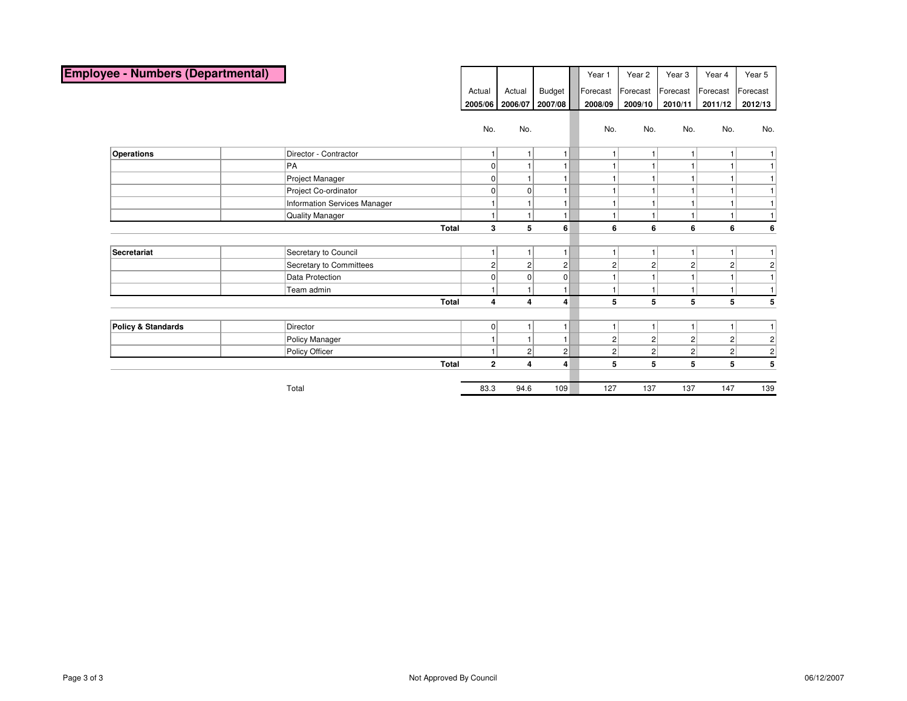| <b>Employee - Numbers (Departmental)</b> |                              |                |                         |                | Year 1         | Year <sub>2</sub> | Year <sub>3</sub> | Year 4         | Year 5                           |
|------------------------------------------|------------------------------|----------------|-------------------------|----------------|----------------|-------------------|-------------------|----------------|----------------------------------|
|                                          |                              | Actual         | Actual                  | Budget         | Forecast       | Forecast          | Forecast          | Forecast       | Forecast                         |
|                                          |                              | 2005/06        | 2006/07                 | 2007/08        | 2008/09        | 2009/10           | 2010/11           | 2011/12        | 2012/13                          |
|                                          |                              | No.            | No.                     |                | No.            | No.               | No.               | No.            | No.                              |
| <b>Operations</b>                        | Director - Contractor        |                | $\mathbf{1}$            | 1              | 1              |                   |                   | 1              | $\vert$                          |
|                                          | ∣PA                          | $\overline{0}$ |                         |                |                |                   |                   | 1              | 1 <sup>1</sup>                   |
|                                          | Project Manager              | 0              | $\overline{1}$          | $\mathbf{1}$   |                |                   |                   | 1              | 1 <sup>1</sup>                   |
|                                          | Project Co-ordinator         | O              | 0                       |                |                |                   |                   | 1              | 1                                |
|                                          | Information Services Manager |                | $\overline{1}$          |                |                |                   |                   | 1              | 1 <sup>1</sup>                   |
|                                          | Quality Manager              |                | $\mathbf{1}$            | $\overline{1}$ | 1              |                   |                   | 1 <sup>1</sup> | 1 <sup>1</sup>                   |
|                                          | <b>Total</b>                 | 3              | 5                       | 6              | 6              | 6                 | 6                 | 6              | 6                                |
|                                          |                              |                |                         |                |                |                   |                   |                |                                  |
| Secretariat                              | Secretary to Council         |                | $\mathbf{1}$            | $\mathbf{1}$   | 1              |                   |                   | 1              | 1                                |
|                                          | Secretary to Committees      | $\overline{c}$ | $\overline{2}$          | $\mathbf{2}$   | $\overline{c}$ | $\overline{c}$    | $\overline{c}$    | $\overline{2}$ | $\overline{2}$                   |
|                                          | Data Protection              | 0              | 0                       | $\overline{0}$ |                |                   |                   | 1              | 1                                |
|                                          | Team admin                   |                |                         | $\overline{1}$ |                |                   |                   | 1 <sup>1</sup> | 1 <sup>1</sup>                   |
|                                          | <b>Total</b>                 | $\overline{4}$ | $\overline{4}$          | 4              | 5              | 5                 | 5                 | 5              | 5                                |
| <b>Policy &amp; Standards</b>            | Director                     | $\overline{0}$ | $\mathbf{1}$            | $\mathbf{1}$   | 1              |                   |                   | 1 <sup>1</sup> | 1                                |
|                                          | Policy Manager               |                | $\mathbf{1}$            | $\mathbf{1}$   | $\overline{c}$ | $\overline{c}$    | $\mathbf{2}$      | $\mathbf{2}$   |                                  |
|                                          | Policy Officer               |                | 2                       | 2              | $\overline{c}$ | 2                 | $\mathbf{2}$      | 2              | $\mathbf{2}$<br>$\left  \right $ |
|                                          | <b>Total</b>                 | $\mathbf{2}$   | $\overline{\mathbf{4}}$ | 4              | 5              | 5                 | 5                 | 5              | 5                                |
|                                          |                              |                |                         |                |                |                   |                   |                |                                  |
|                                          | Total                        | 83.3           | 94.6                    | 109            | 127            | 137               | 137               | 147            | 139                              |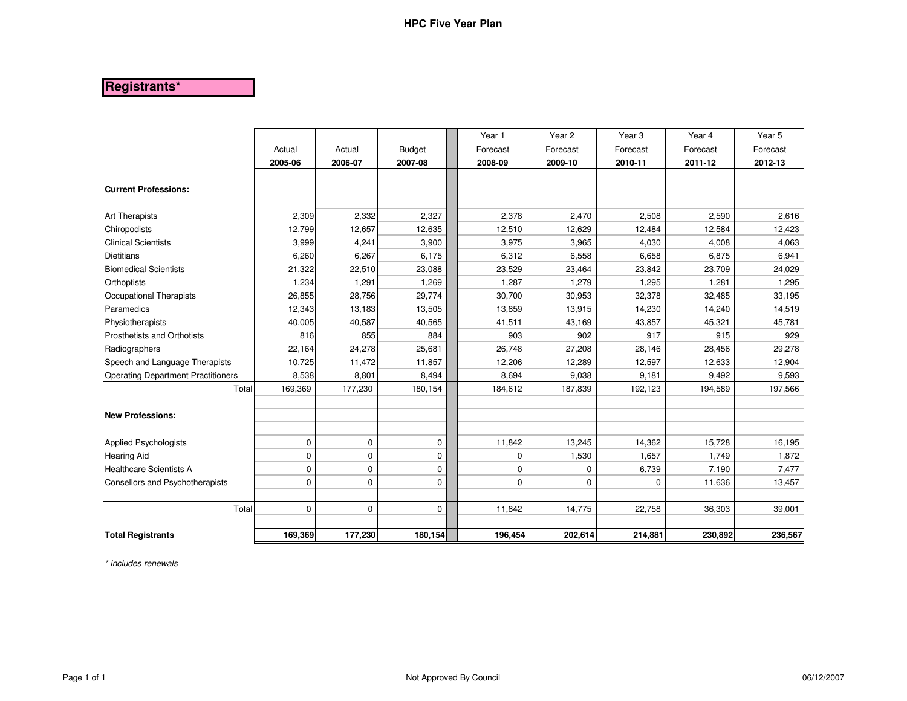# **Registrants\***

|                                           |          |             |               | Year 1      | Year <sub>2</sub> | Year <sub>3</sub> | Year 4   | Year 5   |
|-------------------------------------------|----------|-------------|---------------|-------------|-------------------|-------------------|----------|----------|
|                                           | Actual   | Actual      | <b>Budget</b> | Forecast    | Forecast          | Forecast          | Forecast | Forecast |
|                                           | 2005-06  | 2006-07     | 2007-08       | 2008-09     | 2009-10           | 2010-11           | 2011-12  | 2012-13  |
| <b>Current Professions:</b>               |          |             |               |             |                   |                   |          |          |
| Art Therapists                            | 2,309    | 2,332       | 2,327         | 2,378       | 2,470             | 2,508             | 2,590    | 2,616    |
| Chiropodists                              | 12,799   | 12,657      | 12,635        | 12,510      | 12,629            | 12,484            | 12,584   | 12,423   |
| <b>Clinical Scientists</b>                | 3,999    | 4,241       | 3,900         | 3,975       | 3,965             | 4,030             | 4,008    | 4,063    |
| <b>Dietitians</b>                         | 6,260    | 6,267       | 6,175         | 6,312       | 6,558             | 6,658             | 6,875    | 6,941    |
| <b>Biomedical Scientists</b>              | 21,322   | 22,510      | 23,088        | 23,529      | 23,464            | 23,842            | 23,709   | 24,029   |
| Orthoptists                               | 1,234    | 1,291       | 1,269         | 1,287       | 1,279             | 1,295             | 1,281    | 1,295    |
| Occupational Therapists                   | 26,855   | 28,756      | 29,774        | 30,700      | 30,953            | 32,378            | 32,485   | 33,195   |
| Paramedics                                | 12,343   | 13,183      | 13,505        | 13,859      | 13,915            | 14,230            | 14,240   | 14,519   |
| Physiotherapists                          | 40,005   | 40,587      | 40,565        | 41,511      | 43,169            | 43,857            | 45,321   | 45,781   |
| Prosthetists and Orthotists               | 816      | 855         | 884           | 903         | 902               | 917               | 915      | 929      |
| Radiographers                             | 22,164   | 24,278      | 25,681        | 26,748      | 27,208            | 28,146            | 28,456   | 29,278   |
| Speech and Language Therapists            | 10,725   | 11,472      | 11,857        | 12,206      | 12,289            | 12,597            | 12,633   | 12,904   |
| <b>Operating Department Practitioners</b> | 8,538    | 8,801       | 8,494         | 8,694       | 9,038             | 9,181             | 9,492    | 9,593    |
| Total                                     | 169,369  | 177,230     | 180,154       | 184,612     | 187,839           | 192,123           | 194,589  | 197,566  |
| <b>New Professions:</b>                   |          |             |               |             |                   |                   |          |          |
| <b>Applied Psychologists</b>              | 0        | $\mathbf 0$ | 0             | 11,842      | 13,245            | 14,362            | 15,728   | 16,195   |
| <b>Hearing Aid</b>                        | 0        | $\mathbf 0$ | 0             | 0           | 1,530             | 1,657             | 1,749    | 1,872    |
| <b>Healthcare Scientists A</b>            | 0        | $\pmb{0}$   | 0             | $\mathbf 0$ | $\Omega$          | 6,739             | 7,190    | 7,477    |
| Consellors and Psychotherapists           | 0        | $\pmb{0}$   | 0             | 0           | $\Omega$          | 0                 | 11,636   | 13,457   |
| Total                                     | $\Omega$ | $\mathbf 0$ | 0             | 11,842      | 14,775            | 22,758            | 36,303   | 39,001   |
| <b>Total Registrants</b>                  | 169,369  | 177,230     | 180,154       | 196,454     | 202,614           | 214,881           | 230,892  | 236,567  |

\* includes renewals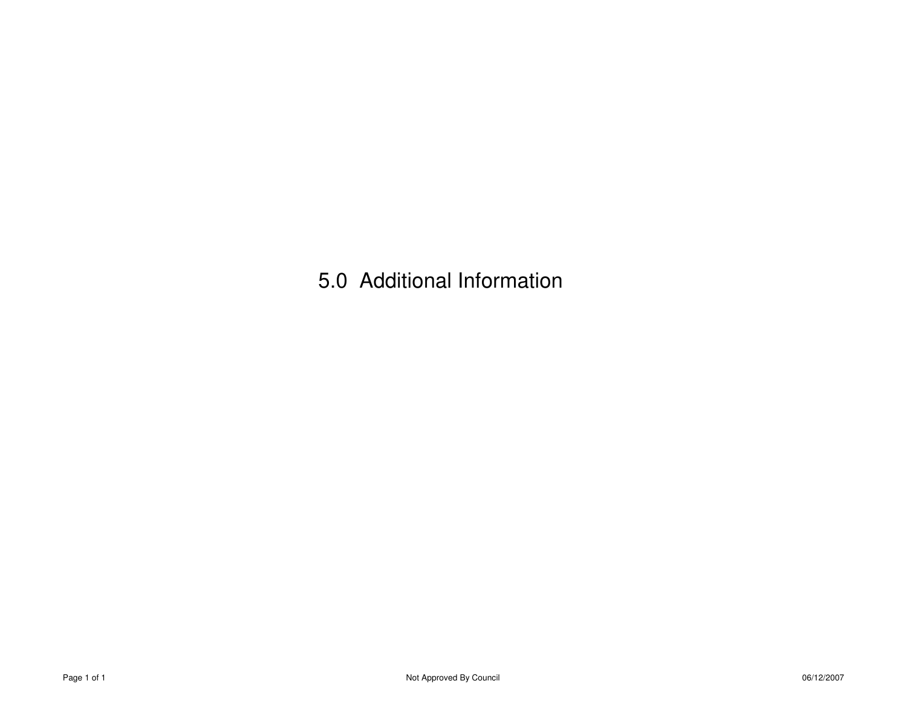5.0 Additional Information